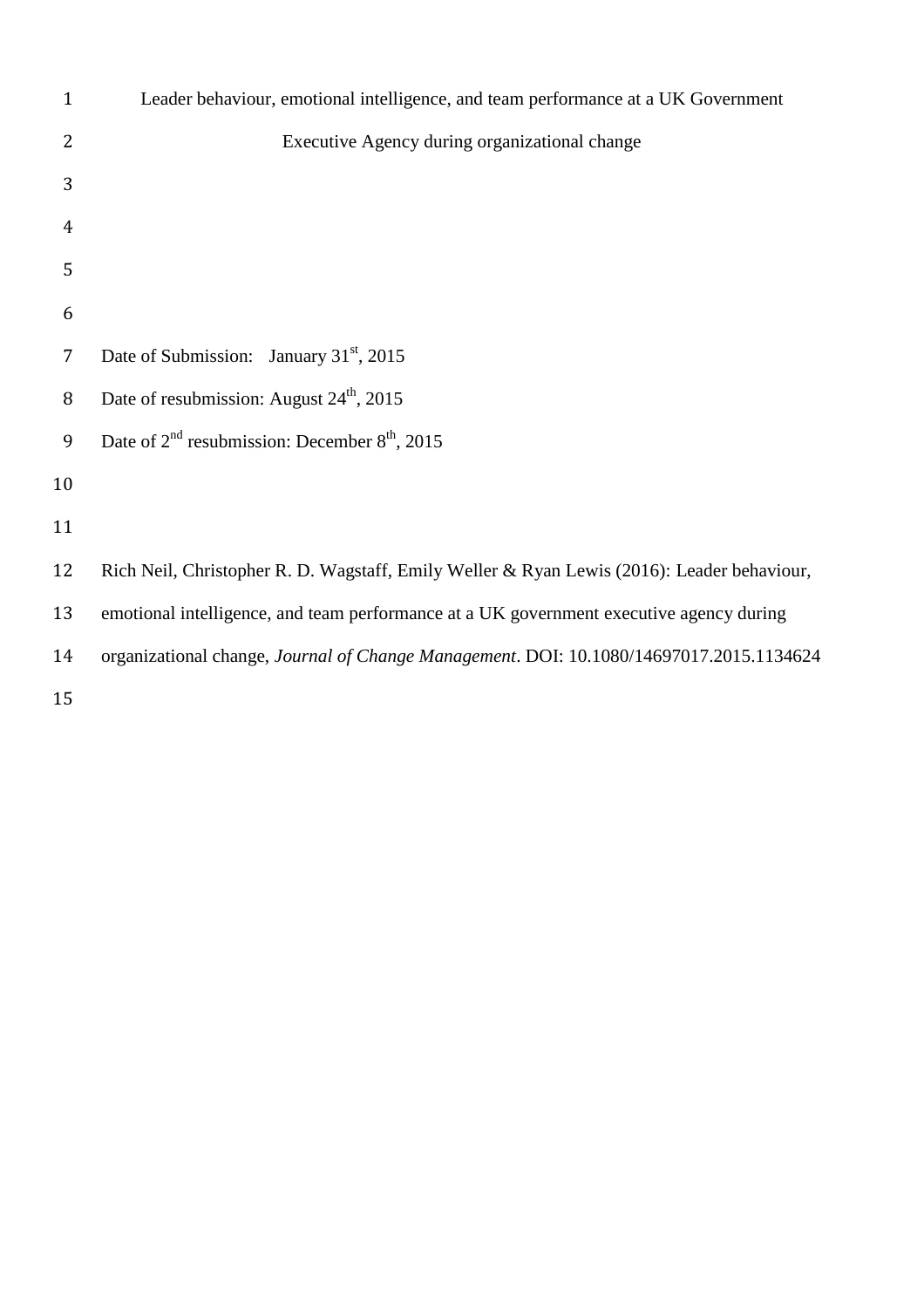| $\mathbf{1}$   | Leader behaviour, emotional intelligence, and team performance at a UK Government          |
|----------------|--------------------------------------------------------------------------------------------|
| $\overline{2}$ | Executive Agency during organizational change                                              |
| 3              |                                                                                            |
| $\overline{4}$ |                                                                                            |
| 5              |                                                                                            |
| 6              |                                                                                            |
| $\overline{7}$ | Date of Submission: January $31st$ , 2015                                                  |
| 8              | Date of resubmission: August 24 <sup>th</sup> , 2015                                       |
| 9              | Date of $2^{nd}$ resubmission: December $8^{th}$ , 2015                                    |
| 10             |                                                                                            |
| 11             |                                                                                            |
| 12             | Rich Neil, Christopher R. D. Wagstaff, Emily Weller & Ryan Lewis (2016): Leader behaviour, |
| 13             | emotional intelligence, and team performance at a UK government executive agency during    |
| 14             | organizational change, Journal of Change Management. DOI: 10.1080/14697017.2015.1134624    |
| 15             |                                                                                            |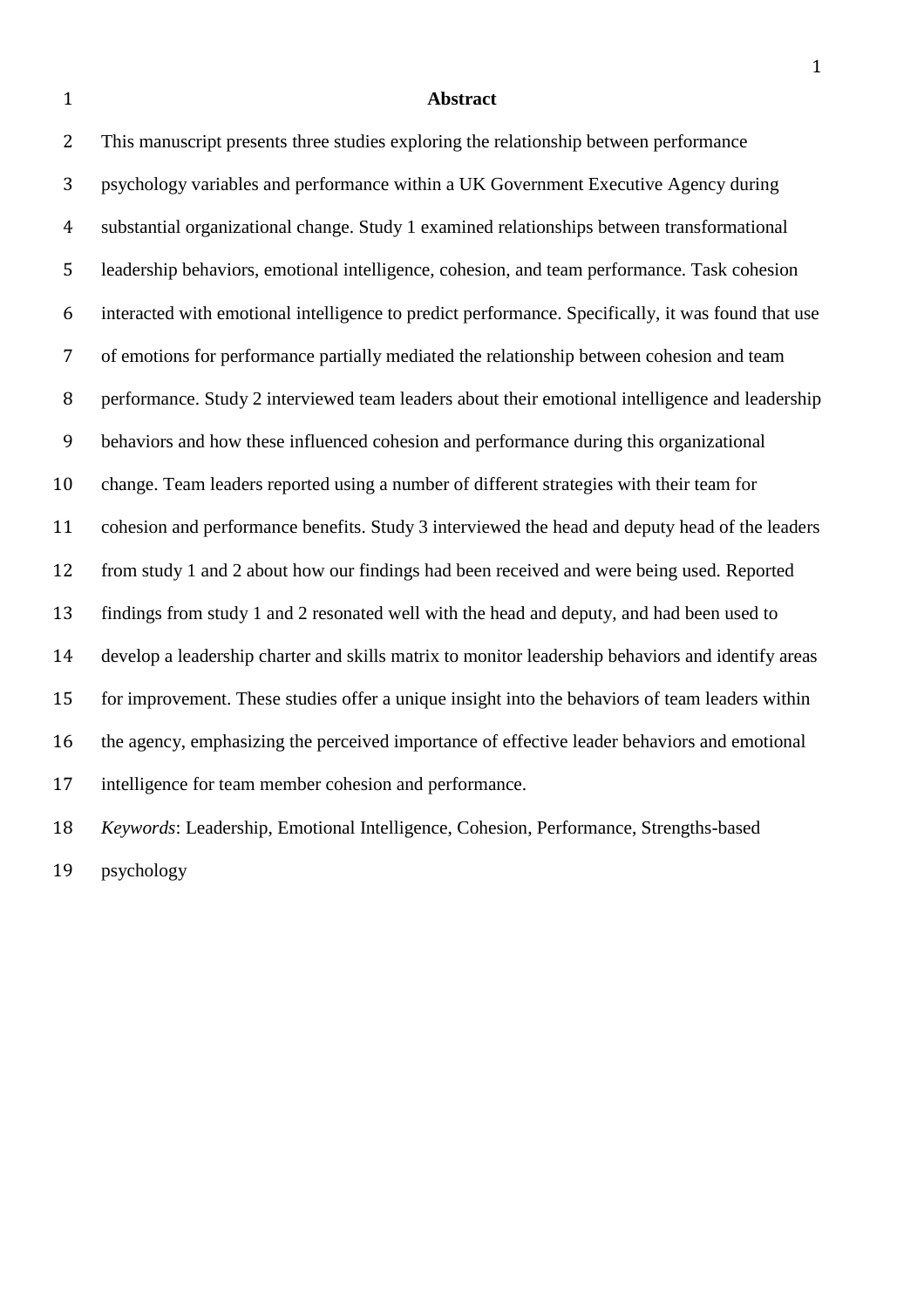#### **Abstract**

 This manuscript presents three studies exploring the relationship between performance psychology variables and performance within a UK Government Executive Agency during substantial organizational change. Study 1 examined relationships between transformational leadership behaviors, emotional intelligence, cohesion, and team performance. Task cohesion interacted with emotional intelligence to predict performance. Specifically, it was found that use of emotions for performance partially mediated the relationship between cohesion and team 8 performance. Study 2 interviewed team leaders about their emotional intelligence and leadership behaviors and how these influenced cohesion and performance during this organizational change. Team leaders reported using a number of different strategies with their team for cohesion and performance benefits. Study 3 interviewed the head and deputy head of the leaders from study 1 and 2 about how our findings had been received and were being used. Reported findings from study 1 and 2 resonated well with the head and deputy, and had been used to develop a leadership charter and skills matrix to monitor leadership behaviors and identify areas for improvement. These studies offer a unique insight into the behaviors of team leaders within the agency, emphasizing the perceived importance of effective leader behaviors and emotional intelligence for team member cohesion and performance. *Keywords*: Leadership, Emotional Intelligence, Cohesion, Performance, Strengths-based

psychology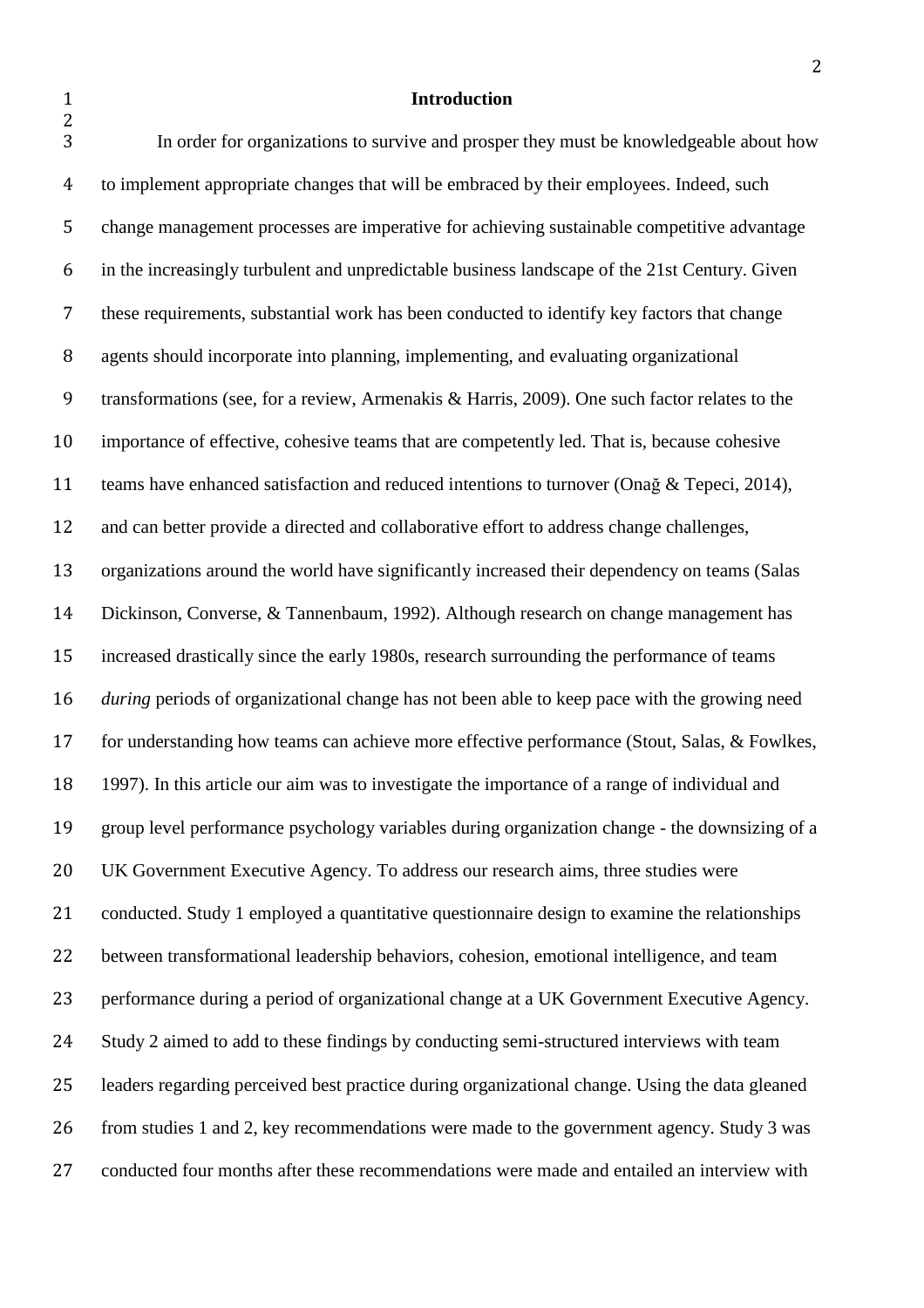#### **Introduction**

 In order for organizations to survive and prosper they must be knowledgeable about how to implement appropriate changes that will be embraced by their employees. Indeed, such change management processes are imperative for achieving sustainable competitive advantage in the increasingly turbulent and unpredictable business landscape of the 21st Century. Given these requirements, substantial work has been conducted to identify key factors that change agents should incorporate into planning, implementing, and evaluating organizational transformations (see, for a review, Armenakis & Harris, 2009). One such factor relates to the importance of effective, cohesive teams that are competently led. That is, because cohesive teams have enhanced satisfaction and reduced intentions to turnover (Onağ & Tepeci, 2014), and can better provide a directed and collaborative effort to address change challenges, organizations around the world have significantly increased their dependency on teams (Salas Dickinson, Converse, & Tannenbaum, 1992). Although research on change management has increased drastically since the early 1980s, research surrounding the performance of teams *during* periods of organizational change has not been able to keep pace with the growing need 17 for understanding how teams can achieve more effective performance (Stout, Salas, & Fowlkes, 1997). In this article our aim was to investigate the importance of a range of individual and group level performance psychology variables during organization change - the downsizing of a UK Government Executive Agency. To address our research aims, three studies were conducted. Study 1 employed a quantitative questionnaire design to examine the relationships between transformational leadership behaviors, cohesion, emotional intelligence, and team performance during a period of organizational change at a UK Government Executive Agency. Study 2 aimed to add to these findings by conducting semi-structured interviews with team leaders regarding perceived best practice during organizational change. Using the data gleaned from studies 1 and 2, key recommendations were made to the government agency. Study 3 was conducted four months after these recommendations were made and entailed an interview with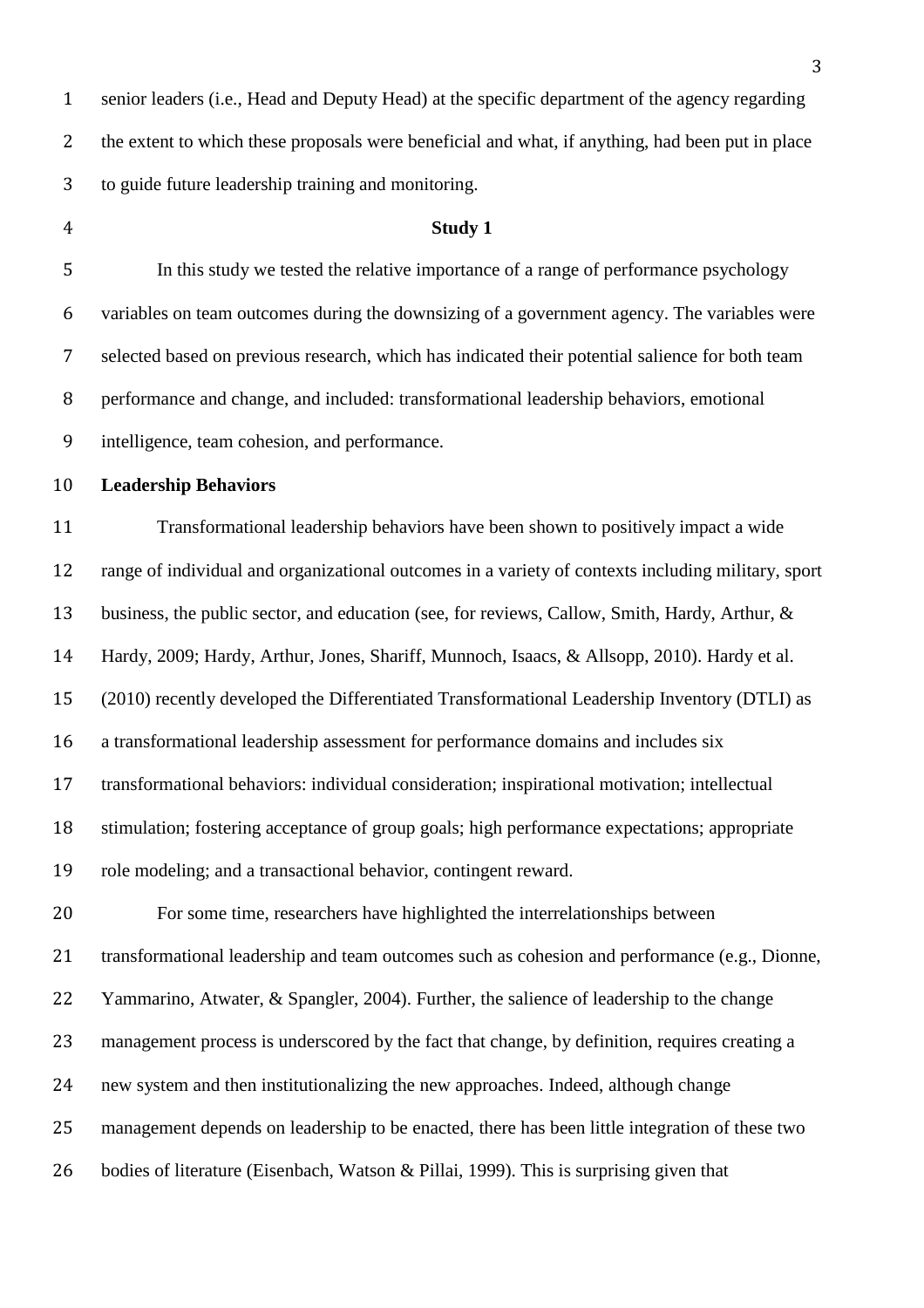| $\overline{2}$ | the extent to which these proposals were beneficial and what, if anything, had been put in place   |
|----------------|----------------------------------------------------------------------------------------------------|
| 3              | to guide future leadership training and monitoring.                                                |
| 4              | <b>Study 1</b>                                                                                     |
| 5              | In this study we tested the relative importance of a range of performance psychology               |
| 6              | variables on team outcomes during the downsizing of a government agency. The variables were        |
| $\overline{7}$ | selected based on previous research, which has indicated their potential salience for both team    |
| 8              | performance and change, and included: transformational leadership behaviors, emotional             |
| 9              | intelligence, team cohesion, and performance.                                                      |
| 10             | <b>Leadership Behaviors</b>                                                                        |
| 11             | Transformational leadership behaviors have been shown to positively impact a wide                  |
| 12             | range of individual and organizational outcomes in a variety of contexts including military, sport |
| 13             | business, the public sector, and education (see, for reviews, Callow, Smith, Hardy, Arthur, &      |
| 14             | Hardy, 2009; Hardy, Arthur, Jones, Shariff, Munnoch, Isaacs, & Allsopp, 2010). Hardy et al.        |
| 15             | (2010) recently developed the Differentiated Transformational Leadership Inventory (DTLI) as       |
| 16             | a transformational leadership assessment for performance domains and includes six                  |
| 17             | transformational behaviors: individual consideration; inspirational motivation; intellectual       |
| 18             | stimulation; fostering acceptance of group goals; high performance expectations; appropriate       |
| 19             | role modeling; and a transactional behavior, contingent reward.                                    |
| 20             | For some time, researchers have highlighted the interrelationships between                         |
| 21             | transformational leadership and team outcomes such as cohesion and performance (e.g., Dionne,      |
| 22             | Yammarino, Atwater, & Spangler, 2004). Further, the salience of leadership to the change           |
| 23             | management process is underscored by the fact that change, by definition, requires creating a      |
| 24             | new system and then institutionalizing the new approaches. Indeed, although change                 |
| 25             | management depends on leadership to be enacted, there has been little integration of these two     |
| 26             | bodies of literature (Eisenbach, Watson & Pillai, 1999). This is surprising given that             |

senior leaders (i.e., Head and Deputy Head) at the specific department of the agency regarding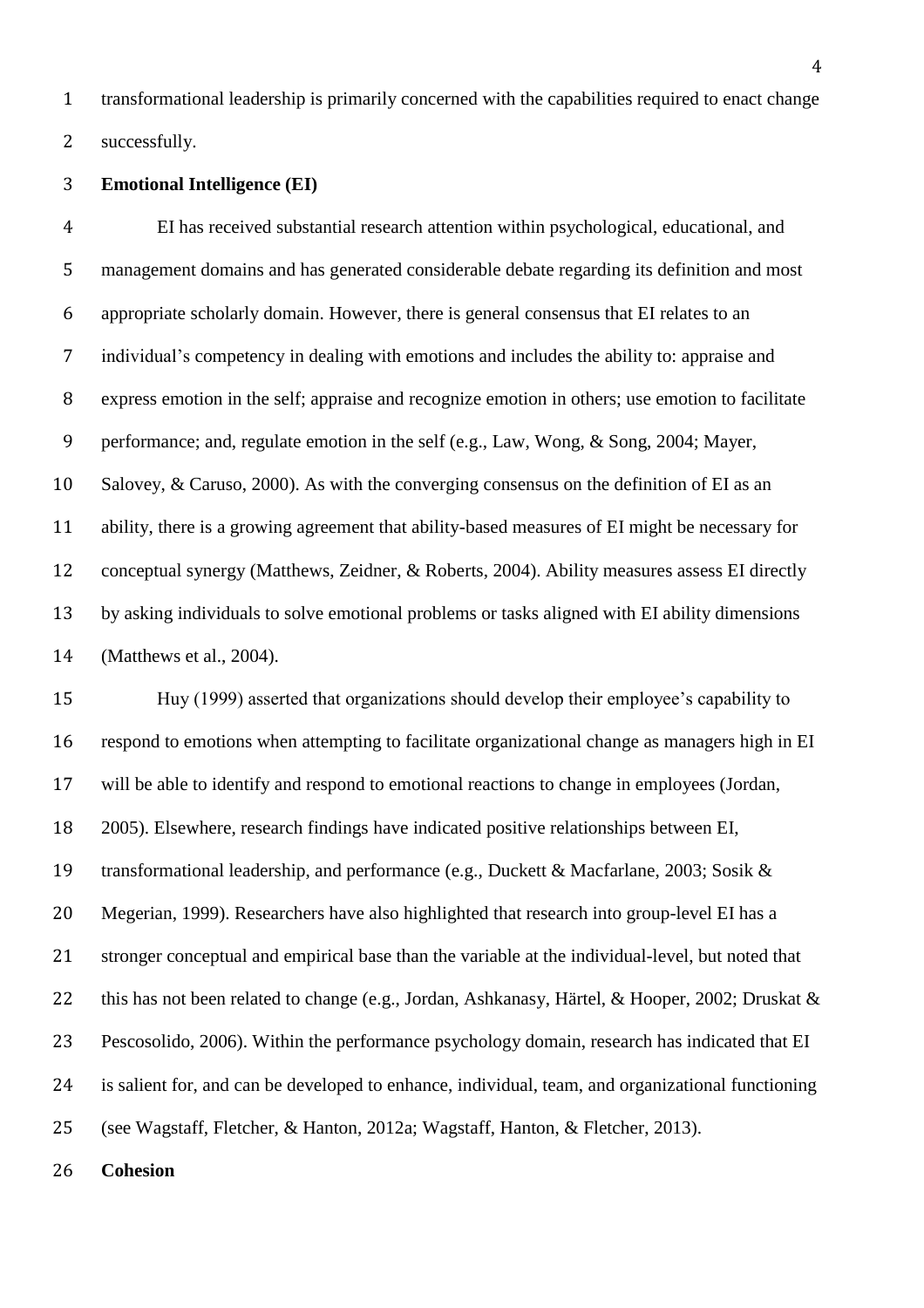transformational leadership is primarily concerned with the capabilities required to enact change successfully.

#### **Emotional Intelligence (EI)**

 EI has received substantial research attention within psychological, educational, and management domains and has generated considerable debate regarding its definition and most appropriate scholarly domain. However, there is general consensus that EI relates to an individual's competency in dealing with emotions and includes the ability to: appraise and express emotion in the self; appraise and recognize emotion in others; use emotion to facilitate performance; and, regulate emotion in the self (e.g., Law, Wong, & Song, 2004; Mayer, Salovey, & Caruso, 2000). As with the converging consensus on the definition of EI as an ability, there is a growing agreement that ability-based measures of EI might be necessary for conceptual synergy (Matthews, Zeidner, & Roberts, 2004). Ability measures assess EI directly by asking individuals to solve emotional problems or tasks aligned with EI ability dimensions (Matthews et al., 2004).

 Huy (1999) asserted that organizations should develop their employee's capability to respond to emotions when attempting to facilitate organizational change as managers high in EI will be able to identify and respond to emotional reactions to change in employees (Jordan, 2005). Elsewhere, research findings have indicated positive relationships between EI, transformational leadership, and performance (e.g., Duckett & Macfarlane, 2003; Sosik & Megerian, 1999). Researchers have also highlighted that research into group-level EI has a stronger conceptual and empirical base than the variable at the individual-level, but noted that 22 this has not been related to change (e.g., Jordan, Ashkanasy, Härtel, & Hooper, 2002; Druskat & Pescosolido, 2006). Within the performance psychology domain, research has indicated that EI is salient for, and can be developed to enhance, individual, team, and organizational functioning (see Wagstaff, Fletcher, & Hanton, 2012a; Wagstaff, Hanton, & Fletcher, 2013).

**Cohesion**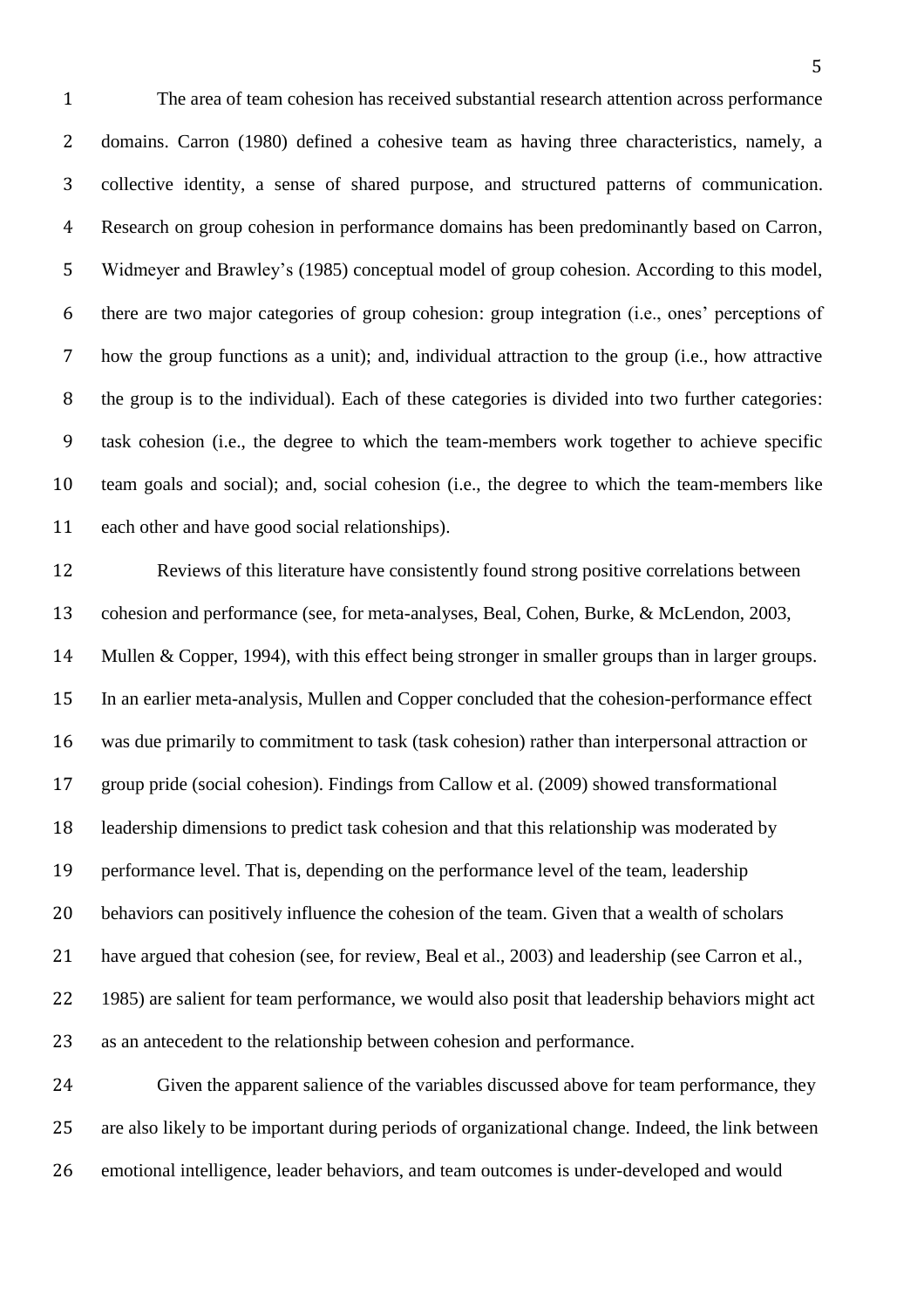The area of team cohesion has received substantial research attention across performance domains. Carron (1980) defined a cohesive team as having three characteristics, namely, a collective identity, a sense of shared purpose, and structured patterns of communication. Research on group cohesion in performance domains has been predominantly based on Carron, Widmeyer and Brawley's (1985) conceptual model of group cohesion. According to this model, there are two major categories of group cohesion: group integration (i.e., ones' perceptions of how the group functions as a unit); and, individual attraction to the group (i.e., how attractive the group is to the individual). Each of these categories is divided into two further categories: task cohesion (i.e., the degree to which the team-members work together to achieve specific team goals and social); and, social cohesion (i.e., the degree to which the team-members like each other and have good social relationships).

 Reviews of this literature have consistently found strong positive correlations between cohesion and performance (see, for meta-analyses, Beal, Cohen, Burke, & McLendon, 2003, 14 Mullen & Copper, 1994), with this effect being stronger in smaller groups than in larger groups. In an earlier meta-analysis, Mullen and Copper concluded that the cohesion-performance effect was due primarily to commitment to task (task cohesion) rather than interpersonal attraction or group pride (social cohesion). Findings from Callow et al. (2009) showed transformational leadership dimensions to predict task cohesion and that this relationship was moderated by performance level. That is, depending on the performance level of the team, leadership behaviors can positively influence the cohesion of the team. Given that a wealth of scholars have argued that cohesion (see, for review, Beal et al., 2003) and leadership (see Carron et al., 1985) are salient for team performance, we would also posit that leadership behaviors might act as an antecedent to the relationship between cohesion and performance.

 Given the apparent salience of the variables discussed above for team performance, they are also likely to be important during periods of organizational change. Indeed, the link between emotional intelligence, leader behaviors, and team outcomes is under-developed and would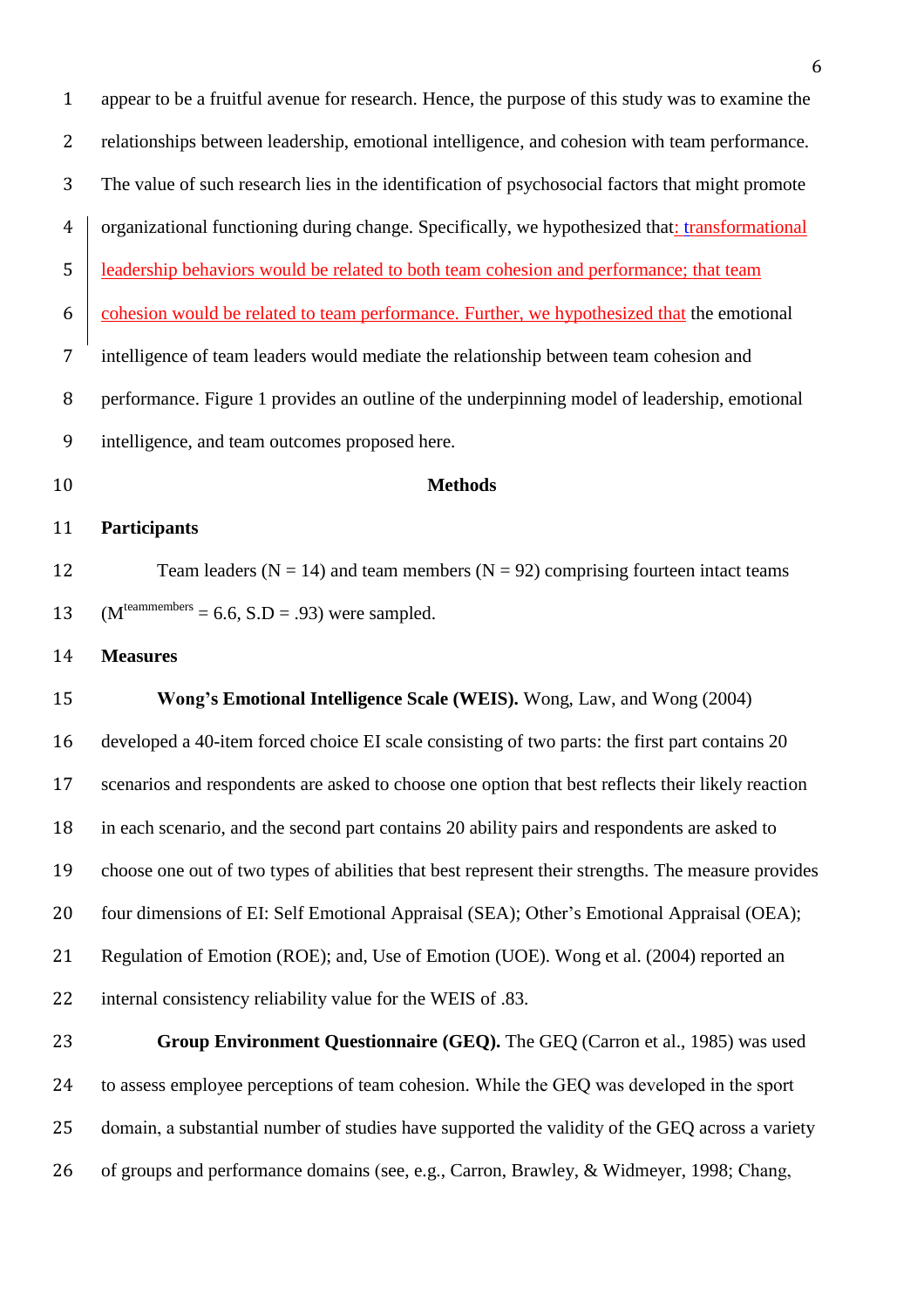| $\mathbf{1}$ | appear to be a fruitful avenue for research. Hence, the purpose of this study was to examine the   |
|--------------|----------------------------------------------------------------------------------------------------|
| 2            | relationships between leadership, emotional intelligence, and cohesion with team performance.      |
| 3            | The value of such research lies in the identification of psychosocial factors that might promote   |
| 4            | organizational functioning during change. Specifically, we hypothesized that: transformational     |
| 5            | leadership behaviors would be related to both team cohesion and performance; that team             |
| 6            | cohesion would be related to team performance. Further, we hypothesized that the emotional         |
| 7            | intelligence of team leaders would mediate the relationship between team cohesion and              |
| 8            | performance. Figure 1 provides an outline of the underpinning model of leadership, emotional       |
| 9            | intelligence, and team outcomes proposed here.                                                     |
| 10           | <b>Methods</b>                                                                                     |
| 11           | <b>Participants</b>                                                                                |
| 12           | Team leaders ( $N = 14$ ) and team members ( $N = 92$ ) comprising fourteen intact teams           |
| 13           | $(M^{teammembers} = 6.6, S.D = .93)$ were sampled.                                                 |
| 14           | <b>Measures</b>                                                                                    |
| 15           | Wong's Emotional Intelligence Scale (WEIS). Wong, Law, and Wong (2004)                             |
| 16           | developed a 40-item forced choice EI scale consisting of two parts: the first part contains 20     |
| 17           | scenarios and respondents are asked to choose one option that best reflects their likely reaction  |
| 18           | in each scenario, and the second part contains 20 ability pairs and respondents are asked to       |
| 19           | choose one out of two types of abilities that best represent their strengths. The measure provides |
| 20           | four dimensions of EI: Self Emotional Appraisal (SEA); Other's Emotional Appraisal (OEA);          |
| 21           | Regulation of Emotion (ROE); and, Use of Emotion (UOE). Wong et al. (2004) reported an             |
| 22           | internal consistency reliability value for the WEIS of .83.                                        |
| 23           | Group Environment Questionnaire (GEQ). The GEQ (Carron et al., 1985) was used                      |
| 24           | to assess employee perceptions of team cohesion. While the GEQ was developed in the sport          |
| 25           | domain, a substantial number of studies have supported the validity of the GEQ across a variety    |
| 26           | of groups and performance domains (see, e.g., Carron, Brawley, & Widmeyer, 1998; Chang,            |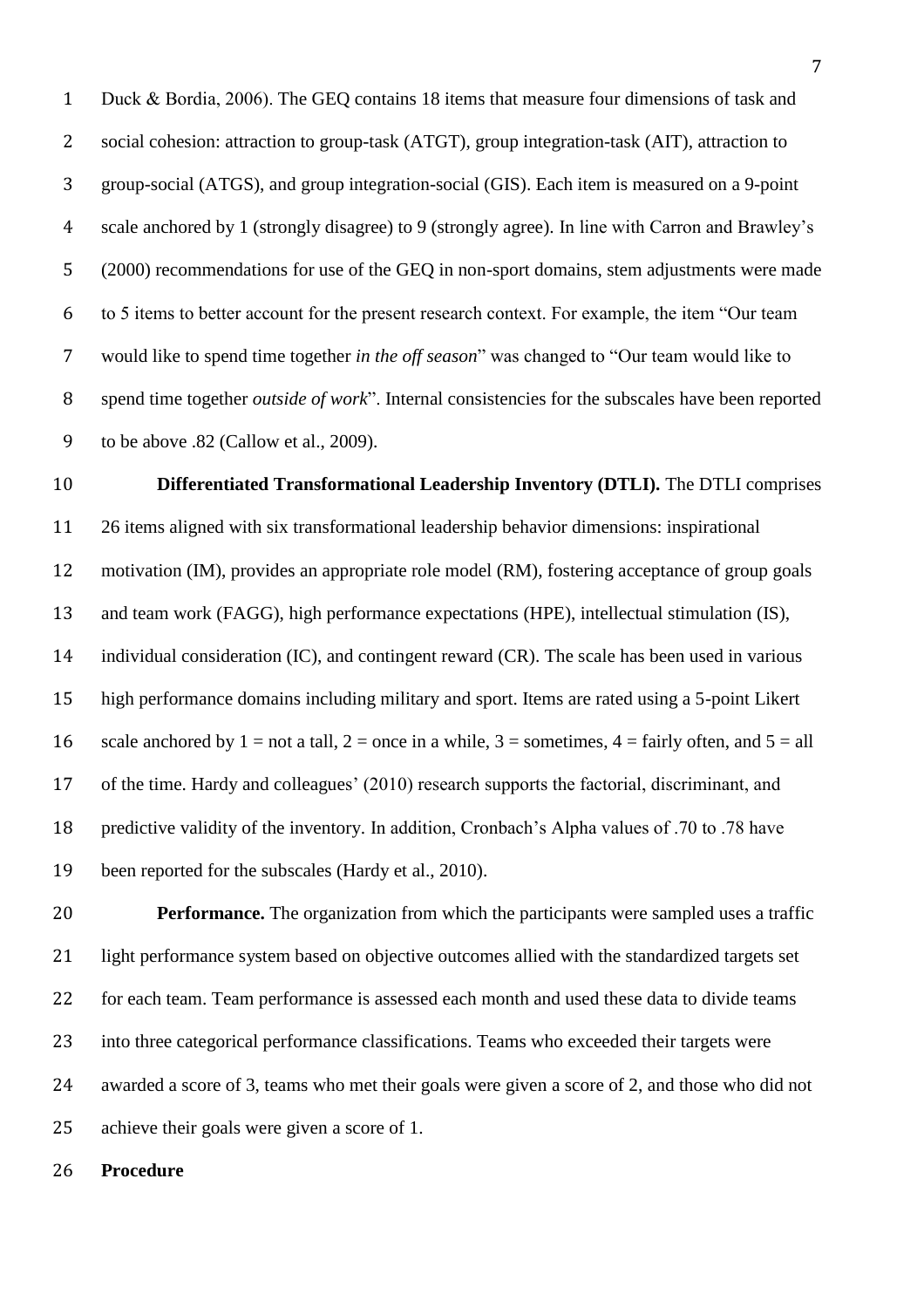Duck & Bordia, 2006). The GEQ contains 18 items that measure four dimensions of task and social cohesion: attraction to group-task (ATGT), group integration-task (AIT), attraction to group-social (ATGS), and group integration-social (GIS). Each item is measured on a 9-point scale anchored by 1 (strongly disagree) to 9 (strongly agree). In line with Carron and Brawley's (2000) recommendations for use of the GEQ in non-sport domains, stem adjustments were made to 5 items to better account for the present research context. For example, the item "Our team would like to spend time together *in the off season*" was changed to "Our team would like to spend time together *outside of work*". Internal consistencies for the subscales have been reported to be above .82 (Callow et al., 2009).

 **Differentiated Transformational Leadership Inventory (DTLI).** The DTLI comprises 26 items aligned with six transformational leadership behavior dimensions: inspirational motivation (IM), provides an appropriate role model (RM), fostering acceptance of group goals and team work (FAGG), high performance expectations (HPE), intellectual stimulation (IS), individual consideration (IC), and contingent reward (CR). The scale has been used in various high performance domains including military and sport. Items are rated using a 5-point Likert 16 scale anchored by 1 = not a tall, 2 = once in a while, 3 = sometimes, 4 = fairly often, and 5 = all of the time. Hardy and colleagues' (2010) research supports the factorial, discriminant, and predictive validity of the inventory. In addition, Cronbach's Alpha values of .70 to .78 have been reported for the subscales (Hardy et al., 2010).

 **Performance.** The organization from which the participants were sampled uses a traffic light performance system based on objective outcomes allied with the standardized targets set for each team. Team performance is assessed each month and used these data to divide teams into three categorical performance classifications. Teams who exceeded their targets were awarded a score of 3, teams who met their goals were given a score of 2, and those who did not achieve their goals were given a score of 1.

**Procedure**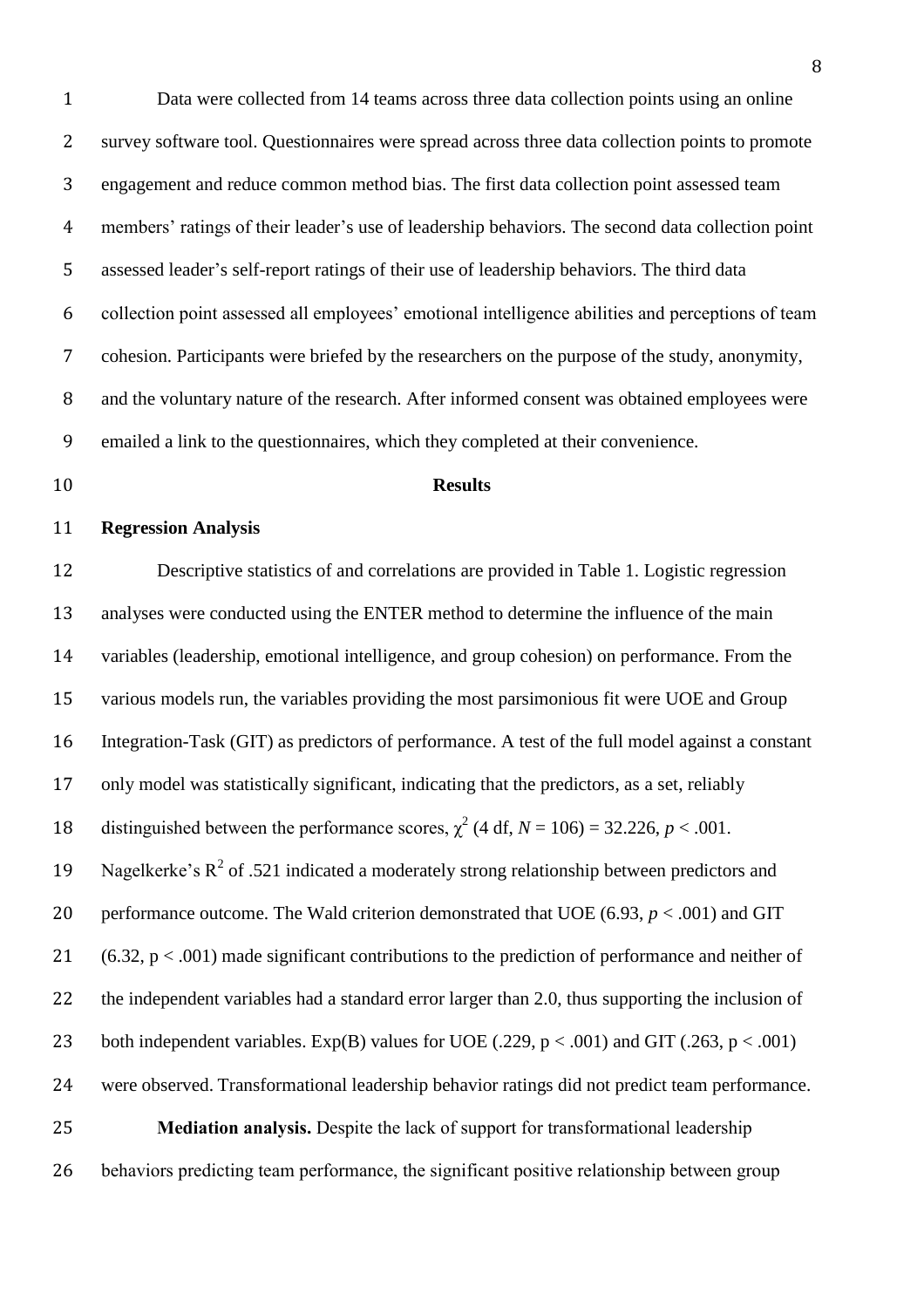Data were collected from 14 teams across three data collection points using an online survey software tool. Questionnaires were spread across three data collection points to promote engagement and reduce common method bias. The first data collection point assessed team members' ratings of their leader's use of leadership behaviors. The second data collection point assessed leader's self-report ratings of their use of leadership behaviors. The third data collection point assessed all employees' emotional intelligence abilities and perceptions of team cohesion. Participants were briefed by the researchers on the purpose of the study, anonymity, and the voluntary nature of the research. After informed consent was obtained employees were emailed a link to the questionnaires, which they completed at their convenience.

# **Results**

**Regression Analysis**

 Descriptive statistics of and correlations are provided in Table 1. Logistic regression analyses were conducted using the ENTER method to determine the influence of the main variables (leadership, emotional intelligence, and group cohesion) on performance. From the various models run, the variables providing the most parsimonious fit were UOE and Group Integration-Task (GIT) as predictors of performance. A test of the full model against a constant only model was statistically significant, indicating that the predictors, as a set, reliably 18 distinguished between the performance scores,  $\chi^2$  (4 df, *N* = 106) = 32.226, *p* < .001. 19 Nagelkerke's  $R^2$  of .521 indicated a moderately strong relationship between predictors and 20 performance outcome. The Wald criterion demonstrated that UOE (6.93,  $p < .001$ ) and GIT  $(6.32, p < .001)$  made significant contributions to the prediction of performance and neither of the independent variables had a standard error larger than 2.0, thus supporting the inclusion of 23 both independent variables. Exp(B) values for UOE (.229,  $p < .001$ ) and GIT (.263,  $p < .001$ ) were observed. Transformational leadership behavior ratings did not predict team performance. **Mediation analysis.** Despite the lack of support for transformational leadership behaviors predicting team performance, the significant positive relationship between group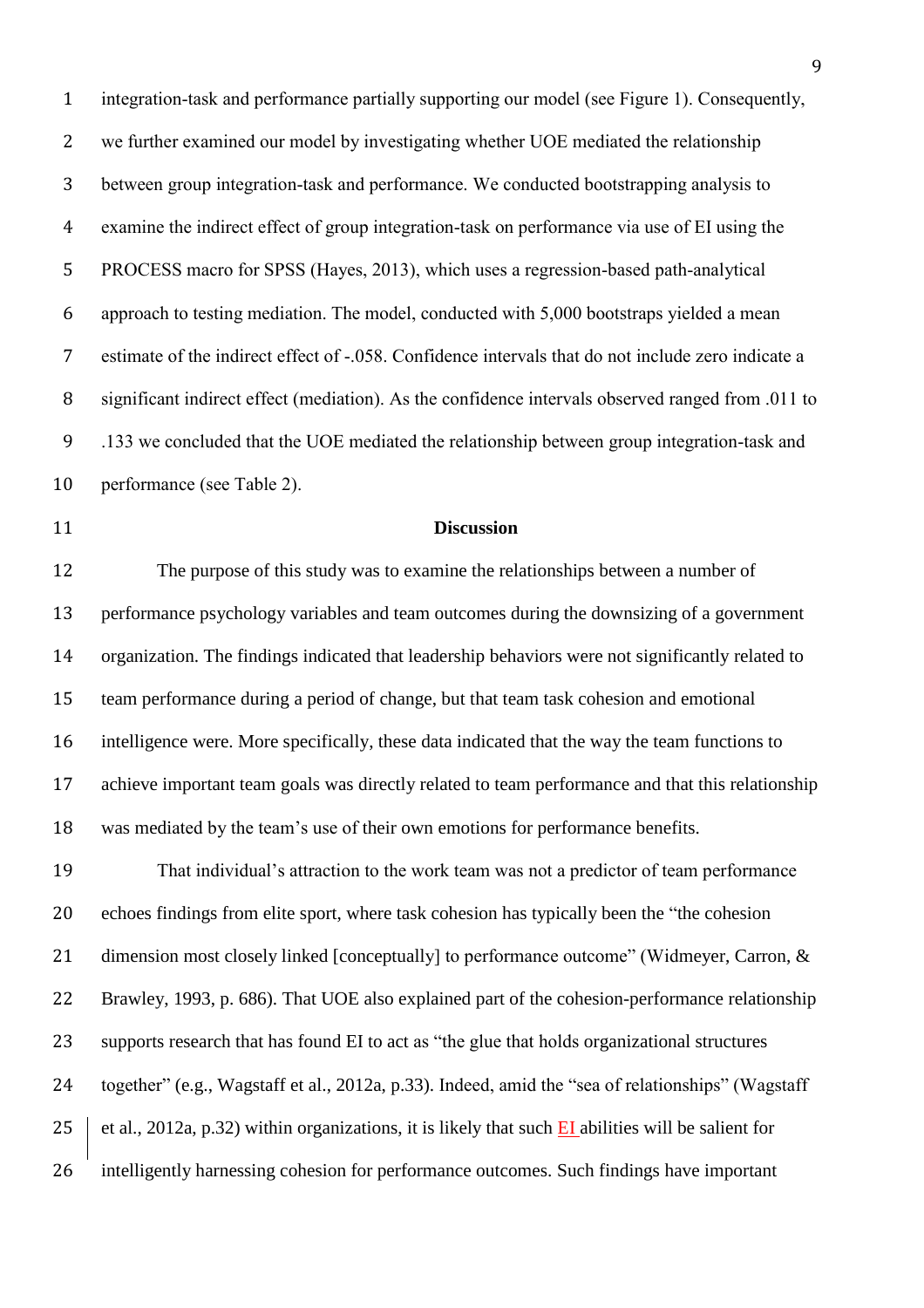integration-task and performance partially supporting our model (see Figure 1). Consequently, we further examined our model by investigating whether UOE mediated the relationship between group integration-task and performance. We conducted bootstrapping analysis to examine the indirect effect of group integration-task on performance via use of EI using the PROCESS macro for SPSS (Hayes, 2013), which uses a regression-based path-analytical approach to testing mediation. The model, conducted with 5,000 bootstraps yielded a mean estimate of the indirect effect of -.058. Confidence intervals that do not include zero indicate a significant indirect effect (mediation). As the confidence intervals observed ranged from .011 to .133 we concluded that the UOE mediated the relationship between group integration-task and performance (see Table 2).

### **Discussion**

 The purpose of this study was to examine the relationships between a number of performance psychology variables and team outcomes during the downsizing of a government organization. The findings indicated that leadership behaviors were not significantly related to team performance during a period of change, but that team task cohesion and emotional intelligence were. More specifically, these data indicated that the way the team functions to achieve important team goals was directly related to team performance and that this relationship was mediated by the team's use of their own emotions for performance benefits.

 That individual's attraction to the work team was not a predictor of team performance echoes findings from elite sport, where task cohesion has typically been the "the cohesion 21 dimension most closely linked [conceptually] to performance outcome" (Widmeyer, Carron, & Brawley, 1993, p. 686). That UOE also explained part of the cohesion-performance relationship supports research that has found EI to act as "the glue that holds organizational structures together" (e.g., Wagstaff et al., 2012a, p.33). Indeed, amid the "sea of relationships" (Wagstaff 25 et al., 2012a, p.32) within organizations, it is likely that such  $E$ I abilities will be salient for intelligently harnessing cohesion for performance outcomes. Such findings have important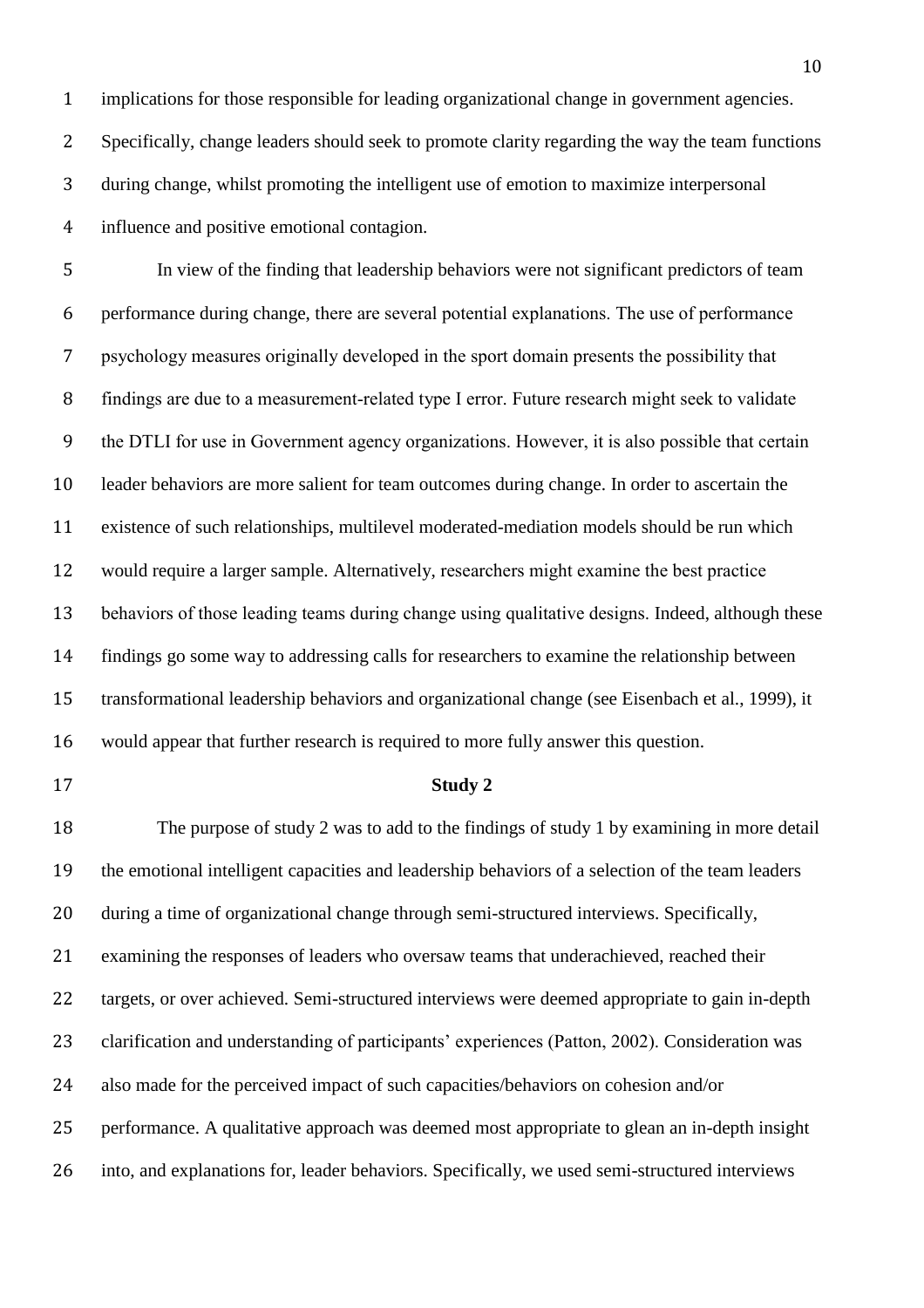implications for those responsible for leading organizational change in government agencies. Specifically, change leaders should seek to promote clarity regarding the way the team functions during change, whilst promoting the intelligent use of emotion to maximize interpersonal influence and positive emotional contagion.

 In view of the finding that leadership behaviors were not significant predictors of team performance during change, there are several potential explanations. The use of performance psychology measures originally developed in the sport domain presents the possibility that findings are due to a measurement-related type I error. Future research might seek to validate the DTLI for use in Government agency organizations. However, it is also possible that certain leader behaviors are more salient for team outcomes during change. In order to ascertain the existence of such relationships, multilevel moderated-mediation models should be run which would require a larger sample. Alternatively, researchers might examine the best practice behaviors of those leading teams during change using qualitative designs. Indeed, although these findings go some way to addressing calls for researchers to examine the relationship between transformational leadership behaviors and organizational change (see Eisenbach et al., 1999), it would appear that further research is required to more fully answer this question.

#### **Study 2**

 The purpose of study 2 was to add to the findings of study 1 by examining in more detail the emotional intelligent capacities and leadership behaviors of a selection of the team leaders during a time of organizational change through semi-structured interviews. Specifically, examining the responses of leaders who oversaw teams that underachieved, reached their targets, or over achieved. Semi-structured interviews were deemed appropriate to gain in-depth clarification and understanding of participants' experiences (Patton, 2002). Consideration was also made for the perceived impact of such capacities/behaviors on cohesion and/or performance. A qualitative approach was deemed most appropriate to glean an in-depth insight into, and explanations for, leader behaviors. Specifically, we used semi-structured interviews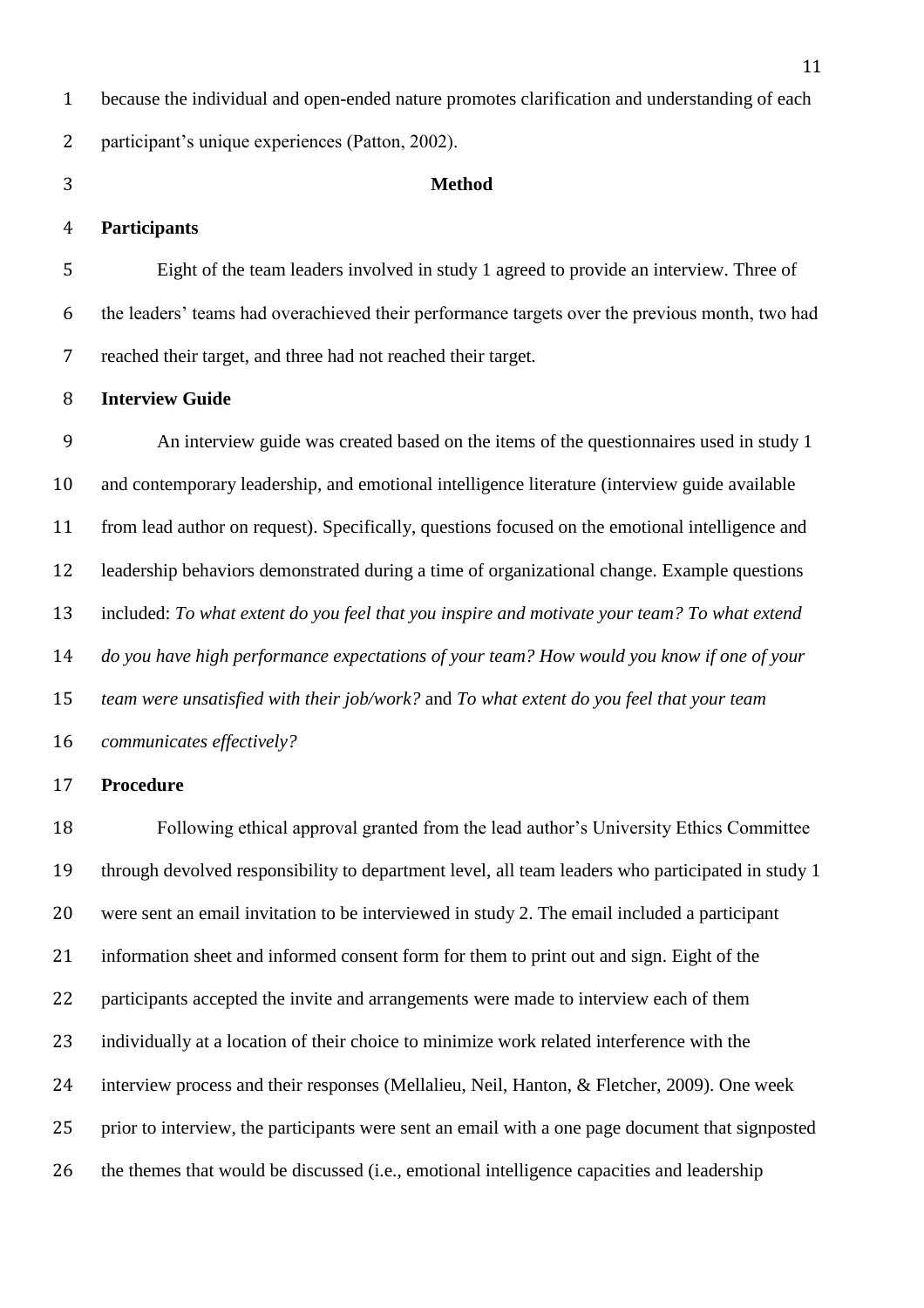because the individual and open-ended nature promotes clarification and understanding of each

participant's unique experiences (Patton, 2002).

#### **Method**

#### **Participants**

 Eight of the team leaders involved in study 1 agreed to provide an interview. Three of the leaders' teams had overachieved their performance targets over the previous month, two had reached their target, and three had not reached their target.

#### **Interview Guide**

 An interview guide was created based on the items of the questionnaires used in study 1 and contemporary leadership, and emotional intelligence literature (interview guide available from lead author on request). Specifically, questions focused on the emotional intelligence and leadership behaviors demonstrated during a time of organizational change. Example questions included: *To what extent do you feel that you inspire and motivate your team? To what extend do you have high performance expectations of your team? How would you know if one of your team were unsatisfied with their job/work?* and *To what extent do you feel that your team communicates effectively?*

#### **Procedure**

 Following ethical approval granted from the lead author's University Ethics Committee through devolved responsibility to department level, all team leaders who participated in study 1 were sent an email invitation to be interviewed in study 2. The email included a participant information sheet and informed consent form for them to print out and sign. Eight of the 22 participants accepted the invite and arrangements were made to interview each of them individually at a location of their choice to minimize work related interference with the interview process and their responses (Mellalieu, Neil, Hanton, & Fletcher, 2009). One week prior to interview, the participants were sent an email with a one page document that signposted the themes that would be discussed (i.e., emotional intelligence capacities and leadership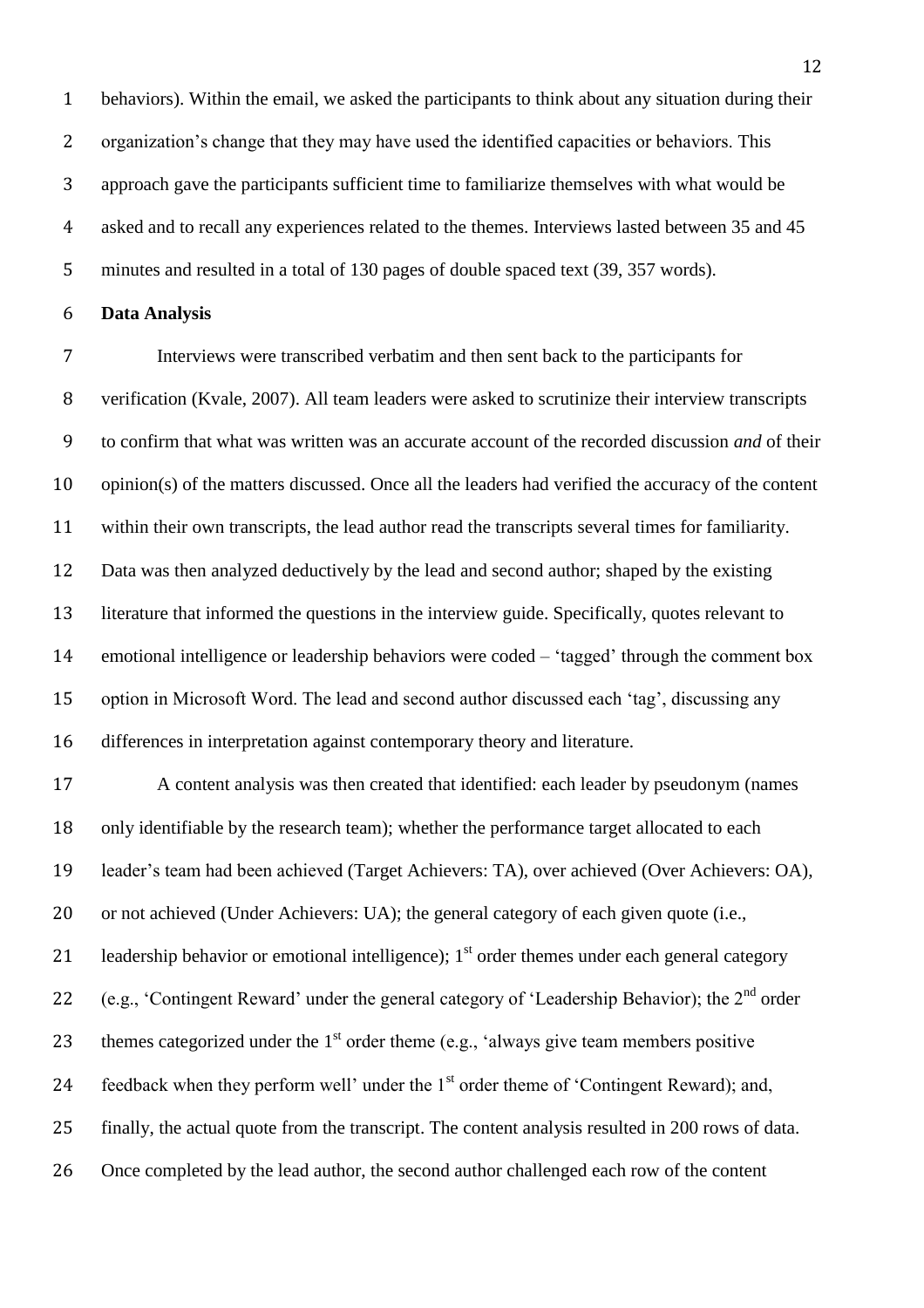behaviors). Within the email, we asked the participants to think about any situation during their organization's change that they may have used the identified capacities or behaviors. This approach gave the participants sufficient time to familiarize themselves with what would be asked and to recall any experiences related to the themes. Interviews lasted between 35 and 45 minutes and resulted in a total of 130 pages of double spaced text (39, 357 words).

#### **Data Analysis**

 Interviews were transcribed verbatim and then sent back to the participants for verification (Kvale, 2007). All team leaders were asked to scrutinize their interview transcripts to confirm that what was written was an accurate account of the recorded discussion *and* of their opinion(s) of the matters discussed. Once all the leaders had verified the accuracy of the content within their own transcripts, the lead author read the transcripts several times for familiarity. Data was then analyzed deductively by the lead and second author; shaped by the existing literature that informed the questions in the interview guide. Specifically, quotes relevant to emotional intelligence or leadership behaviors were coded – 'tagged' through the comment box option in Microsoft Word. The lead and second author discussed each 'tag', discussing any differences in interpretation against contemporary theory and literature. A content analysis was then created that identified: each leader by pseudonym (names

 only identifiable by the research team); whether the performance target allocated to each leader's team had been achieved (Target Achievers: TA), over achieved (Over Achievers: OA), or not achieved (Under Achievers: UA); the general category of each given quote (i.e., 21 leadership behavior or emotional intelligence);  $1<sup>st</sup>$  order themes under each general category 22 (e.g., 'Contingent Reward' under the general category of 'Leadership Behavior); the  $2<sup>nd</sup>$  order 23 themes categorized under the  $1<sup>st</sup>$  order theme (e.g., 'always give team members positive 24 feedback when they perform well' under the  $1<sup>st</sup>$  order theme of 'Contingent Reward); and, finally, the actual quote from the transcript. The content analysis resulted in 200 rows of data. 26 Once completed by the lead author, the second author challenged each row of the content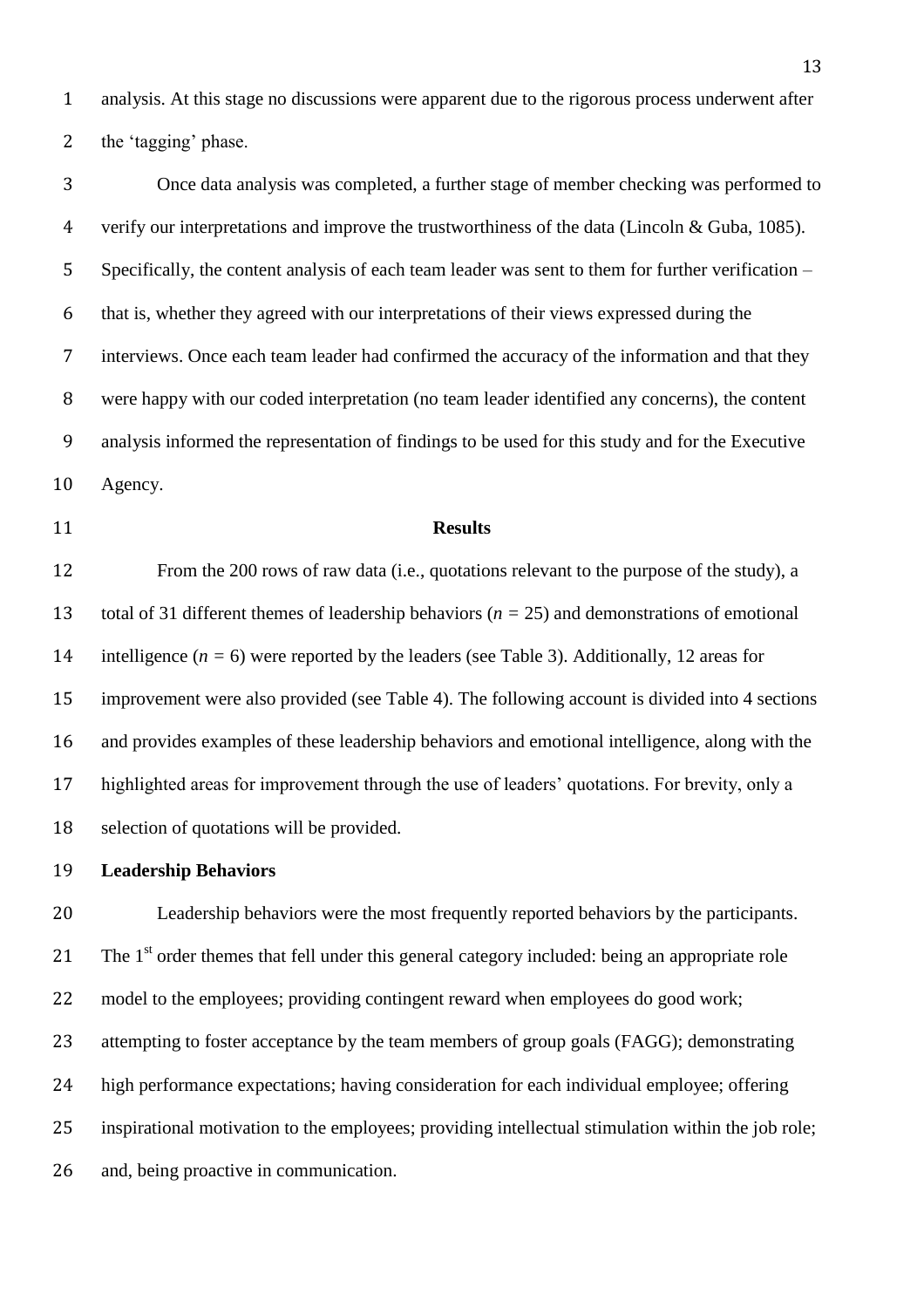analysis. At this stage no discussions were apparent due to the rigorous process underwent after the 'tagging' phase.

 Once data analysis was completed, a further stage of member checking was performed to verify our interpretations and improve the trustworthiness of the data (Lincoln & Guba, 1085). Specifically, the content analysis of each team leader was sent to them for further verification – that is, whether they agreed with our interpretations of their views expressed during the interviews. Once each team leader had confirmed the accuracy of the information and that they were happy with our coded interpretation (no team leader identified any concerns), the content analysis informed the representation of findings to be used for this study and for the Executive Agency.

#### **Results**

 From the 200 rows of raw data (i.e., quotations relevant to the purpose of the study), a total of 31 different themes of leadership behaviors (*n =* 25) and demonstrations of emotional intelligence (*n =* 6) were reported by the leaders (see Table 3). Additionally, 12 areas for improvement were also provided (see Table 4). The following account is divided into 4 sections and provides examples of these leadership behaviors and emotional intelligence, along with the highlighted areas for improvement through the use of leaders' quotations. For brevity, only a selection of quotations will be provided.

**Leadership Behaviors**

 Leadership behaviors were the most frequently reported behaviors by the participants. 21 The  $1<sup>st</sup>$  order themes that fell under this general category included: being an appropriate role model to the employees; providing contingent reward when employees do good work; 23 attempting to foster acceptance by the team members of group goals (FAGG); demonstrating high performance expectations; having consideration for each individual employee; offering inspirational motivation to the employees; providing intellectual stimulation within the job role; and, being proactive in communication.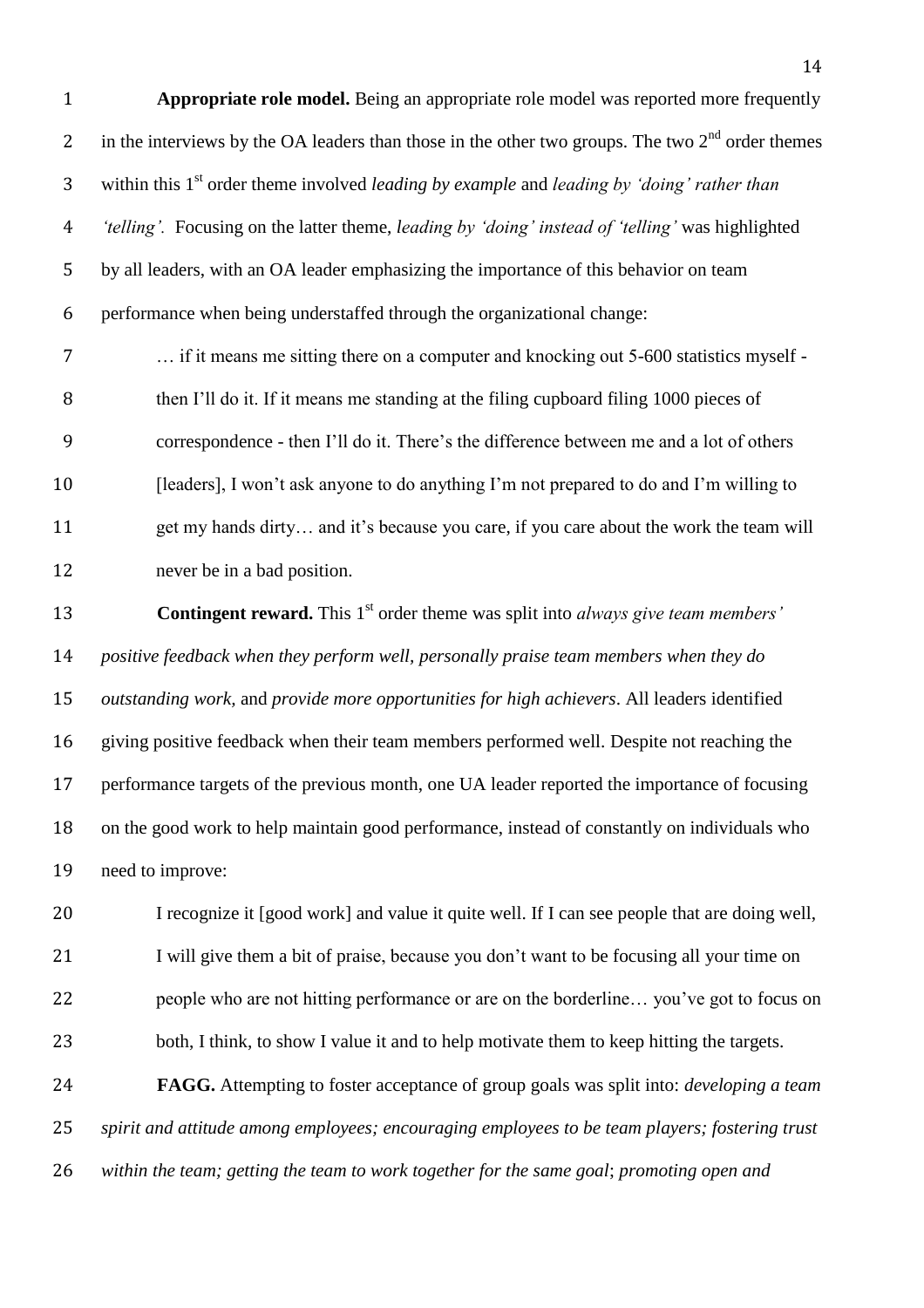**Appropriate role model.** Being an appropriate role model was reported more frequently 2 in the interviews by the OA leaders than those in the other two groups. The two  $2<sup>nd</sup>$  order themes 3 within this 1<sup>st</sup> order theme involved *leading by example* and *leading by 'doing' rather than 'telling'.* Focusing on the latter theme, *leading by 'doing' instead of 'telling'* was highlighted by all leaders, with an OA leader emphasizing the importance of this behavior on team performance when being understaffed through the organizational change: … if it means me sitting there on a computer and knocking out 5-600 statistics myself - 8 then I'll do it. If it means me standing at the filing cupboard filing 1000 pieces of

 correspondence - then I'll do it. There's the difference between me and a lot of others 10 [leaders], I won't ask anyone to do anything I'm not prepared to do and I'm willing to get my hands dirty… and it's because you care, if you care about the work the team will never be in a bad position.

**Contingent reward.** This 1<sup>st</sup> order theme was split into *always give team members' positive feedback when they perform well, personally praise team members when they do outstanding work,* and *provide more opportunities for high achievers*. All leaders identified giving positive feedback when their team members performed well. Despite not reaching the performance targets of the previous month, one UA leader reported the importance of focusing on the good work to help maintain good performance, instead of constantly on individuals who need to improve:

 I recognize it [good work] and value it quite well. If I can see people that are doing well, I will give them a bit of praise, because you don't want to be focusing all your time on people who are not hitting performance or are on the borderline… you've got to focus on 23 both, I think, to show I value it and to help motivate them to keep hitting the targets.

 **FAGG.** Attempting to foster acceptance of group goals was split into: *developing a team spirit and attitude among employees; encouraging employees to be team players; fostering trust within the team; getting the team to work together for the same goal*; *promoting open and*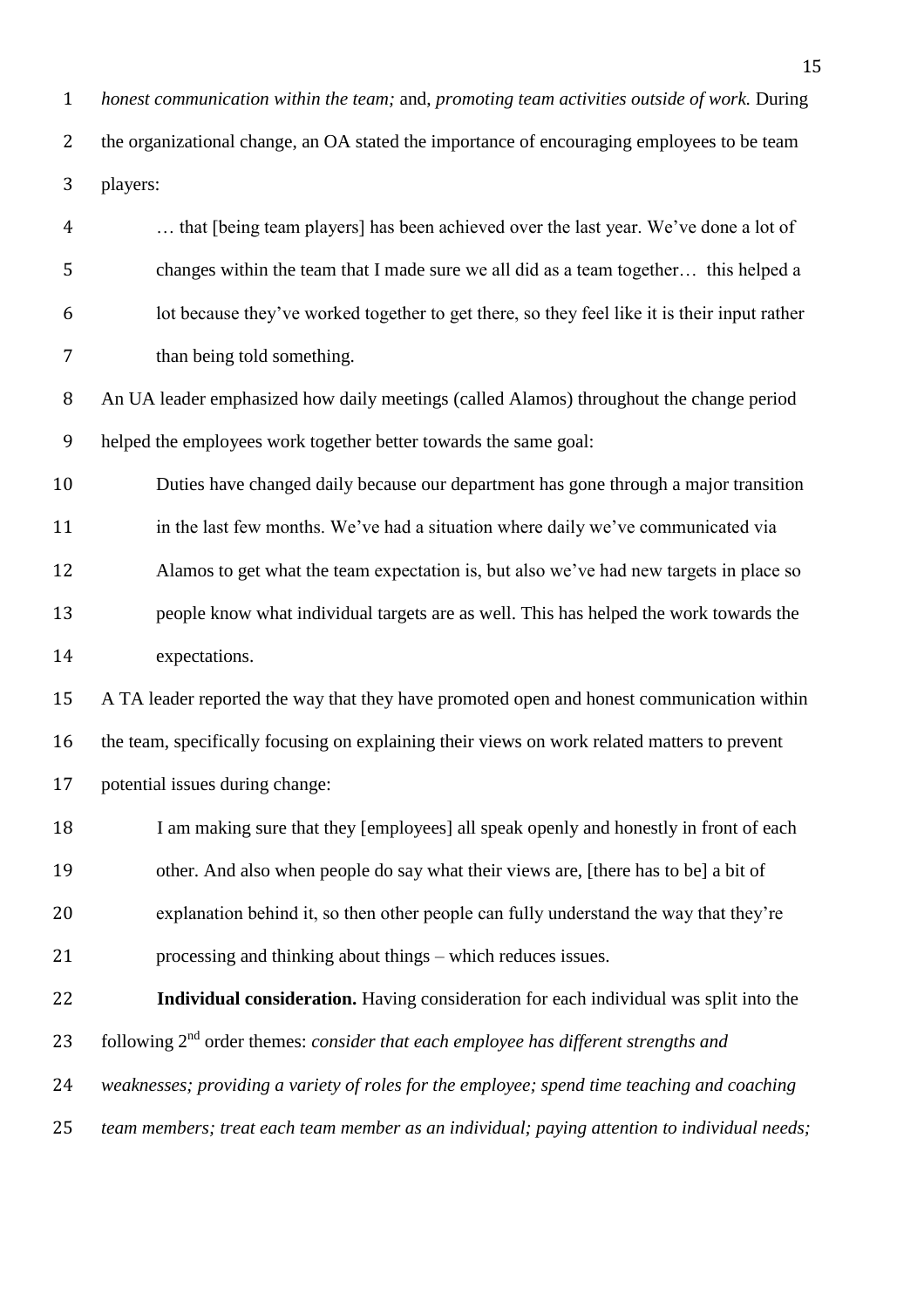*honest communication within the team;* and, *promoting team activities outside of work.* During the organizational change, an OA stated the importance of encouraging employees to be team players:

 … that [being team players] has been achieved over the last year. We've done a lot of changes within the team that I made sure we all did as a team together… this helped a lot because they've worked together to get there, so they feel like it is their input rather than being told something.

 An UA leader emphasized how daily meetings (called Alamos) throughout the change period helped the employees work together better towards the same goal:

Duties have changed daily because our department has gone through a major transition

in the last few months. We've had a situation where daily we've communicated via

 Alamos to get what the team expectation is, but also we've had new targets in place so people know what individual targets are as well. This has helped the work towards the expectations.

 A TA leader reported the way that they have promoted open and honest communication within the team, specifically focusing on explaining their views on work related matters to prevent potential issues during change:

 I am making sure that they [employees] all speak openly and honestly in front of each other. And also when people do say what their views are, [there has to be] a bit of explanation behind it, so then other people can fully understand the way that they're processing and thinking about things – which reduces issues.

**Individual consideration.** Having consideration for each individual was split into the

following 2nd order themes: *consider that each employee has different strengths and* 

*weaknesses; providing a variety of roles for the employee; spend time teaching and coaching* 

*team members; treat each team member as an individual; paying attention to individual needs;*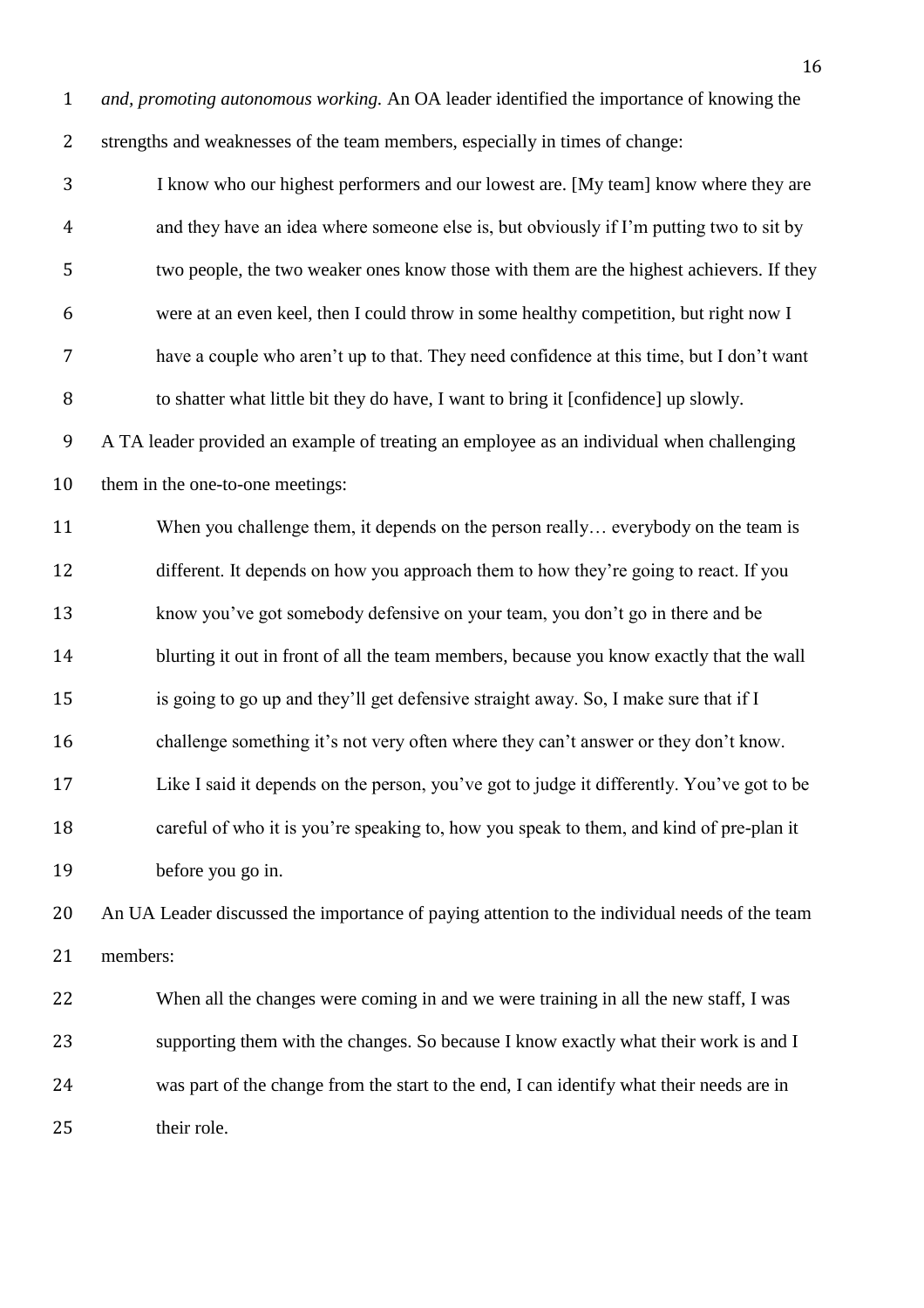*and, promoting autonomous working.* An OA leader identified the importance of knowing the strengths and weaknesses of the team members, especially in times of change:

 I know who our highest performers and our lowest are. [My team] know where they are and they have an idea where someone else is, but obviously if I'm putting two to sit by two people, the two weaker ones know those with them are the highest achievers. If they were at an even keel, then I could throw in some healthy competition, but right now I have a couple who aren't up to that. They need confidence at this time, but I don't want to shatter what little bit they do have, I want to bring it [confidence] up slowly. A TA leader provided an example of treating an employee as an individual when challenging

them in the one-to-one meetings:

11 When you challenge them, it depends on the person really... everybody on the team is different. It depends on how you approach them to how they're going to react. If you know you've got somebody defensive on your team, you don't go in there and be 14 blurting it out in front of all the team members, because you know exactly that the wall is going to go up and they'll get defensive straight away. So, I make sure that if I challenge something it's not very often where they can't answer or they don't know. Like I said it depends on the person, you've got to judge it differently. You've got to be careful of who it is you're speaking to, how you speak to them, and kind of pre-plan it before you go in.

 An UA Leader discussed the importance of paying attention to the individual needs of the team members:

22 When all the changes were coming in and we were training in all the new staff, I was supporting them with the changes. So because I know exactly what their work is and I was part of the change from the start to the end, I can identify what their needs are in their role.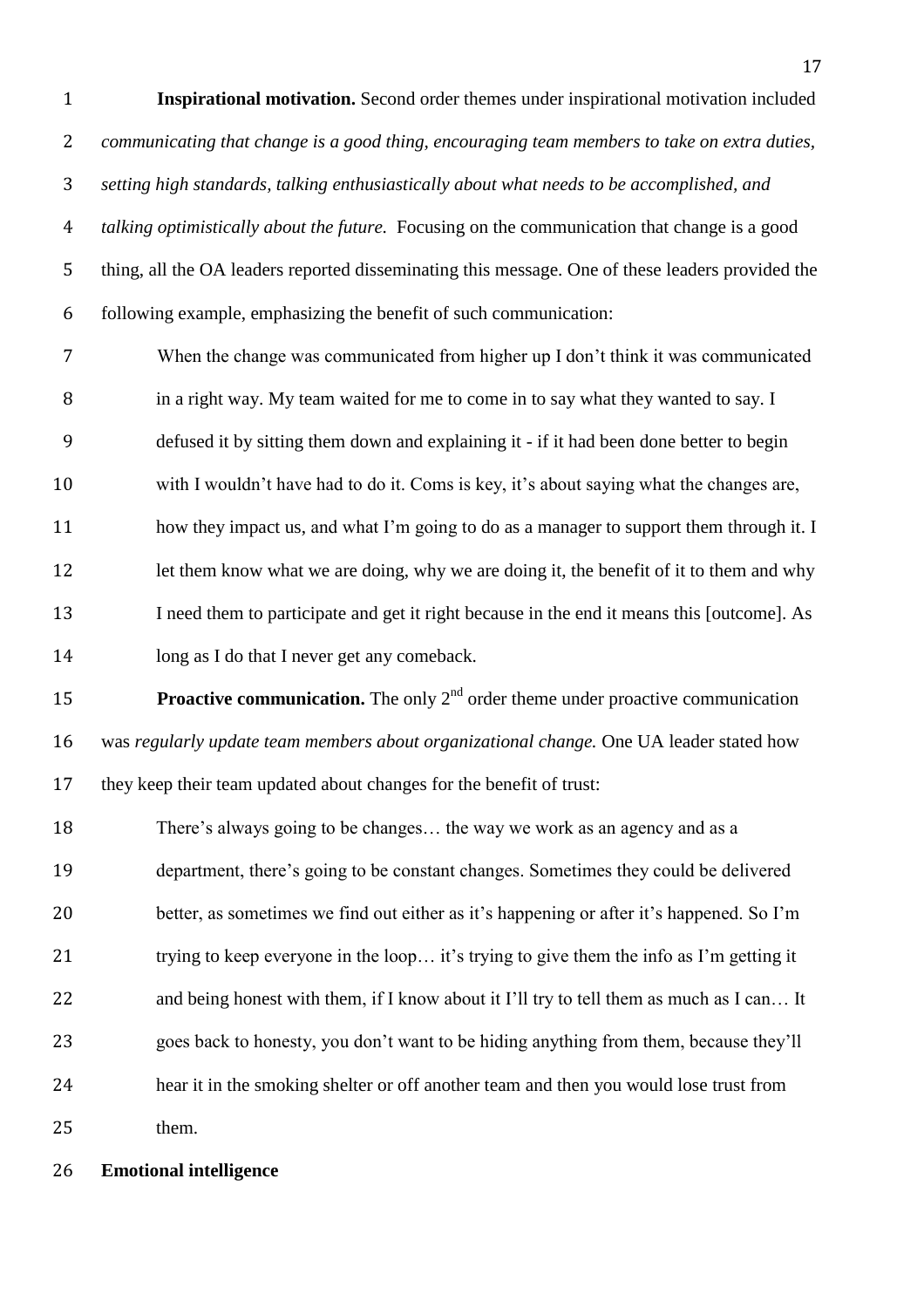**Inspirational motivation.** Second order themes under inspirational motivation included *communicating that change is a good thing, encouraging team members to take on extra duties, setting high standards, talking enthusiastically about what needs to be accomplished, and talking optimistically about the future.* Focusing on the communication that change is a good thing, all the OA leaders reported disseminating this message. One of these leaders provided the following example, emphasizing the benefit of such communication: When the change was communicated from higher up I don't think it was communicated

8 in a right way. My team waited for me to come in to say what they wanted to say. I defused it by sitting them down and explaining it - if it had been done better to begin with I wouldn't have had to do it. Coms is key, it's about saying what the changes are, how they impact us, and what I'm going to do as a manager to support them through it. I let them know what we are doing, why we are doing it, the benefit of it to them and why I need them to participate and get it right because in the end it means this [outcome]. As 14 long as I do that I never get any comeback.

**Proactive communication.** The only 2<sup>nd</sup> order theme under proactive communication was *regularly update team members about organizational change.* One UA leader stated how

they keep their team updated about changes for the benefit of trust:

 There's always going to be changes… the way we work as an agency and as a department, there's going to be constant changes. Sometimes they could be delivered better, as sometimes we find out either as it's happening or after it's happened. So I'm 21 trying to keep everyone in the loop... it's trying to give them the info as I'm getting it 22 and being honest with them, if I know about it I'll try to tell them as much as I can... It goes back to honesty, you don't want to be hiding anything from them, because they'll hear it in the smoking shelter or off another team and then you would lose trust from them.

**Emotional intelligence**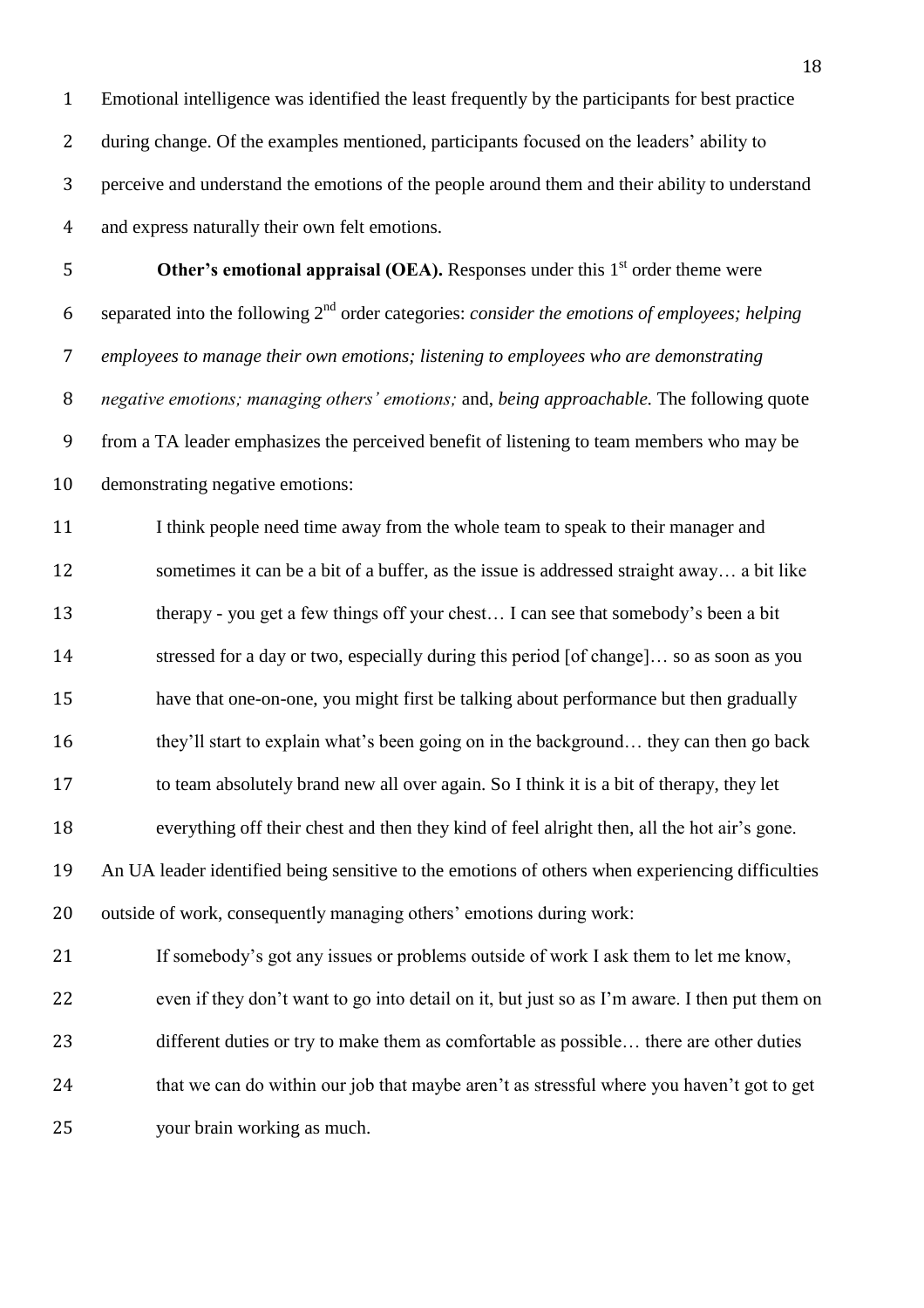Emotional intelligence was identified the least frequently by the participants for best practice during change. Of the examples mentioned, participants focused on the leaders' ability to perceive and understand the emotions of the people around them and their ability to understand and express naturally their own felt emotions.

**Other's emotional appraisal (OEA).** Responses under this 1<sup>st</sup> order theme were separated into the following 2nd order categories: *consider the emotions of employees; helping employees to manage their own emotions; listening to employees who are demonstrating negative emotions; managing others' emotions;* and, *being approachable.* The following quote from a TA leader emphasizes the perceived benefit of listening to team members who may be demonstrating negative emotions:

11 I think people need time away from the whole team to speak to their manager and sometimes it can be a bit of a buffer, as the issue is addressed straight away… a bit like therapy - you get a few things off your chest… I can see that somebody's been a bit stressed for a day or two, especially during this period [of change]… so as soon as you have that one-on-one, you might first be talking about performance but then gradually 16 they'll start to explain what's been going on in the background... they can then go back to team absolutely brand new all over again. So I think it is a bit of therapy, they let everything off their chest and then they kind of feel alright then, all the hot air's gone. An UA leader identified being sensitive to the emotions of others when experiencing difficulties outside of work, consequently managing others' emotions during work:

 If somebody's got any issues or problems outside of work I ask them to let me know, even if they don't want to go into detail on it, but just so as I'm aware. I then put them on different duties or try to make them as comfortable as possible… there are other duties 24 that we can do within our job that maybe aren't as stressful where you haven't got to get your brain working as much.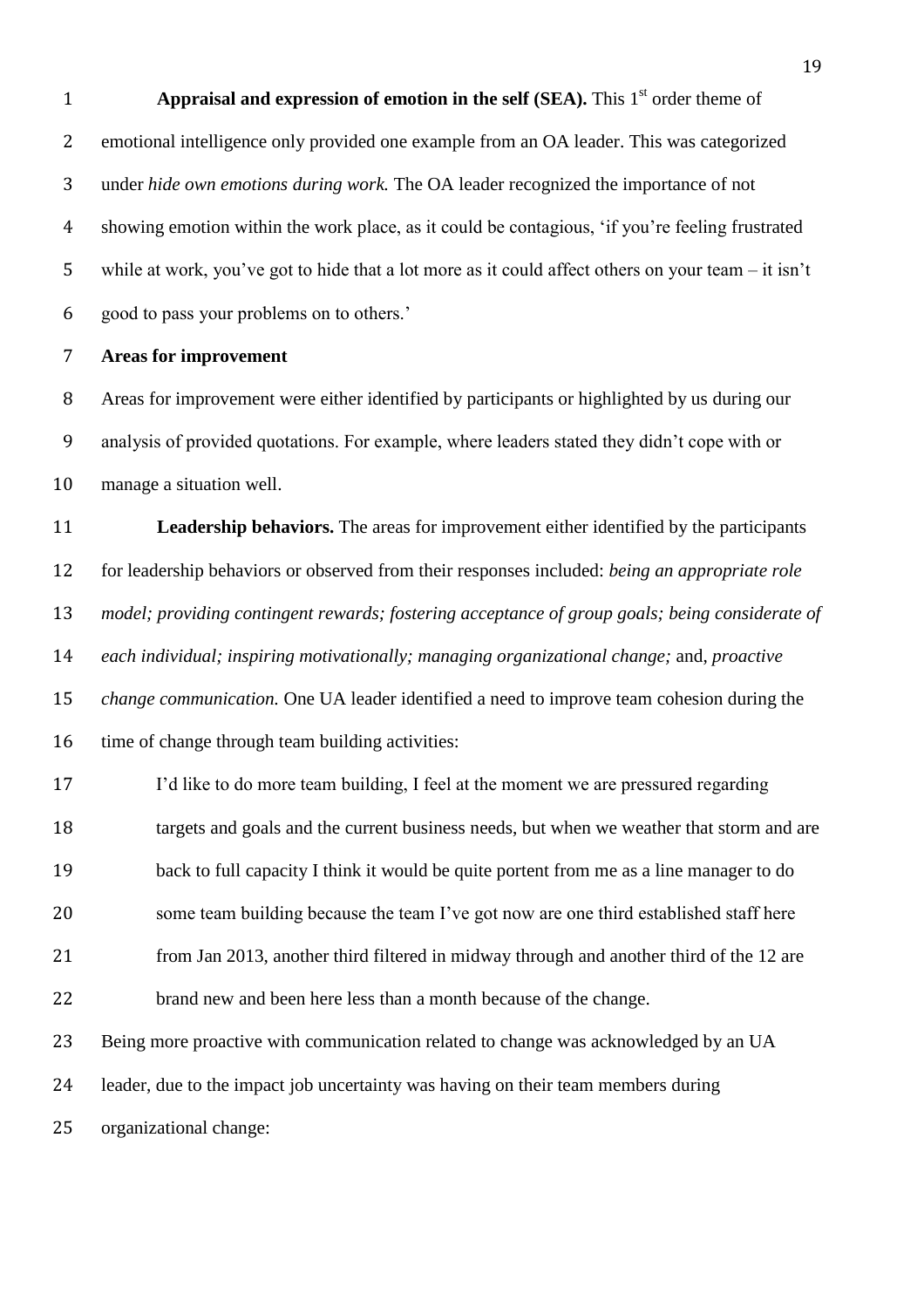**Appraisal and expression of emotion in the self (SEA).** This 1<sup>st</sup> order theme of emotional intelligence only provided one example from an OA leader. This was categorized under *hide own emotions during work.* The OA leader recognized the importance of not showing emotion within the work place, as it could be contagious, 'if you're feeling frustrated while at work, you've got to hide that a lot more as it could affect others on your team – it isn't good to pass your problems on to others.' **Areas for improvement** Areas for improvement were either identified by participants or highlighted by us during our analysis of provided quotations. For example, where leaders stated they didn't cope with or manage a situation well. **Leadership behaviors.** The areas for improvement either identified by the participants for leadership behaviors or observed from their responses included: *being an appropriate role model; providing contingent rewards; fostering acceptance of group goals; being considerate of each individual; inspiring motivationally; managing organizational change;* and, *proactive change communication.* One UA leader identified a need to improve team cohesion during the 16 time of change through team building activities: I'd like to do more team building, I feel at the moment we are pressured regarding targets and goals and the current business needs, but when we weather that storm and are back to full capacity I think it would be quite portent from me as a line manager to do some team building because the team I've got now are one third established staff here from Jan 2013, another third filtered in midway through and another third of the 12 are brand new and been here less than a month because of the change. Being more proactive with communication related to change was acknowledged by an UA leader, due to the impact job uncertainty was having on their team members during organizational change: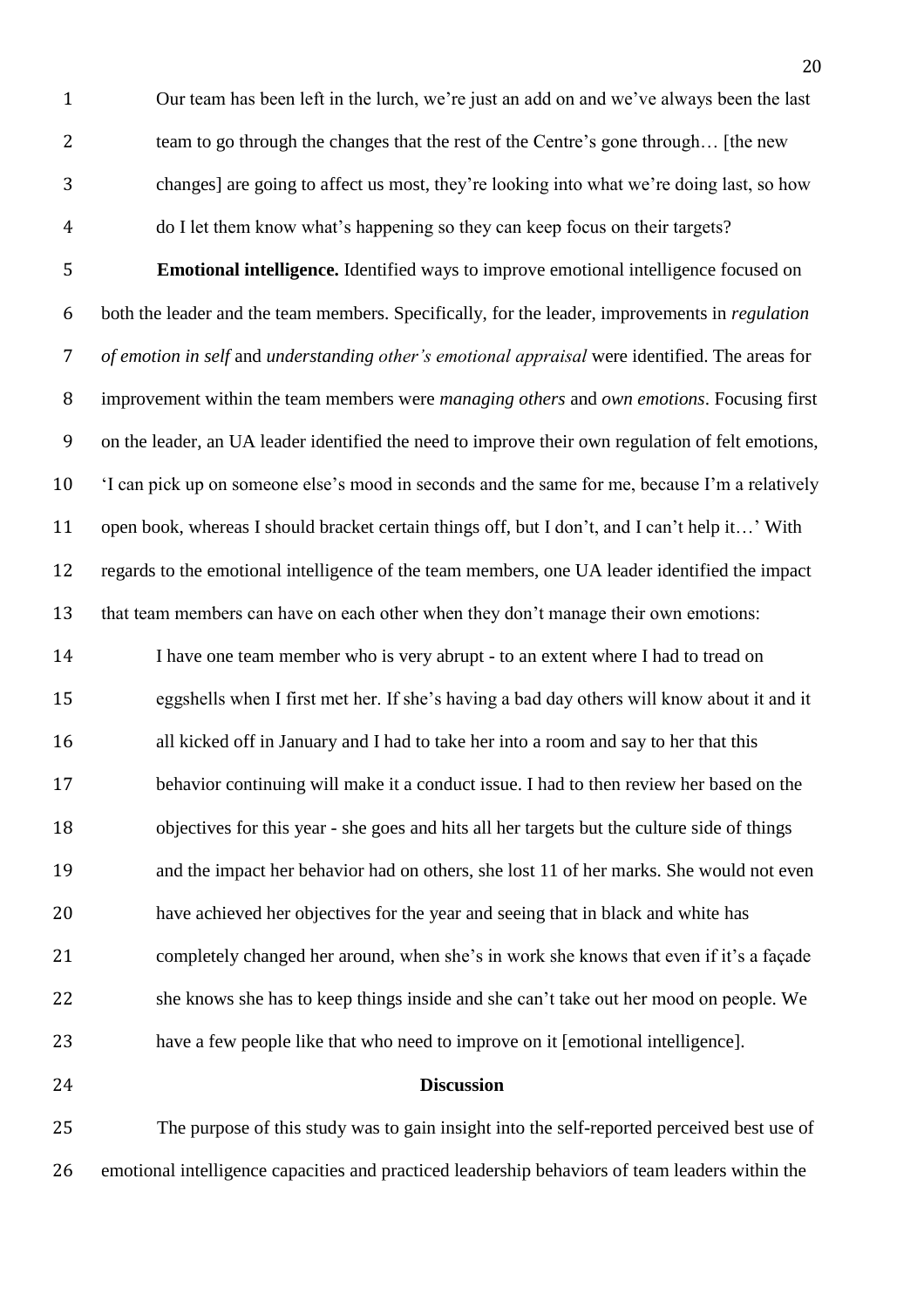Our team has been left in the lurch, we're just an add on and we've always been the last team to go through the changes that the rest of the Centre's gone through… [the new changes] are going to affect us most, they're looking into what we're doing last, so how do I let them know what's happening so they can keep focus on their targets?

 **Emotional intelligence.** Identified ways to improve emotional intelligence focused on both the leader and the team members. Specifically, for the leader, improvements in *regulation of emotion in self* and *understanding other's emotional appraisal* were identified. The areas for improvement within the team members were *managing others* and *own emotions*. Focusing first on the leader, an UA leader identified the need to improve their own regulation of felt emotions, 'I can pick up on someone else's mood in seconds and the same for me, because I'm a relatively open book, whereas I should bracket certain things off, but I don't, and I can't help it…' With regards to the emotional intelligence of the team members, one UA leader identified the impact that team members can have on each other when they don't manage their own emotions: I have one team member who is very abrupt - to an extent where I had to tread on eggshells when I first met her. If she's having a bad day others will know about it and it 16 all kicked off in January and I had to take her into a room and say to her that this behavior continuing will make it a conduct issue. I had to then review her based on the objectives for this year - she goes and hits all her targets but the culture side of things and the impact her behavior had on others, she lost 11 of her marks. She would not even have achieved her objectives for the year and seeing that in black and white has completely changed her around, when she's in work she knows that even if it's a façade she knows she has to keep things inside and she can't take out her mood on people. We have a few people like that who need to improve on it [emotional intelligence].

#### **Discussion**

 The purpose of this study was to gain insight into the self-reported perceived best use of emotional intelligence capacities and practiced leadership behaviors of team leaders within the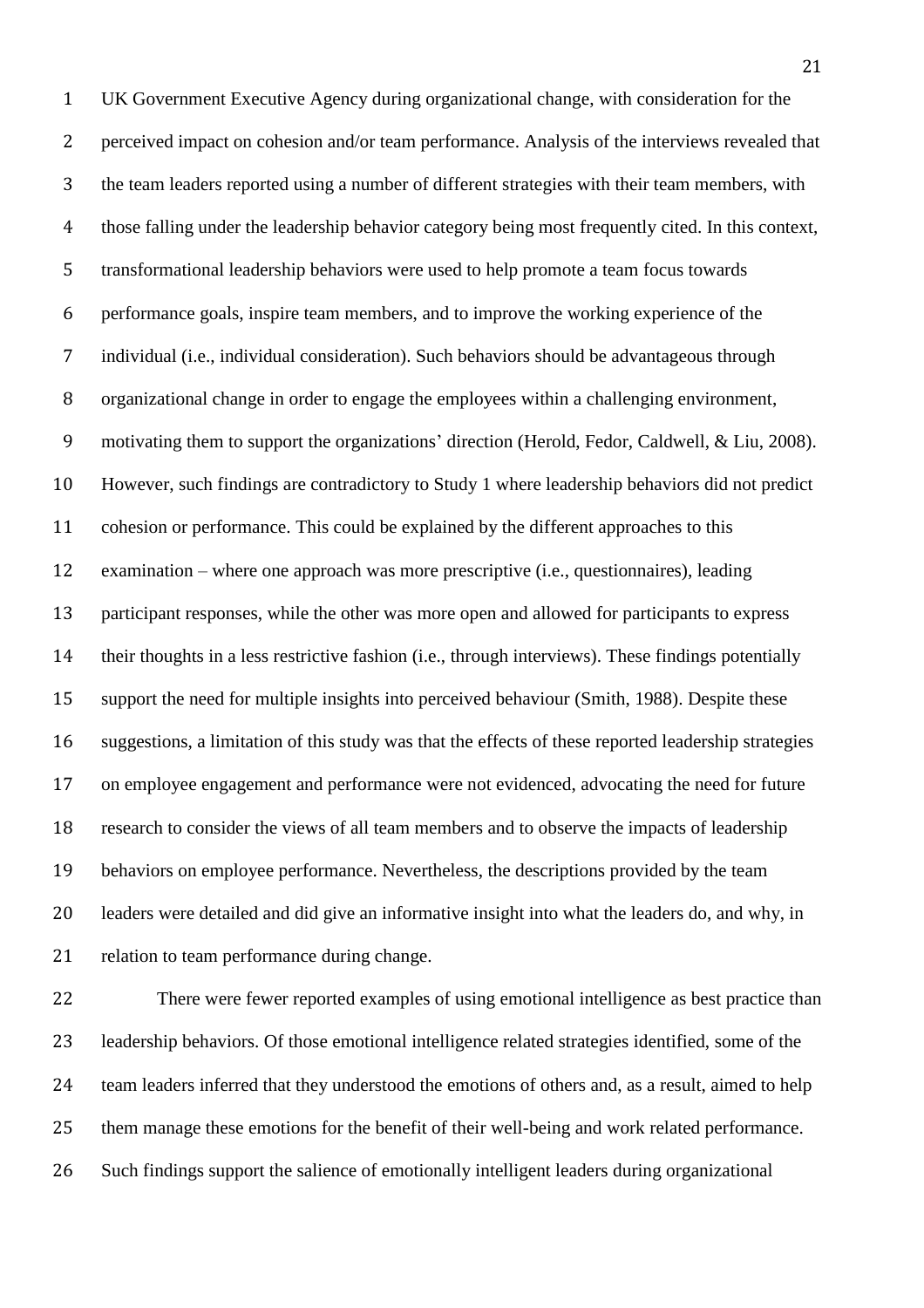UK Government Executive Agency during organizational change, with consideration for the perceived impact on cohesion and/or team performance. Analysis of the interviews revealed that the team leaders reported using a number of different strategies with their team members, with those falling under the leadership behavior category being most frequently cited. In this context, transformational leadership behaviors were used to help promote a team focus towards performance goals, inspire team members, and to improve the working experience of the individual (i.e., individual consideration). Such behaviors should be advantageous through organizational change in order to engage the employees within a challenging environment, motivating them to support the organizations' direction (Herold, Fedor, Caldwell, & Liu, 2008). However, such findings are contradictory to Study 1 where leadership behaviors did not predict cohesion or performance. This could be explained by the different approaches to this examination – where one approach was more prescriptive (i.e., questionnaires), leading participant responses, while the other was more open and allowed for participants to express their thoughts in a less restrictive fashion (i.e., through interviews). These findings potentially support the need for multiple insights into perceived behaviour (Smith, 1988). Despite these suggestions, a limitation of this study was that the effects of these reported leadership strategies on employee engagement and performance were not evidenced, advocating the need for future research to consider the views of all team members and to observe the impacts of leadership behaviors on employee performance. Nevertheless, the descriptions provided by the team leaders were detailed and did give an informative insight into what the leaders do, and why, in relation to team performance during change. There were fewer reported examples of using emotional intelligence as best practice than

 leadership behaviors. Of those emotional intelligence related strategies identified, some of the team leaders inferred that they understood the emotions of others and, as a result, aimed to help them manage these emotions for the benefit of their well-being and work related performance. Such findings support the salience of emotionally intelligent leaders during organizational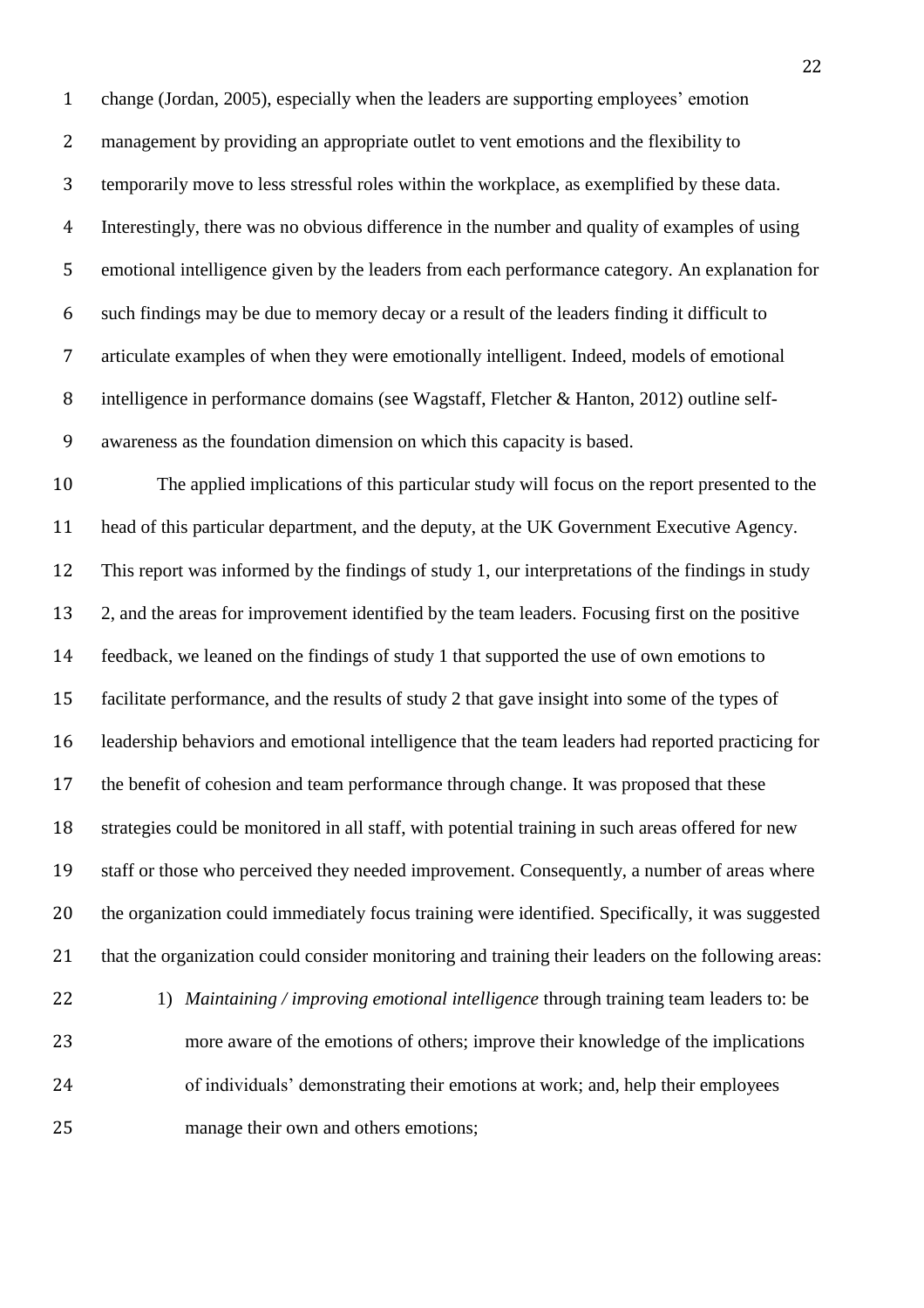change (Jordan, 2005), especially when the leaders are supporting employees' emotion management by providing an appropriate outlet to vent emotions and the flexibility to temporarily move to less stressful roles within the workplace, as exemplified by these data. Interestingly, there was no obvious difference in the number and quality of examples of using emotional intelligence given by the leaders from each performance category. An explanation for such findings may be due to memory decay or a result of the leaders finding it difficult to articulate examples of when they were emotionally intelligent. Indeed, models of emotional intelligence in performance domains (see Wagstaff, Fletcher & Hanton, 2012) outline self- awareness as the foundation dimension on which this capacity is based. The applied implications of this particular study will focus on the report presented to the head of this particular department, and the deputy, at the UK Government Executive Agency. This report was informed by the findings of study 1, our interpretations of the findings in study 2, and the areas for improvement identified by the team leaders. Focusing first on the positive feedback, we leaned on the findings of study 1 that supported the use of own emotions to facilitate performance, and the results of study 2 that gave insight into some of the types of leadership behaviors and emotional intelligence that the team leaders had reported practicing for the benefit of cohesion and team performance through change. It was proposed that these strategies could be monitored in all staff, with potential training in such areas offered for new staff or those who perceived they needed improvement. Consequently, a number of areas where the organization could immediately focus training were identified. Specifically, it was suggested that the organization could consider monitoring and training their leaders on the following areas: 1) *Maintaining / improving emotional intelligence* through training team leaders to: be more aware of the emotions of others; improve their knowledge of the implications of individuals' demonstrating their emotions at work; and, help their employees

manage their own and others emotions;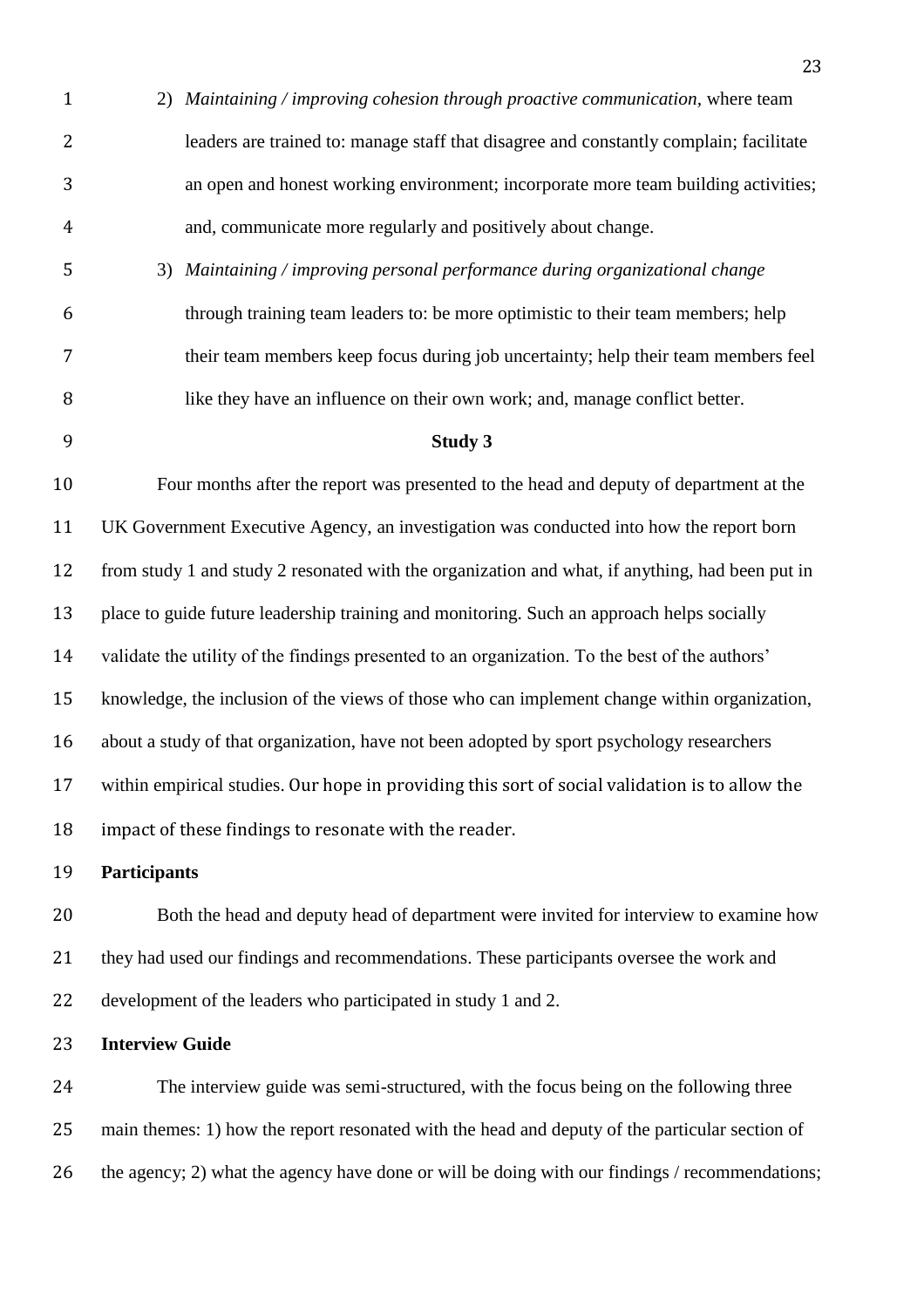| $\mathbf{1}$   | Maintaining / improving cohesion through proactive communication, where team<br>2)              |
|----------------|-------------------------------------------------------------------------------------------------|
| $\overline{2}$ | leaders are trained to: manage staff that disagree and constantly complain; facilitate          |
| 3              | an open and honest working environment; incorporate more team building activities;              |
| 4              | and, communicate more regularly and positively about change.                                    |
| 5              | Maintaining / improving personal performance during organizational change<br>3)                 |
| 6              | through training team leaders to: be more optimistic to their team members; help                |
| 7              | their team members keep focus during job uncertainty; help their team members feel              |
| 8              | like they have an influence on their own work; and, manage conflict better.                     |
| 9              | <b>Study 3</b>                                                                                  |
| 10             | Four months after the report was presented to the head and deputy of department at the          |
| 11             | UK Government Executive Agency, an investigation was conducted into how the report born         |
| 12             | from study 1 and study 2 resonated with the organization and what, if anything, had been put in |
| 13             | place to guide future leadership training and monitoring. Such an approach helps socially       |
| 14             | validate the utility of the findings presented to an organization. To the best of the authors'  |
| 15             | knowledge, the inclusion of the views of those who can implement change within organization,    |
| 16             | about a study of that organization, have not been adopted by sport psychology researchers       |
| 17             | within empirical studies. Our hope in providing this sort of social validation is to allow the  |
| 18             | impact of these findings to resonate with the reader.                                           |
| 19             | <b>Participants</b>                                                                             |
| 20             | Both the head and deputy head of department were invited for interview to examine how           |
| 21             | they had used our findings and recommendations. These participants oversee the work and         |
| 22             | development of the leaders who participated in study 1 and 2.                                   |
| 23             | <b>Interview Guide</b>                                                                          |
| 24             | The interview guide was semi-structured, with the focus being on the following three            |
| 25             | main themes: 1) how the report resonated with the head and deputy of the particular section of  |
| 26             | the agency; 2) what the agency have done or will be doing with our findings / recommendations;  |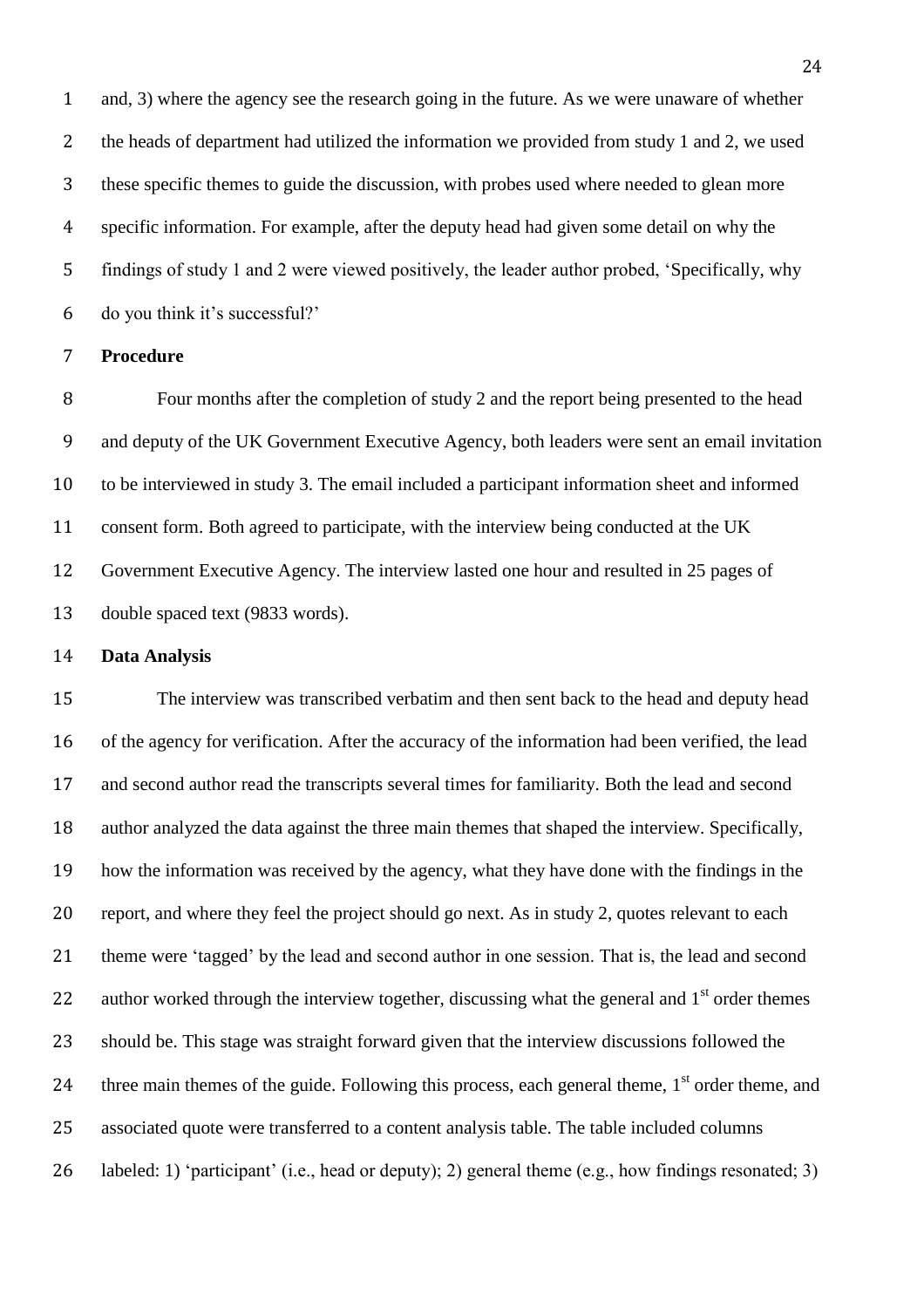and, 3) where the agency see the research going in the future. As we were unaware of whether the heads of department had utilized the information we provided from study 1 and 2, we used these specific themes to guide the discussion, with probes used where needed to glean more specific information. For example, after the deputy head had given some detail on why the findings of study 1 and 2 were viewed positively, the leader author probed, 'Specifically, why do you think it's successful?'

#### **Procedure**

 Four months after the completion of study 2 and the report being presented to the head and deputy of the UK Government Executive Agency, both leaders were sent an email invitation to be interviewed in study 3. The email included a participant information sheet and informed consent form. Both agreed to participate, with the interview being conducted at the UK Government Executive Agency. The interview lasted one hour and resulted in 25 pages of double spaced text (9833 words).

#### **Data Analysis**

 The interview was transcribed verbatim and then sent back to the head and deputy head of the agency for verification. After the accuracy of the information had been verified, the lead and second author read the transcripts several times for familiarity. Both the lead and second author analyzed the data against the three main themes that shaped the interview. Specifically, how the information was received by the agency, what they have done with the findings in the report, and where they feel the project should go next. As in study 2, quotes relevant to each theme were 'tagged' by the lead and second author in one session. That is, the lead and second 22 author worked through the interview together, discussing what the general and  $1<sup>st</sup>$  order themes should be. This stage was straight forward given that the interview discussions followed the 24 three main themes of the guide. Following this process, each general theme,  $1<sup>st</sup>$  order theme, and associated quote were transferred to a content analysis table. The table included columns labeled: 1) 'participant' (i.e., head or deputy); 2) general theme (e.g., how findings resonated; 3)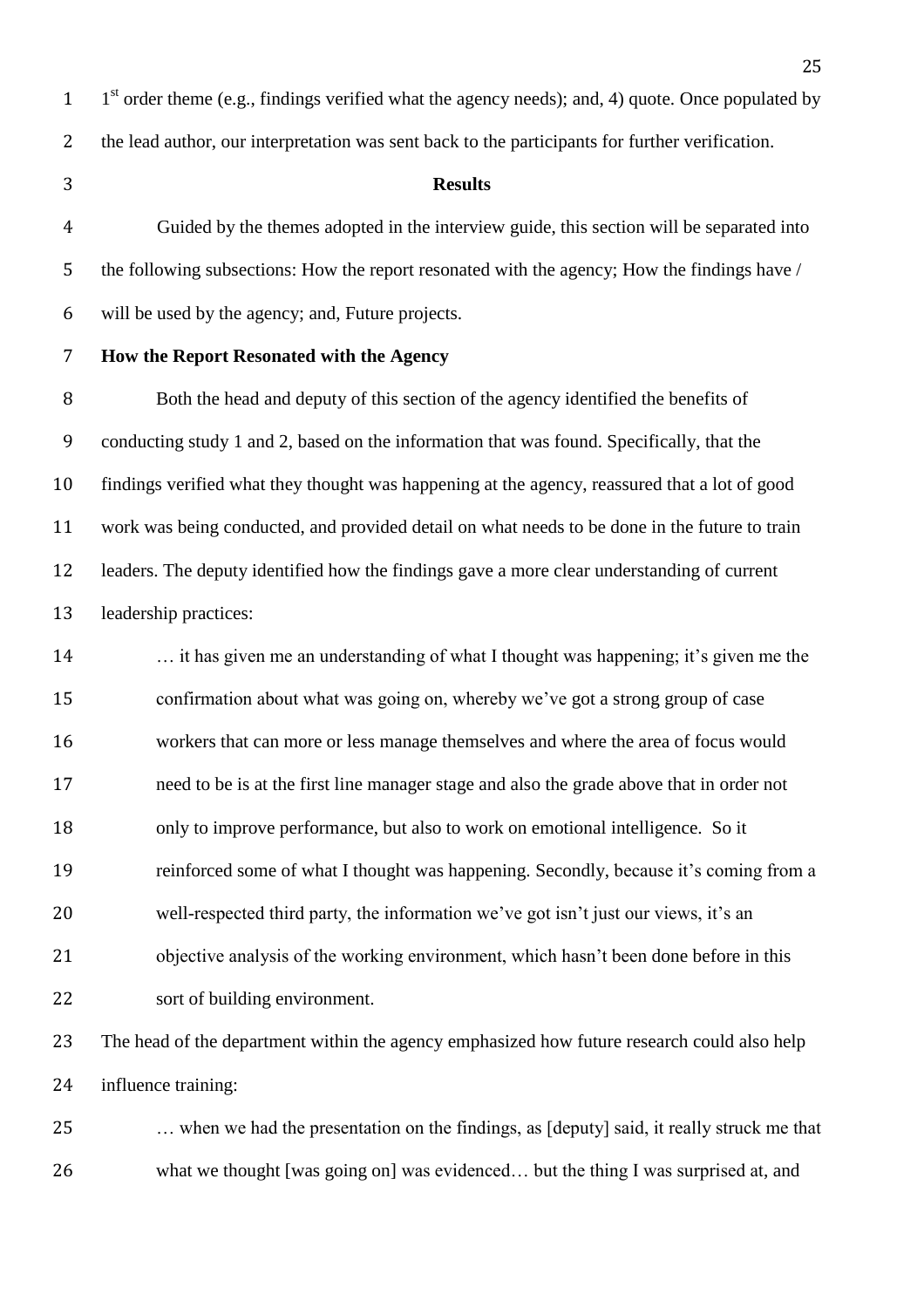<sup>st</sup> order theme (e.g., findings verified what the agency needs); and, 4) quote. Once populated by the lead author, our interpretation was sent back to the participants for further verification.

**Results**

 Guided by the themes adopted in the interview guide, this section will be separated into the following subsections: How the report resonated with the agency; How the findings have /

will be used by the agency; and, Future projects.

# **How the Report Resonated with the Agency**

 Both the head and deputy of this section of the agency identified the benefits of conducting study 1 and 2, based on the information that was found. Specifically, that the findings verified what they thought was happening at the agency, reassured that a lot of good work was being conducted, and provided detail on what needs to be done in the future to train leaders. The deputy identified how the findings gave a more clear understanding of current leadership practices:

 … it has given me an understanding of what I thought was happening; it's given me the confirmation about what was going on, whereby we've got a strong group of case workers that can more or less manage themselves and where the area of focus would need to be is at the first line manager stage and also the grade above that in order not only to improve performance, but also to work on emotional intelligence. So it reinforced some of what I thought was happening. Secondly, because it's coming from a well-respected third party, the information we've got isn't just our views, it's an objective analysis of the working environment, which hasn't been done before in this sort of building environment.

 The head of the department within the agency emphasized how future research could also help influence training:

 … when we had the presentation on the findings, as [deputy] said, it really struck me that what we thought [was going on] was evidenced… but the thing I was surprised at, and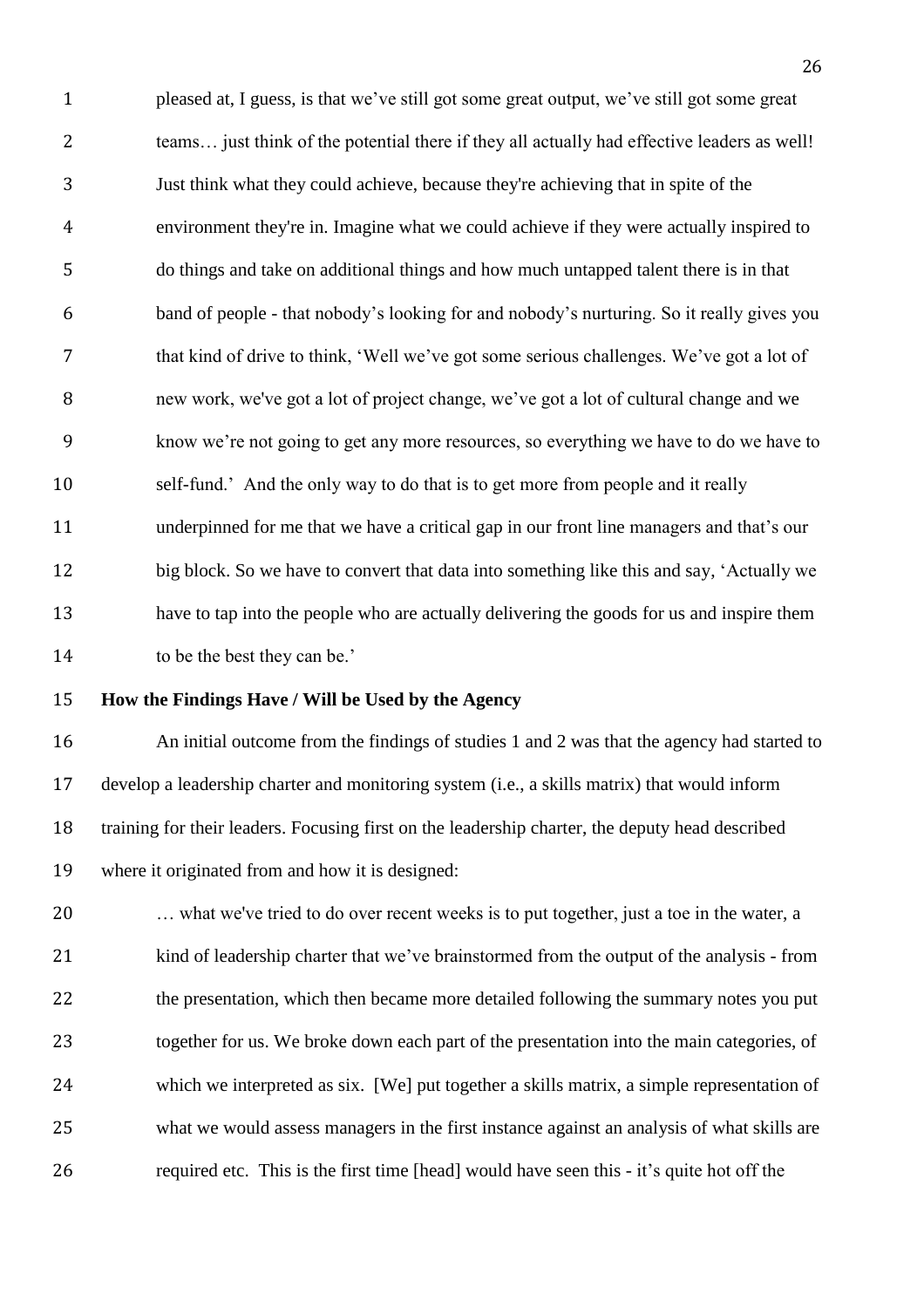pleased at, I guess, is that we've still got some great output, we've still got some great teams… just think of the potential there if they all actually had effective leaders as well! Just think what they could achieve, because they're achieving that in spite of the environment they're in. Imagine what we could achieve if they were actually inspired to do things and take on additional things and how much untapped talent there is in that band of people - that nobody's looking for and nobody's nurturing. So it really gives you that kind of drive to think, 'Well we've got some serious challenges. We've got a lot of new work, we've got a lot of project change, we've got a lot of cultural change and we know we're not going to get any more resources, so everything we have to do we have to self-fund.' And the only way to do that is to get more from people and it really underpinned for me that we have a critical gap in our front line managers and that's our big block. So we have to convert that data into something like this and say, 'Actually we have to tap into the people who are actually delivering the goods for us and inspire them to be the best they can be.'

**How the Findings Have / Will be Used by the Agency**

 An initial outcome from the findings of studies 1 and 2 was that the agency had started to develop a leadership charter and monitoring system (i.e., a skills matrix) that would inform training for their leaders. Focusing first on the leadership charter, the deputy head described where it originated from and how it is designed:

 … what we've tried to do over recent weeks is to put together, just a toe in the water, a kind of leadership charter that we've brainstormed from the output of the analysis - from 22 the presentation, which then became more detailed following the summary notes you put together for us. We broke down each part of the presentation into the main categories, of which we interpreted as six. [We] put together a skills matrix, a simple representation of what we would assess managers in the first instance against an analysis of what skills are required etc. This is the first time [head] would have seen this - it's quite hot off the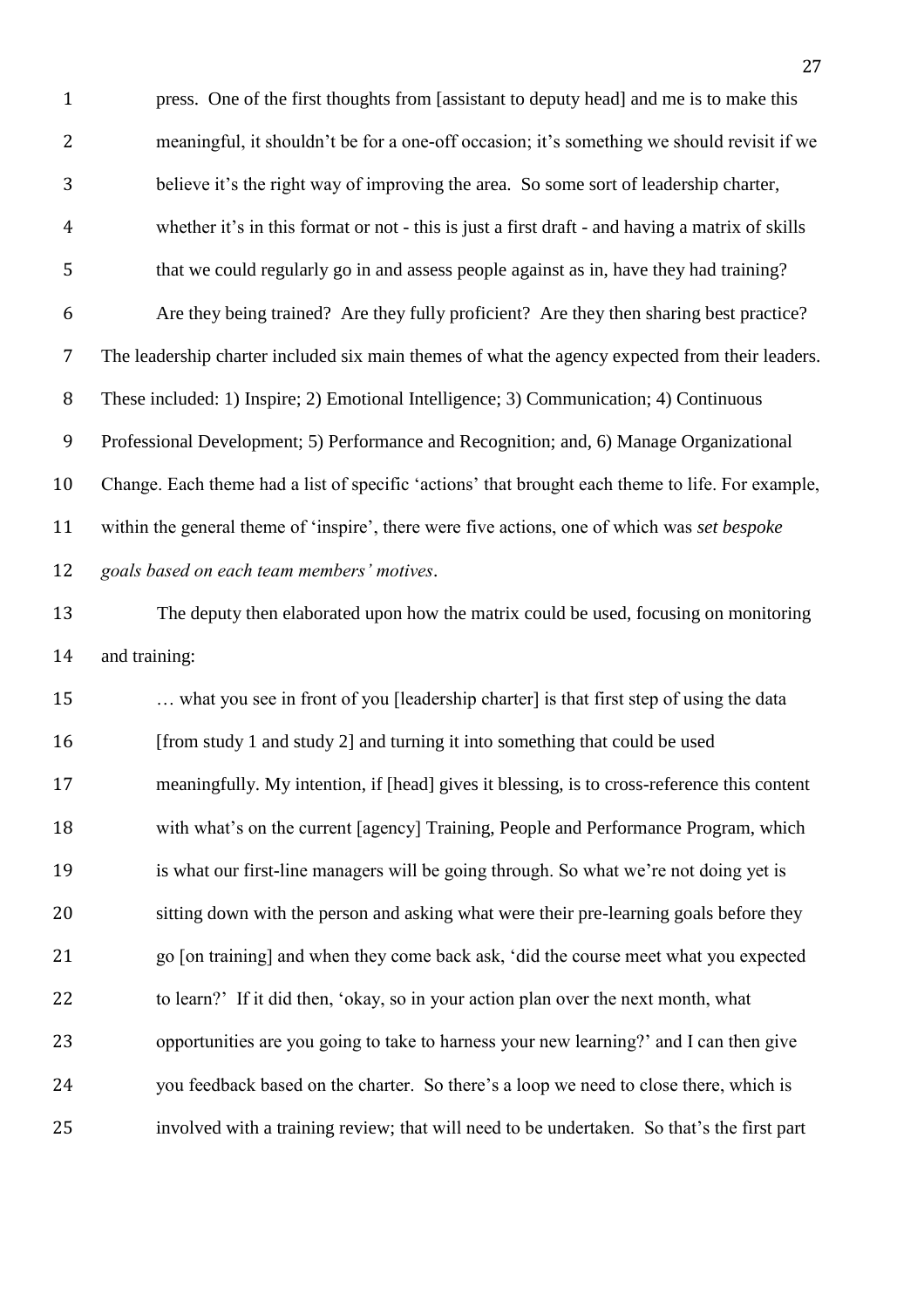| $\mathbf{1}$   | press. One of the first thoughts from [assistant to deputy head] and me is to make this           |
|----------------|---------------------------------------------------------------------------------------------------|
| $\overline{2}$ | meaningful, it shouldn't be for a one-off occasion; it's something we should revisit if we        |
| 3              | believe it's the right way of improving the area. So some sort of leadership charter,             |
| 4              | whether it's in this format or not - this is just a first draft - and having a matrix of skills   |
| 5              | that we could regularly go in and assess people against as in, have they had training?            |
| 6              | Are they being trained? Are they fully proficient? Are they then sharing best practice?           |
| $\overline{7}$ | The leadership charter included six main themes of what the agency expected from their leaders.   |
| 8              | These included: 1) Inspire; 2) Emotional Intelligence; 3) Communication; 4) Continuous            |
| 9              | Professional Development; 5) Performance and Recognition; and, 6) Manage Organizational           |
| 10             | Change. Each theme had a list of specific 'actions' that brought each theme to life. For example, |
| 11             | within the general theme of 'inspire', there were five actions, one of which was set bespoke      |
| 12             | goals based on each team members' motives.                                                        |
| 13             | The deputy then elaborated upon how the matrix could be used, focusing on monitoring              |
| 14             | and training:                                                                                     |
| 15             | what you see in front of you [leadership charter] is that first step of using the data            |
| 16             | [from study 1 and study 2] and turning it into something that could be used                       |
| 17             | meaningfully. My intention, if [head] gives it blessing, is to cross-reference this content       |
| 18             | with what's on the current [agency] Training, People and Performance Program, which               |
| 19             | is what our first-line managers will be going through. So what we're not doing yet is             |
| 20             | sitting down with the person and asking what were their pre-learning goals before they            |
| 21             | go [on training] and when they come back ask, 'did the course meet what you expected              |
| 22             | to learn?' If it did then, 'okay, so in your action plan over the next month, what                |
| 23             | opportunities are you going to take to harness your new learning?' and I can then give            |
| 24             | you feedback based on the charter. So there's a loop we need to close there, which is             |
| 25             | involved with a training review; that will need to be undertaken. So that's the first part        |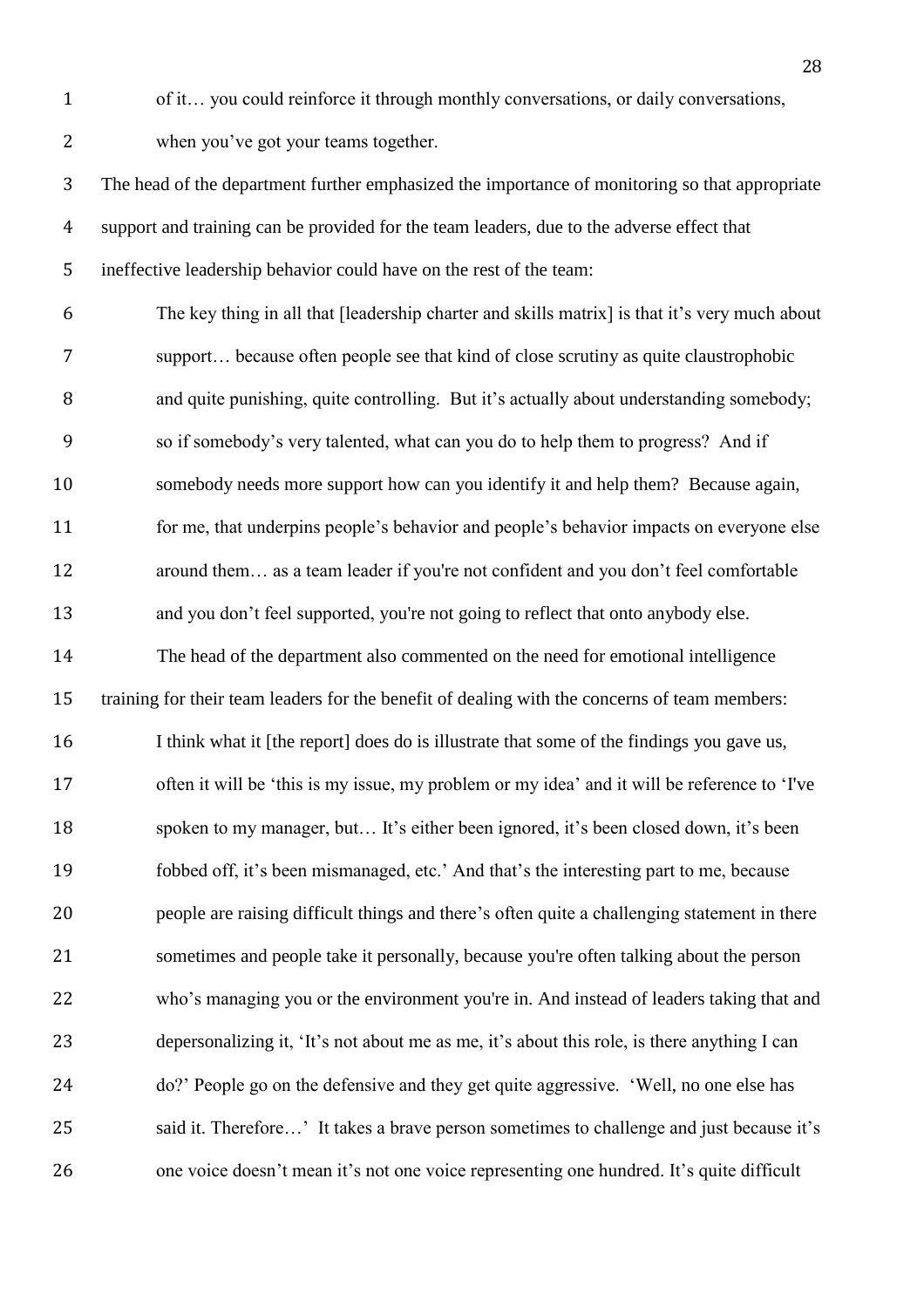1 of it… you could reinforce it through monthly conversations, or daily conversations, when you've got your teams together.

 The head of the department further emphasized the importance of monitoring so that appropriate support and training can be provided for the team leaders, due to the adverse effect that ineffective leadership behavior could have on the rest of the team:

 The key thing in all that [leadership charter and skills matrix] is that it's very much about support… because often people see that kind of close scrutiny as quite claustrophobic 8 and quite punishing, quite controlling. But it's actually about understanding somebody; so if somebody's very talented, what can you do to help them to progress? And if somebody needs more support how can you identify it and help them? Because again, for me, that underpins people's behavior and people's behavior impacts on everyone else around them… as a team leader if you're not confident and you don't feel comfortable and you don't feel supported, you're not going to reflect that onto anybody else. The head of the department also commented on the need for emotional intelligence training for their team leaders for the benefit of dealing with the concerns of team members: I think what it [the report] does do is illustrate that some of the findings you gave us, often it will be 'this is my issue, my problem or my idea' and it will be reference to 'I've spoken to my manager, but… It's either been ignored, it's been closed down, it's been fobbed off, it's been mismanaged, etc.' And that's the interesting part to me, because people are raising difficult things and there's often quite a challenging statement in there sometimes and people take it personally, because you're often talking about the person who's managing you or the environment you're in. And instead of leaders taking that and

 depersonalizing it, 'It's not about me as me, it's about this role, is there anything I can do?' People go on the defensive and they get quite aggressive. 'Well, no one else has said it. Therefore…' It takes a brave person sometimes to challenge and just because it's one voice doesn't mean it's not one voice representing one hundred. It's quite difficult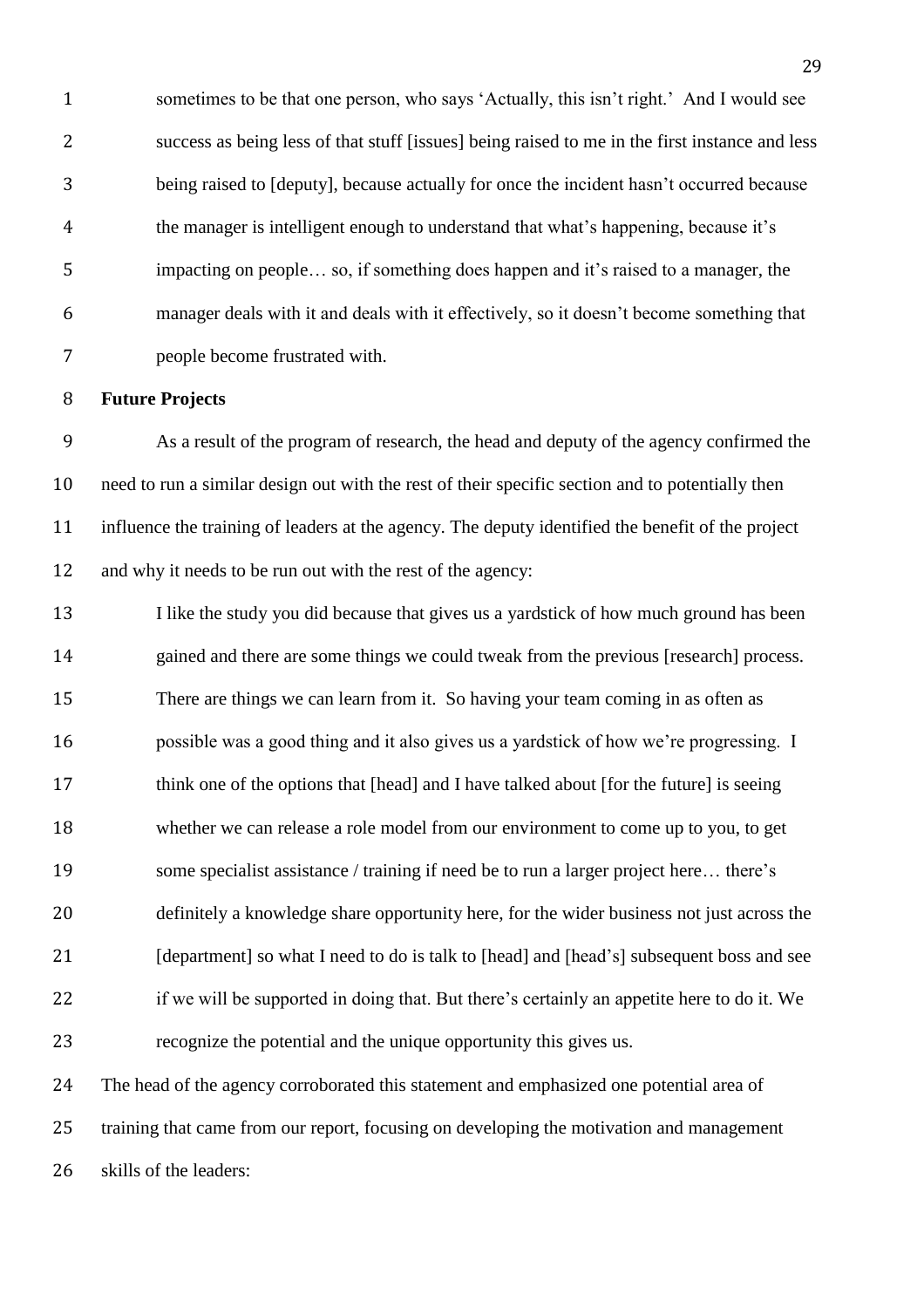sometimes to be that one person, who says 'Actually, this isn't right.' And I would see success as being less of that stuff [issues] being raised to me in the first instance and less being raised to [deputy], because actually for once the incident hasn't occurred because the manager is intelligent enough to understand that what's happening, because it's impacting on people… so, if something does happen and it's raised to a manager, the manager deals with it and deals with it effectively, so it doesn't become something that people become frustrated with.

**Future Projects**

 As a result of the program of research, the head and deputy of the agency confirmed the need to run a similar design out with the rest of their specific section and to potentially then influence the training of leaders at the agency. The deputy identified the benefit of the project and why it needs to be run out with the rest of the agency:

13 I like the study you did because that gives us a yardstick of how much ground has been gained and there are some things we could tweak from the previous [research] process. There are things we can learn from it. So having your team coming in as often as possible was a good thing and it also gives us a yardstick of how we're progressing. I 17 think one of the options that [head] and I have talked about [for the future] is seeing whether we can release a role model from our environment to come up to you, to get 19 some specialist assistance / training if need be to run a larger project here... there's definitely a knowledge share opportunity here, for the wider business not just across the 21 [department] so what I need to do is talk to [head] and [head's] subsequent boss and see if we will be supported in doing that. But there's certainly an appetite here to do it. We recognize the potential and the unique opportunity this gives us. The head of the agency corroborated this statement and emphasized one potential area of

 training that came from our report, focusing on developing the motivation and management skills of the leaders: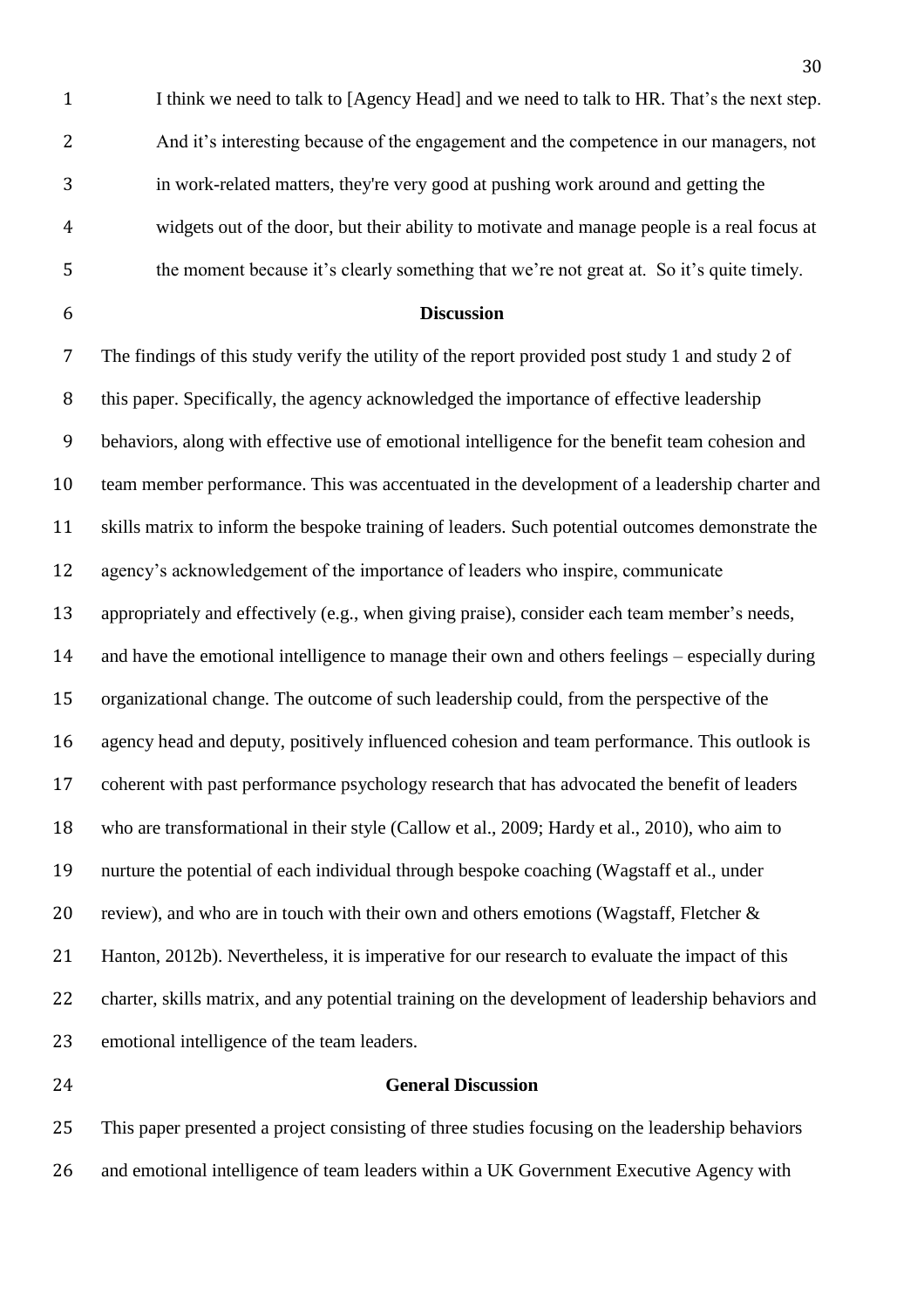I think we need to talk to [Agency Head] and we need to talk to HR. That's the next step. And it's interesting because of the engagement and the competence in our managers, not in work-related matters, they're very good at pushing work around and getting the widgets out of the door, but their ability to motivate and manage people is a real focus at the moment because it's clearly something that we're not great at. So it's quite timely.

### **Discussion**

 The findings of this study verify the utility of the report provided post study 1 and study 2 of this paper. Specifically, the agency acknowledged the importance of effective leadership behaviors, along with effective use of emotional intelligence for the benefit team cohesion and team member performance. This was accentuated in the development of a leadership charter and skills matrix to inform the bespoke training of leaders. Such potential outcomes demonstrate the agency's acknowledgement of the importance of leaders who inspire, communicate appropriately and effectively (e.g., when giving praise), consider each team member's needs, and have the emotional intelligence to manage their own and others feelings – especially during organizational change. The outcome of such leadership could, from the perspective of the agency head and deputy, positively influenced cohesion and team performance. This outlook is coherent with past performance psychology research that has advocated the benefit of leaders who are transformational in their style (Callow et al., 2009; Hardy et al., 2010), who aim to nurture the potential of each individual through bespoke coaching (Wagstaff et al., under 20 review), and who are in touch with their own and others emotions (Wagstaff, Fletcher  $\&$  Hanton, 2012b). Nevertheless, it is imperative for our research to evaluate the impact of this charter, skills matrix, and any potential training on the development of leadership behaviors and emotional intelligence of the team leaders.

#### **General Discussion**

 This paper presented a project consisting of three studies focusing on the leadership behaviors and emotional intelligence of team leaders within a UK Government Executive Agency with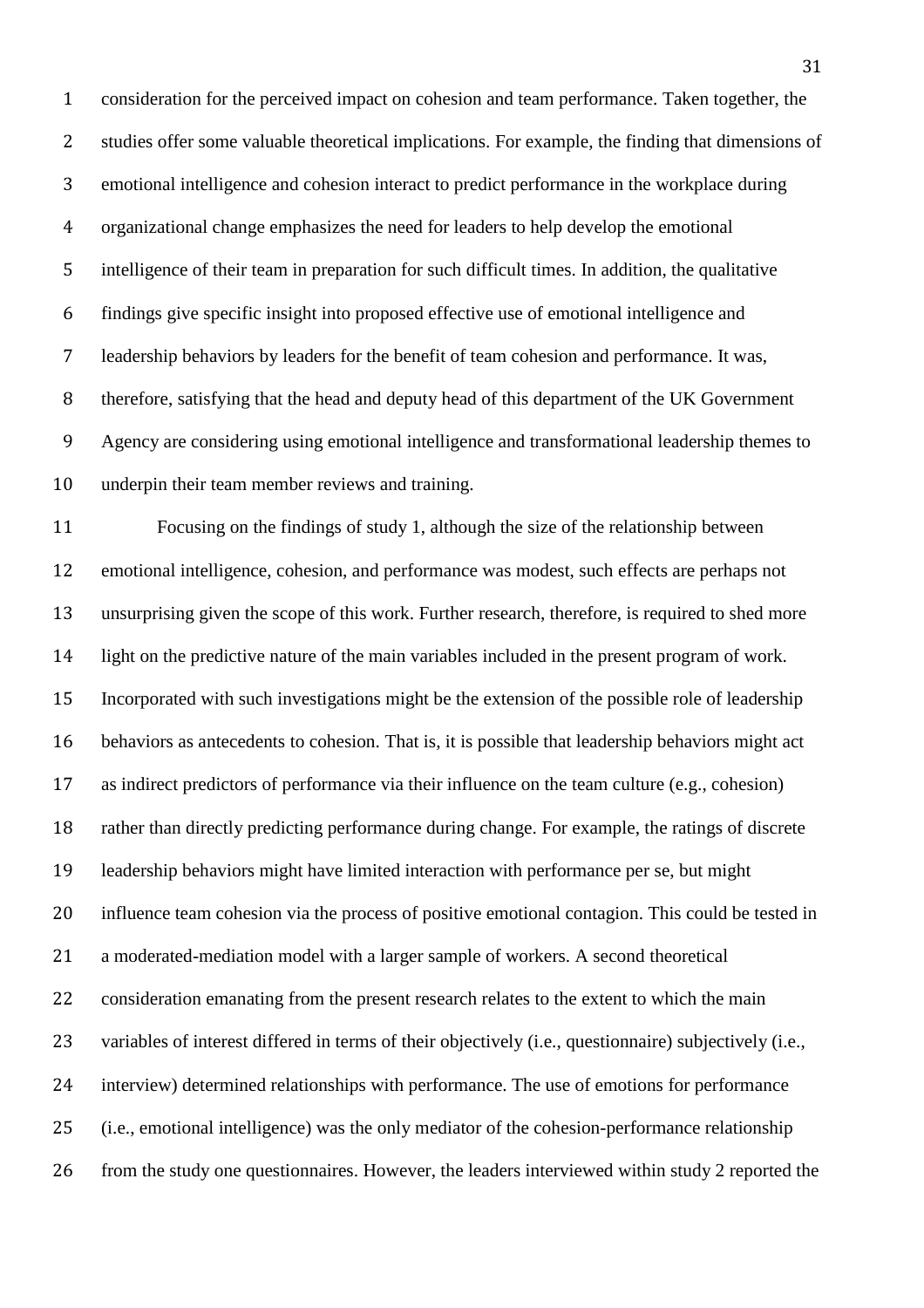consideration for the perceived impact on cohesion and team performance. Taken together, the studies offer some valuable theoretical implications. For example, the finding that dimensions of emotional intelligence and cohesion interact to predict performance in the workplace during organizational change emphasizes the need for leaders to help develop the emotional intelligence of their team in preparation for such difficult times. In addition, the qualitative findings give specific insight into proposed effective use of emotional intelligence and leadership behaviors by leaders for the benefit of team cohesion and performance. It was, therefore, satisfying that the head and deputy head of this department of the UK Government Agency are considering using emotional intelligence and transformational leadership themes to underpin their team member reviews and training.

 Focusing on the findings of study 1, although the size of the relationship between emotional intelligence, cohesion, and performance was modest, such effects are perhaps not unsurprising given the scope of this work. Further research, therefore, is required to shed more light on the predictive nature of the main variables included in the present program of work. Incorporated with such investigations might be the extension of the possible role of leadership behaviors as antecedents to cohesion. That is, it is possible that leadership behaviors might act as indirect predictors of performance via their influence on the team culture (e.g., cohesion) rather than directly predicting performance during change. For example, the ratings of discrete leadership behaviors might have limited interaction with performance per se, but might influence team cohesion via the process of positive emotional contagion. This could be tested in a moderated-mediation model with a larger sample of workers. A second theoretical consideration emanating from the present research relates to the extent to which the main variables of interest differed in terms of their objectively (i.e., questionnaire) subjectively (i.e., interview) determined relationships with performance. The use of emotions for performance (i.e., emotional intelligence) was the only mediator of the cohesion-performance relationship from the study one questionnaires. However, the leaders interviewed within study 2 reported the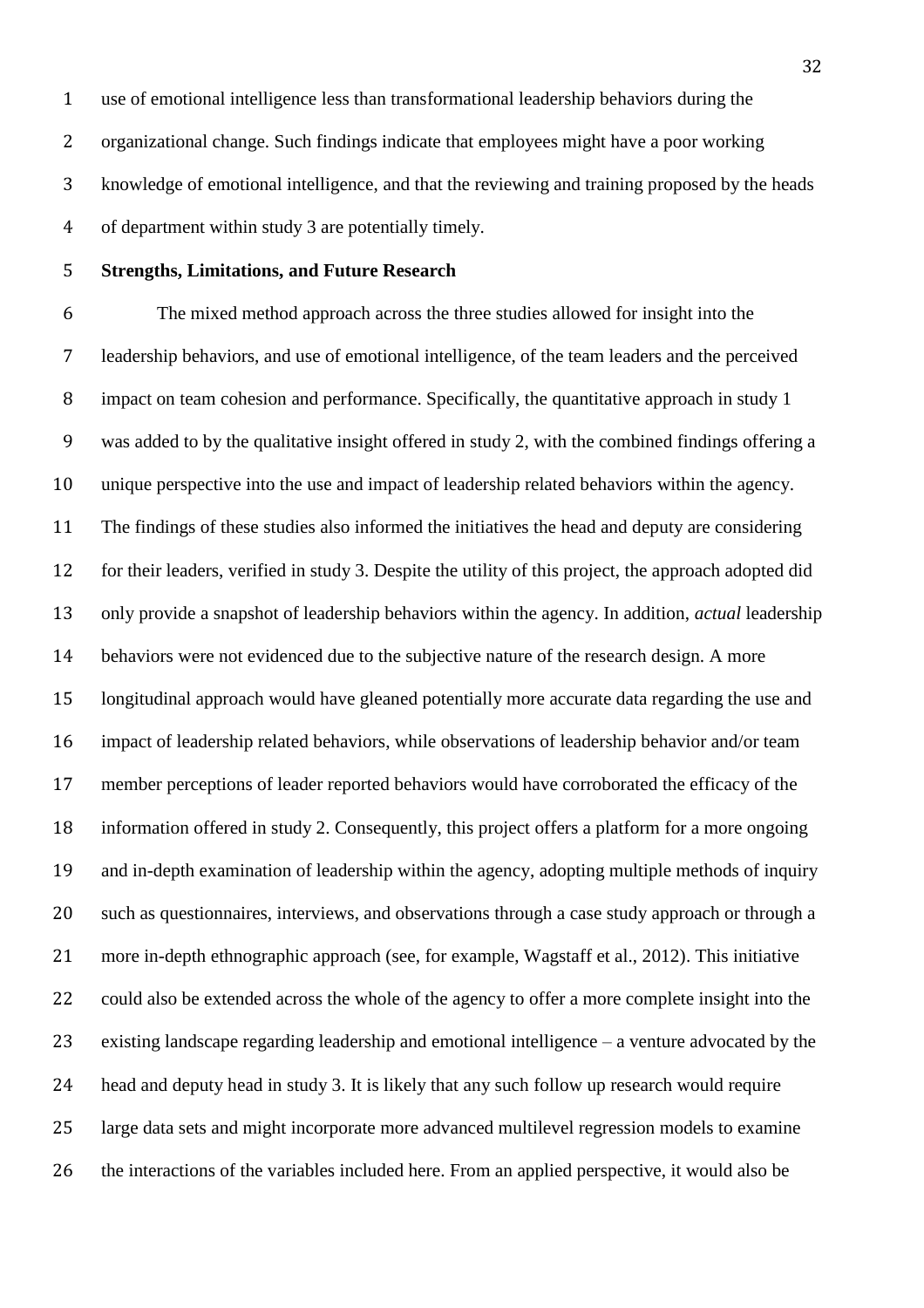use of emotional intelligence less than transformational leadership behaviors during the organizational change. Such findings indicate that employees might have a poor working knowledge of emotional intelligence, and that the reviewing and training proposed by the heads of department within study 3 are potentially timely.

# **Strengths, Limitations, and Future Research**

 The mixed method approach across the three studies allowed for insight into the leadership behaviors, and use of emotional intelligence, of the team leaders and the perceived impact on team cohesion and performance. Specifically, the quantitative approach in study 1 was added to by the qualitative insight offered in study 2, with the combined findings offering a unique perspective into the use and impact of leadership related behaviors within the agency. The findings of these studies also informed the initiatives the head and deputy are considering for their leaders, verified in study 3. Despite the utility of this project, the approach adopted did only provide a snapshot of leadership behaviors within the agency. In addition, *actual* leadership behaviors were not evidenced due to the subjective nature of the research design. A more longitudinal approach would have gleaned potentially more accurate data regarding the use and impact of leadership related behaviors, while observations of leadership behavior and/or team member perceptions of leader reported behaviors would have corroborated the efficacy of the information offered in study 2. Consequently, this project offers a platform for a more ongoing and in-depth examination of leadership within the agency, adopting multiple methods of inquiry such as questionnaires, interviews, and observations through a case study approach or through a more in-depth ethnographic approach (see, for example, Wagstaff et al., 2012). This initiative 22 could also be extended across the whole of the agency to offer a more complete insight into the existing landscape regarding leadership and emotional intelligence – a venture advocated by the head and deputy head in study 3. It is likely that any such follow up research would require large data sets and might incorporate more advanced multilevel regression models to examine the interactions of the variables included here. From an applied perspective, it would also be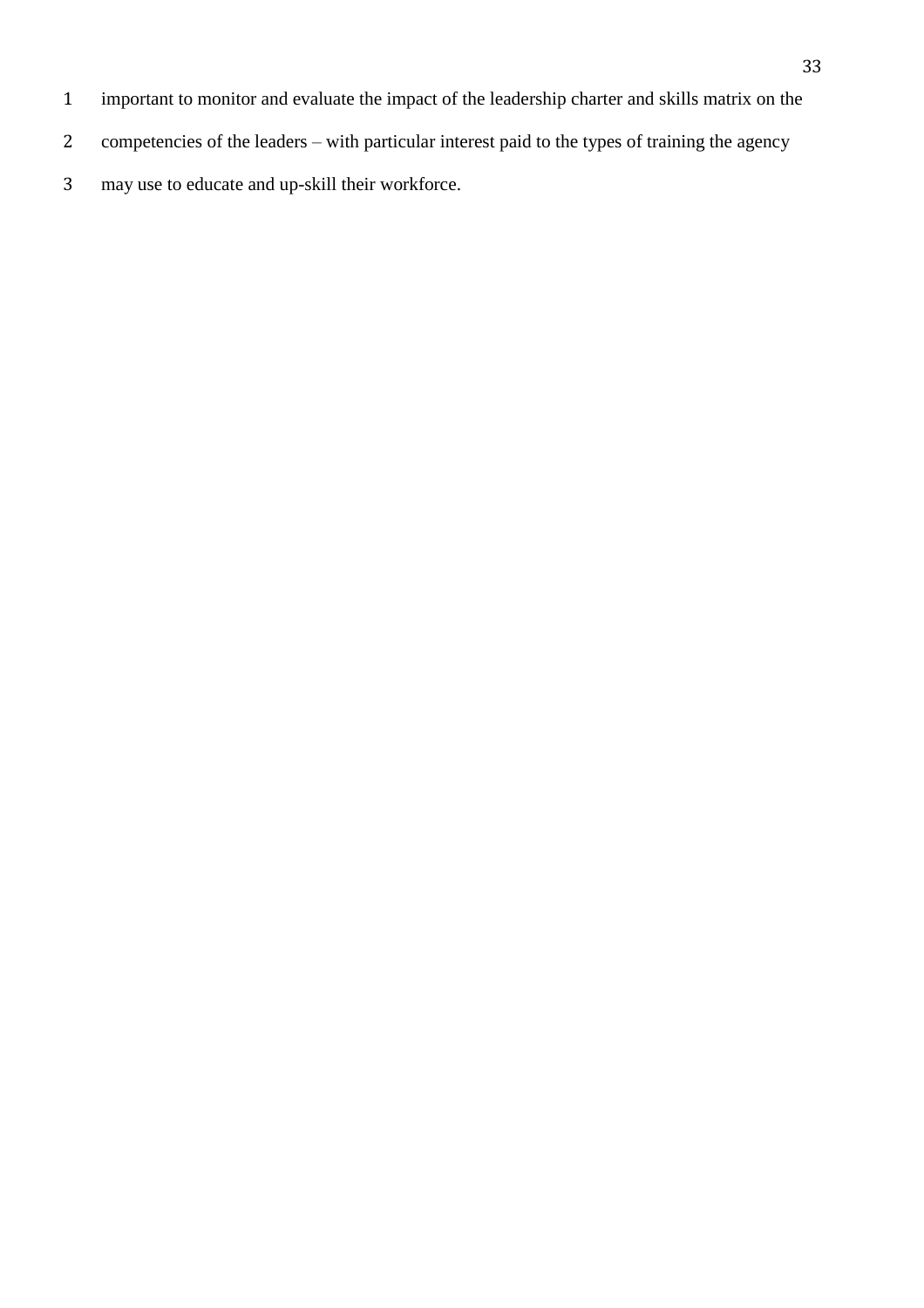- important to monitor and evaluate the impact of the leadership charter and skills matrix on the
- competencies of the leaders with particular interest paid to the types of training the agency
- may use to educate and up-skill their workforce.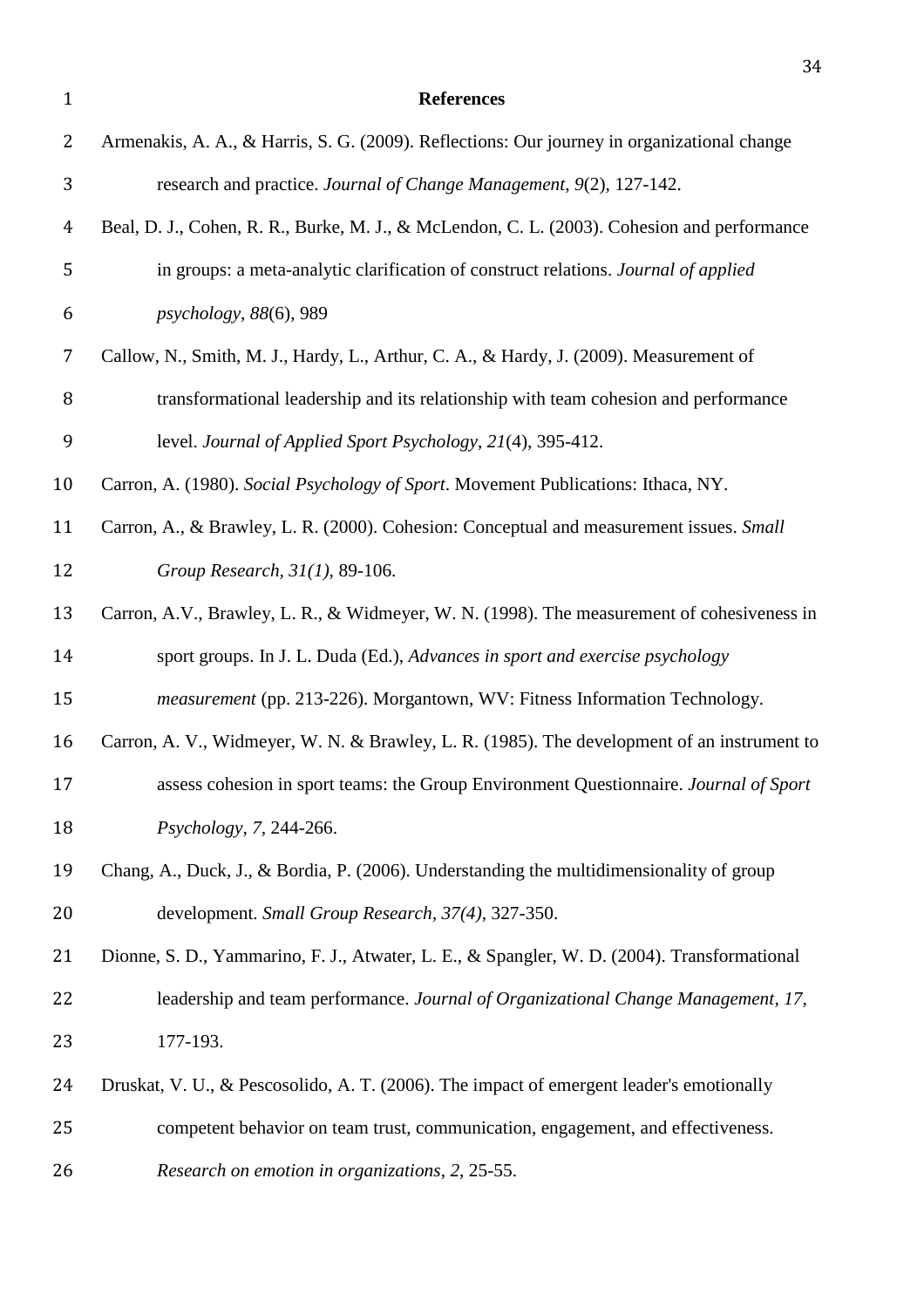| $\mathbf{1}$ | <b>References</b>                                                                           |
|--------------|---------------------------------------------------------------------------------------------|
| 2            | Armenakis, A. A., & Harris, S. G. (2009). Reflections: Our journey in organizational change |
| 3            | research and practice. Journal of Change Management, 9(2), 127-142.                         |
| 4            | Beal, D. J., Cohen, R. R., Burke, M. J., & McLendon, C. L. (2003). Cohesion and performance |
| 5            | in groups: a meta-analytic clarification of construct relations. Journal of applied         |
| 6            | psychology, 88(6), 989                                                                      |
| 7            | Callow, N., Smith, M. J., Hardy, L., Arthur, C. A., & Hardy, J. (2009). Measurement of      |
| 8            | transformational leadership and its relationship with team cohesion and performance         |
| 9            | level. Journal of Applied Sport Psychology, 21(4), 395-412.                                 |
| 10           | Carron, A. (1980). Social Psychology of Sport. Movement Publications: Ithaca, NY.           |
| 11           | Carron, A., & Brawley, L. R. (2000). Cohesion: Conceptual and measurement issues. Small     |
| 12           | Group Research, 31(1), 89-106.                                                              |
| 13           | Carron, A.V., Brawley, L. R., & Widmeyer, W. N. (1998). The measurement of cohesiveness in  |
| 14           | sport groups. In J. L. Duda (Ed.), Advances in sport and exercise psychology                |
| 15           | measurement (pp. 213-226). Morgantown, WV: Fitness Information Technology.                  |
| 16           | Carron, A. V., Widmeyer, W. N. & Brawley, L. R. (1985). The development of an instrument to |
| 17           | assess cohesion in sport teams: the Group Environment Questionnaire. Journal of Sport       |
| 18           | Psychology, 7, 244-266.                                                                     |
| 19           | Chang, A., Duck, J., & Bordia, P. (2006). Understanding the multidimensionality of group    |
| 20           | development. Small Group Research, 37(4), 327-350.                                          |
| 21           | Dionne, S. D., Yammarino, F. J., Atwater, L. E., & Spangler, W. D. (2004). Transformational |
| 22           | leadership and team performance. Journal of Organizational Change Management, 17,           |
| 23           | 177-193.                                                                                    |
| 24           | Druskat, V. U., & Pescosolido, A. T. (2006). The impact of emergent leader's emotionally    |
| 25           | competent behavior on team trust, communication, engagement, and effectiveness.             |
| 26           | Research on emotion in organizations, 2, 25-55.                                             |
|              |                                                                                             |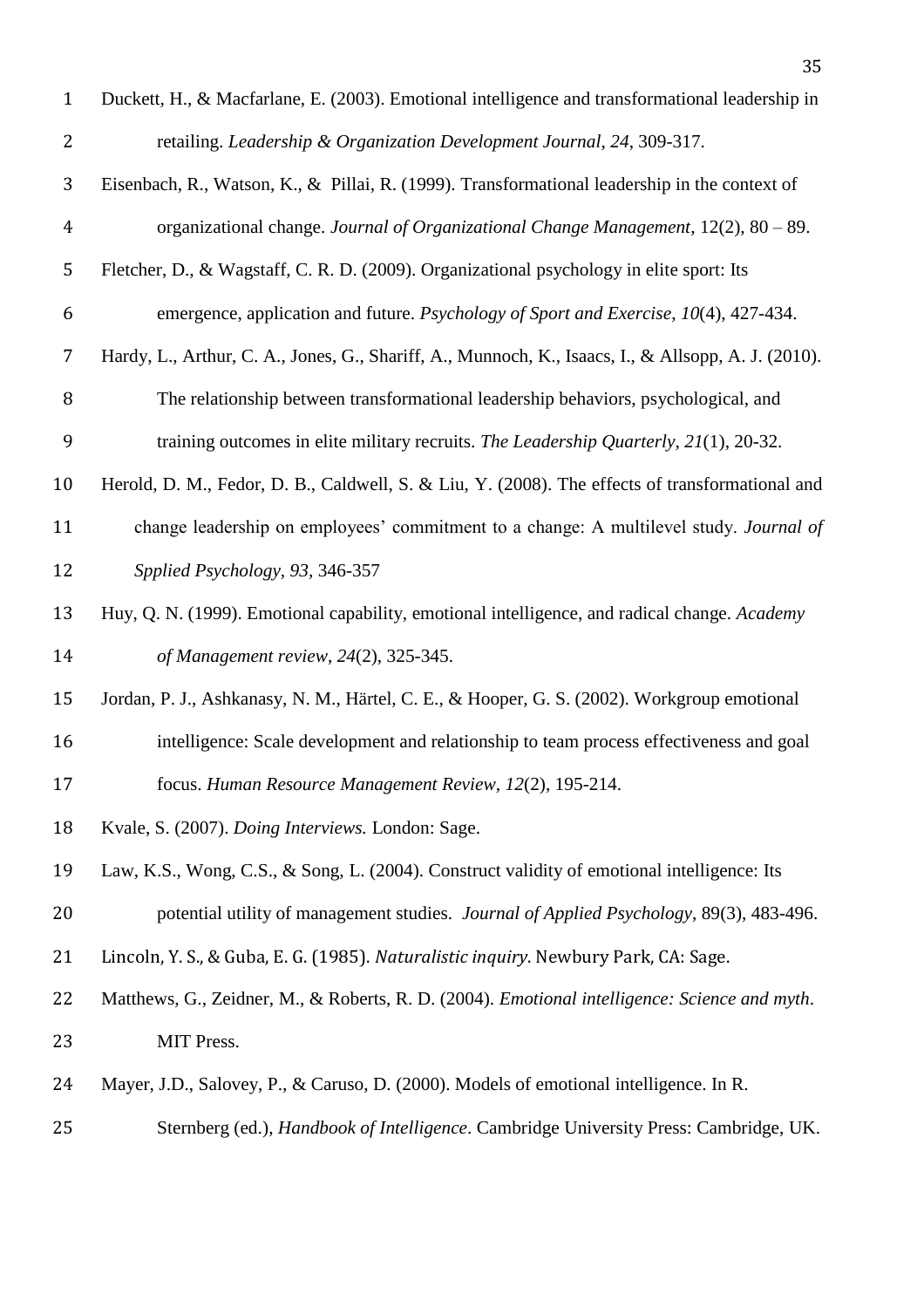| $\mathbf{1}$   | Duckett, H., & Macfarlane, E. (2003). Emotional intelligence and transformational leadership in      |
|----------------|------------------------------------------------------------------------------------------------------|
| $\overline{2}$ | retailing. Leadership & Organization Development Journal, 24, 309-317.                               |
| 3              | Eisenbach, R., Watson, K., & Pillai, R. (1999). Transformational leadership in the context of        |
| $\overline{4}$ | organizational change. Journal of Organizational Change Management, $12(2)$ , $80 - 89$ .            |
| 5              | Fletcher, D., & Wagstaff, C. R. D. (2009). Organizational psychology in elite sport: Its             |
| 6              | emergence, application and future. Psychology of Sport and Exercise, 10(4), 427-434.                 |
| $\overline{7}$ | Hardy, L., Arthur, C. A., Jones, G., Shariff, A., Munnoch, K., Isaacs, I., & Allsopp, A. J. (2010).  |
| 8              | The relationship between transformational leadership behaviors, psychological, and                   |
| 9              | training outcomes in elite military recruits. The Leadership Quarterly, 21(1), 20-32.                |
| 10             | Herold, D. M., Fedor, D. B., Caldwell, S. & Liu, Y. (2008). The effects of transformational and      |
| 11             | change leadership on employees' commitment to a change: A multilevel study. Journal of               |
| 12             | Spplied Psychology, 93, 346-357                                                                      |
| 13             | Huy, Q. N. (1999). Emotional capability, emotional intelligence, and radical change. Academy         |
| 14             | of Management review, 24(2), 325-345.                                                                |
| 15             | Jordan, P. J., Ashkanasy, N. M., Härtel, C. E., & Hooper, G. S. (2002). Workgroup emotional          |
| 16             | intelligence: Scale development and relationship to team process effectiveness and goal              |
| 17             | focus. Human Resource Management Review, 12(2), 195-214.                                             |
| 18             | Kvale, S. (2007). Doing Interviews. London: Sage.                                                    |
| 19             | Law, K.S., Wong, C.S., & Song, L. (2004). Construct validity of emotional intelligence: Its          |
| 20             | potential utility of management studies. Journal of Applied Psychology, 89(3), 483-496.              |
| 21             | Lincoln, Y. S., & Guba, E. G. (1985). Naturalistic inquiry. Newbury Park, CA: Sage.                  |
| 22             | Matthews, G., Zeidner, M., & Roberts, R. D. (2004). <i>Emotional intelligence: Science and myth.</i> |
| 23             | MIT Press.                                                                                           |
| 24             | Mayer, J.D., Salovey, P., & Caruso, D. (2000). Models of emotional intelligence. In R.               |
| 25             | Sternberg (ed.), Handbook of Intelligence. Cambridge University Press: Cambridge, UK.                |
|                |                                                                                                      |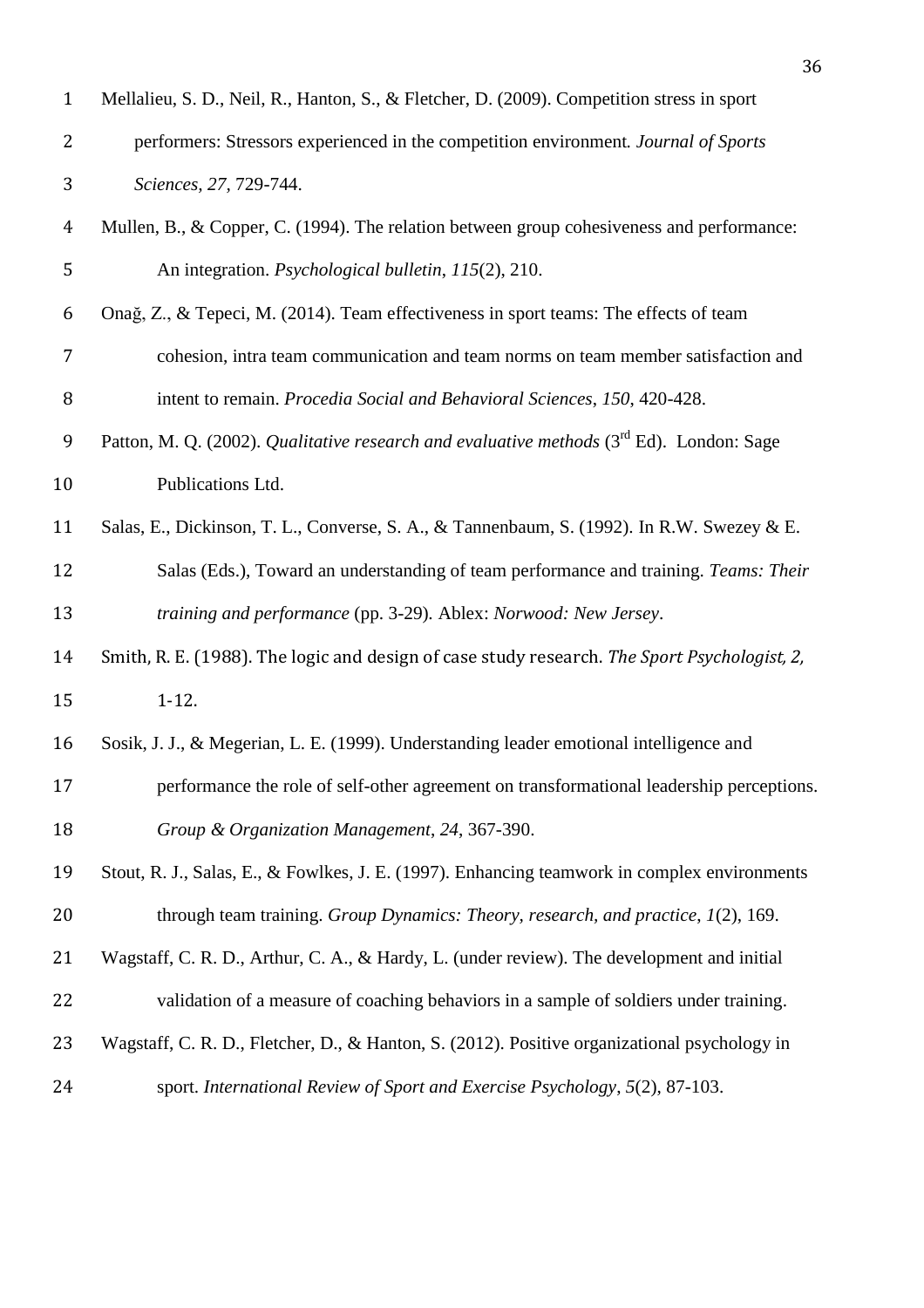| $\mathbf{1}$   | Mellalieu, S. D., Neil, R., Hanton, S., & Fletcher, D. (2009). Competition stress in sport           |
|----------------|------------------------------------------------------------------------------------------------------|
| $\overline{2}$ | performers: Stressors experienced in the competition environment. Journal of Sports                  |
| 3              | Sciences, 27, 729-744.                                                                               |
| $\overline{4}$ | Mullen, B., & Copper, C. (1994). The relation between group cohesiveness and performance:            |
| 5              | An integration. <i>Psychological bulletin</i> , 115(2), 210.                                         |
| 6              | Onağ, Z., & Tepeci, M. (2014). Team effectiveness in sport teams: The effects of team                |
| 7              | cohesion, intra team communication and team norms on team member satisfaction and                    |
| 8              | intent to remain. Procedia Social and Behavioral Sciences, 150, 420-428.                             |
| 9              | Patton, M. Q. (2002). Qualitative research and evaluative methods (3 <sup>rd</sup> Ed). London: Sage |
| 10             | Publications Ltd.                                                                                    |
| 11             | Salas, E., Dickinson, T. L., Converse, S. A., & Tannenbaum, S. (1992). In R.W. Swezey & E.           |
| 12             | Salas (Eds.), Toward an understanding of team performance and training. Teams: Their                 |
| 13             | training and performance (pp. 3-29). Ablex: Norwood: New Jersey.                                     |
| 14             | Smith, R. E. (1988). The logic and design of case study research. The Sport Psychologist, 2,         |
| 15             | $1-12.$                                                                                              |
| 16             | Sosik, J. J., & Megerian, L. E. (1999). Understanding leader emotional intelligence and              |
| 17             | performance the role of self-other agreement on transformational leadership perceptions.             |
| 18             | Group & Organization Management, 24, 367-390.                                                        |
| 19             | Stout, R. J., Salas, E., & Fowlkes, J. E. (1997). Enhancing teamwork in complex environments         |
| 20             | through team training. Group Dynamics: Theory, research, and practice, 1(2), 169.                    |
| 21             | Wagstaff, C. R. D., Arthur, C. A., & Hardy, L. (under review). The development and initial           |
| 22             | validation of a measure of coaching behaviors in a sample of soldiers under training.                |
| 23             | Wagstaff, C. R. D., Fletcher, D., & Hanton, S. (2012). Positive organizational psychology in         |
| 24             | sport. International Review of Sport and Exercise Psychology, 5(2), 87-103.                          |
|                |                                                                                                      |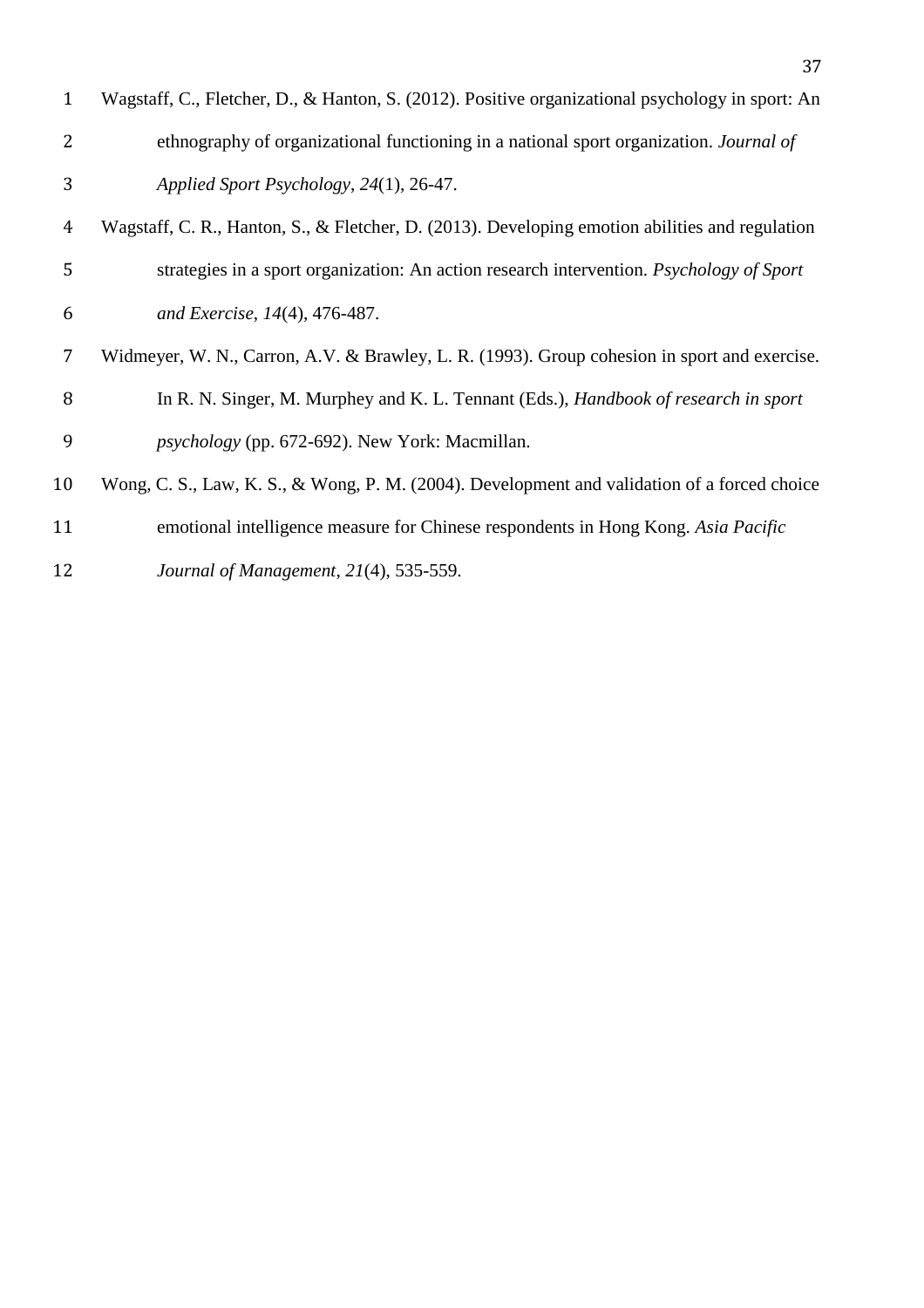|   | Wagstaff, C., Fletcher, D., & Hanton, S. (2012). Positive organizational psychology in sport: An |
|---|--------------------------------------------------------------------------------------------------|
| 2 | ethnography of organizational functioning in a national sport organization. Journal of           |
| 3 | Applied Sport Psychology, 24(1), 26-47.                                                          |
| 4 | Wagstaff, C. R., Hanton, S., & Fletcher, D. (2013). Developing emotion abilities and regulation  |

- strategies in a sport organization: An action research intervention. *Psychology of Sport and Exercise*, *14*(4), 476-487.
- Widmeyer, W. N., Carron, A.V. & Brawley, L. R. (1993). Group cohesion in sport and exercise.
- 8 In R. N. Singer, M. Murphey and K. L. Tennant (Eds.), *Handbook of research in sport psychology* (pp. 672-692). New York: Macmillan.
- Wong, C. S., Law, K. S., & Wong, P. M. (2004). Development and validation of a forced choice
- emotional intelligence measure for Chinese respondents in Hong Kong. *Asia Pacific*
- *Journal of Management*, *21*(4), 535-559.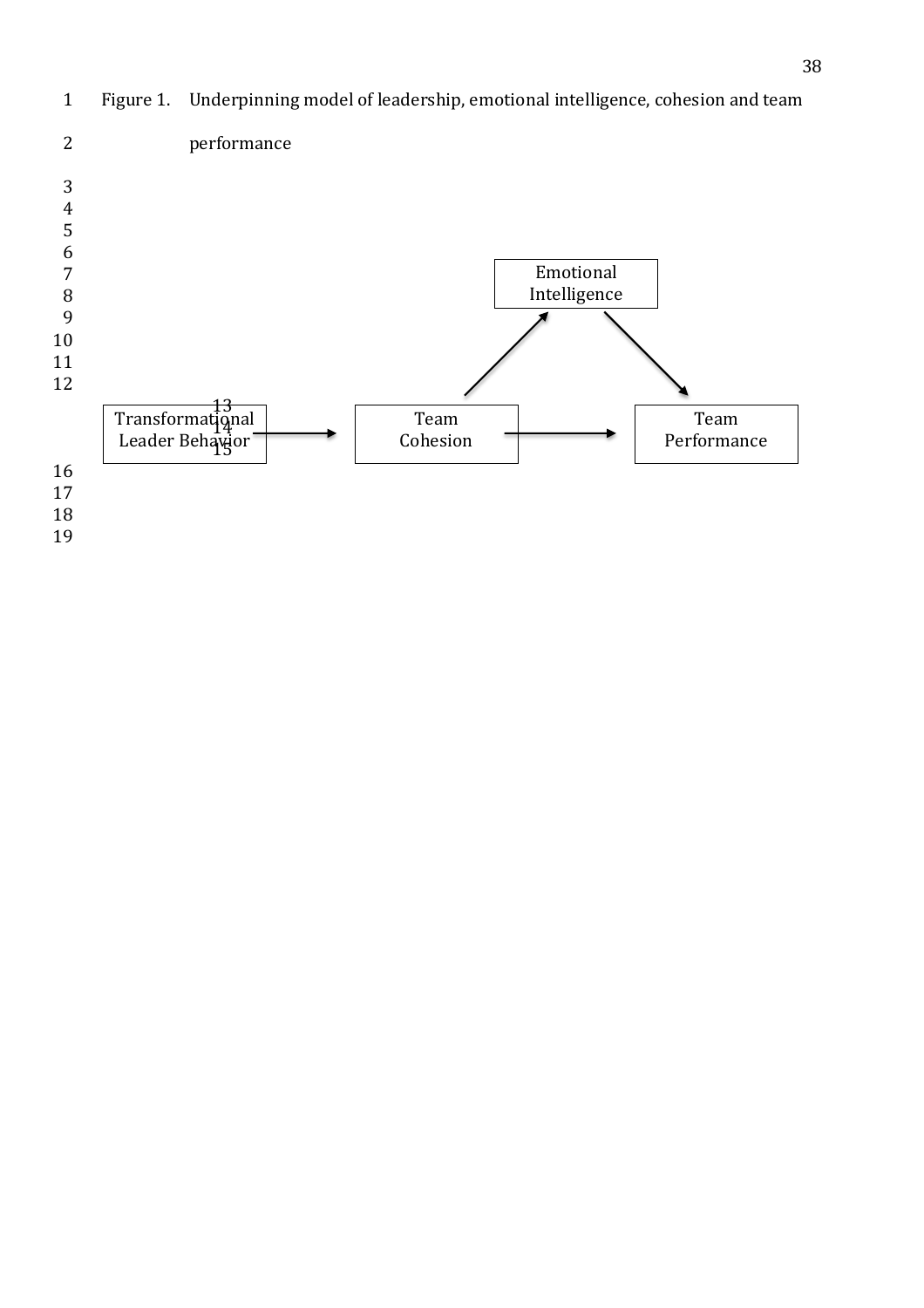

Figure 1. Underpinning model of leadership, emotional intelligence, cohesion and team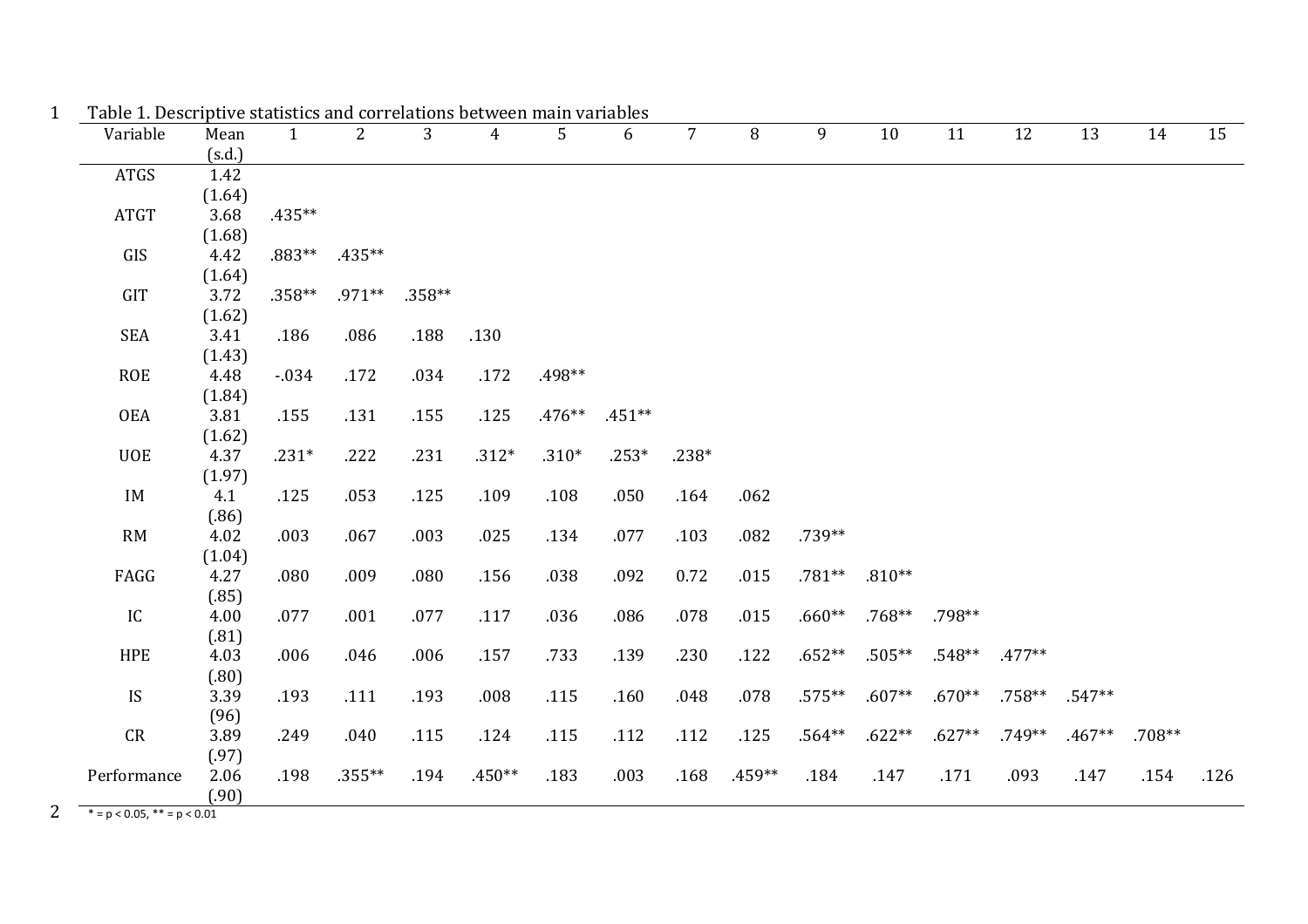| Table 1. Descriptive statistics and correlations between main variables |                |          | $\overline{2}$ | 3      |          |          |         |                 |        |          |          |          |          |          |          |      |
|-------------------------------------------------------------------------|----------------|----------|----------------|--------|----------|----------|---------|-----------------|--------|----------|----------|----------|----------|----------|----------|------|
| Variable                                                                | Mean<br>(s.d.) | 1        |                |        | 4        | 5        | 6       | $7\overline{ }$ | 8      | 9        | 10       | 11       | 12       | 13       | 14       | 15   |
| ATGS                                                                    | 1.42           |          |                |        |          |          |         |                 |        |          |          |          |          |          |          |      |
|                                                                         | (1.64)         |          |                |        |          |          |         |                 |        |          |          |          |          |          |          |      |
| <b>ATGT</b>                                                             | 3.68           | $.435**$ |                |        |          |          |         |                 |        |          |          |          |          |          |          |      |
|                                                                         | (1.68)         |          |                |        |          |          |         |                 |        |          |          |          |          |          |          |      |
| GIS                                                                     | 4.42           | .883**   | .435**         |        |          |          |         |                 |        |          |          |          |          |          |          |      |
|                                                                         | (1.64)         |          |                |        |          |          |         |                 |        |          |          |          |          |          |          |      |
| GIT                                                                     | 3.72           | $.358**$ | .971**         | .358** |          |          |         |                 |        |          |          |          |          |          |          |      |
|                                                                         | (1.62)         |          |                |        |          |          |         |                 |        |          |          |          |          |          |          |      |
| <b>SEA</b>                                                              | 3.41           | .186     | .086           | .188   | .130     |          |         |                 |        |          |          |          |          |          |          |      |
|                                                                         | (1.43)         |          |                |        |          |          |         |                 |        |          |          |          |          |          |          |      |
| <b>ROE</b>                                                              | 4.48           | $-0.34$  | .172           | .034   | .172     | .498**   |         |                 |        |          |          |          |          |          |          |      |
|                                                                         | (1.84)         |          |                |        |          |          |         |                 |        |          |          |          |          |          |          |      |
| <b>OEA</b>                                                              | 3.81           | .155     | .131           | .155   | .125     | $.476**$ | .451**  |                 |        |          |          |          |          |          |          |      |
|                                                                         | (1.62)         |          |                |        |          |          |         |                 |        |          |          |          |          |          |          |      |
| <b>UOE</b>                                                              | 4.37           | $.231*$  | .222           | .231   | $.312*$  | $.310*$  | $.253*$ | $.238*$         |        |          |          |          |          |          |          |      |
|                                                                         | (1.97)         |          |                |        |          |          |         |                 |        |          |          |          |          |          |          |      |
| IM                                                                      | 4.1            | .125     | .053           | .125   | .109     | .108     | .050    | .164            | .062   |          |          |          |          |          |          |      |
| RM                                                                      | (.86)<br>4.02  | .003     | .067           | .003   | $.025\,$ | .134     | .077    | .103            | .082   | .739**   |          |          |          |          |          |      |
|                                                                         | (1.04)         |          |                |        |          |          |         |                 |        |          |          |          |          |          |          |      |
| FAGG                                                                    | 4.27           | .080     | .009           | .080   | .156     | .038     | .092    | 0.72            | .015   | .781**   | $.810**$ |          |          |          |          |      |
|                                                                         | (.85)          |          |                |        |          |          |         |                 |        |          |          |          |          |          |          |      |
| ${\rm IC}$                                                              | 4.00           | .077     | .001           | .077   | .117     | .036     | .086    | .078            | .015   | $.660**$ | $.768**$ | .798**   |          |          |          |      |
|                                                                         | (.81)          |          |                |        |          |          |         |                 |        |          |          |          |          |          |          |      |
| <b>HPE</b>                                                              | 4.03           | .006     | .046           | .006   | .157     | .733     | .139    | .230            | .122   | $.652**$ | $.505**$ | $.548**$ | $.477**$ |          |          |      |
|                                                                         | (.80)          |          |                |        |          |          |         |                 |        |          |          |          |          |          |          |      |
| IS                                                                      | 3.39           | .193     | .111           | .193   | .008     | .115     | .160    | .048            | .078   | $.575**$ | $.607**$ | $.670**$ | .758**   | $.547**$ |          |      |
|                                                                         | (96)           |          |                |        |          |          |         |                 |        |          |          |          |          |          |          |      |
| ${\sf CR}$                                                              | 3.89           | .249     | .040           | .115   | .124     | .115     | .112    | .112            | .125   | $.564**$ | $.622**$ | $.627**$ | $.749**$ | $.467**$ | $.708**$ |      |
|                                                                         | (.97)          |          |                |        |          |          |         |                 |        |          |          |          |          |          |          |      |
| Performance                                                             | 2.06           | .198     | $.355***$      | .194   | $.450**$ | .183     | .003    | .168            | .459** | .184     | .147     | .171     | .093     | .147     | .154     | .126 |
|                                                                         | (.90)          |          |                |        |          |          |         |                 |        |          |          |          |          |          |          |      |

1 Table 1. Descriptive statistics and correlations between main variables

2  $* = p < 0.05, ** = p < 0.01$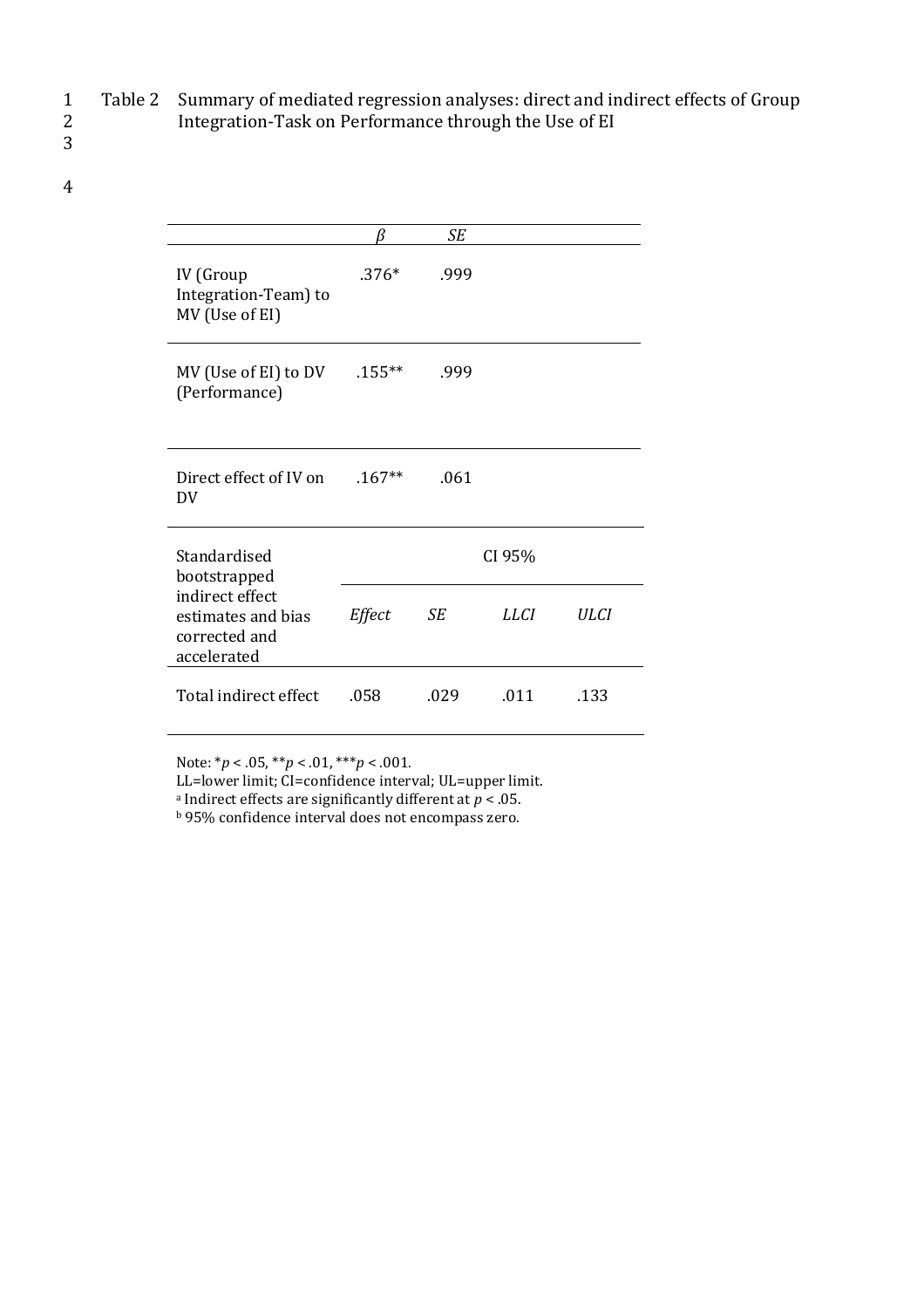- 1 Table 2 Summary of mediated regression analyses: direct and indirect effects of Group Integration-Task on Performance through the Use of EI 3
- 4

|                                                                       | ß         | SЕ        |        |             |
|-----------------------------------------------------------------------|-----------|-----------|--------|-------------|
| IV (Group<br>Integration-Team) to<br>MV (Use of EI)                   | $.376*$   | .999      |        |             |
| MV (Use of EI) to DV<br>(Performance)                                 | $.155***$ | .999      |        |             |
| Direct effect of IV on<br>DV                                          | $.167**$  | .061      |        |             |
| Standardised<br>bootstrapped                                          |           |           | CI 95% |             |
| indirect effect<br>estimates and bias<br>corrected and<br>accelerated | Effect    | <b>SE</b> | LLCI   | <b>ULCI</b> |
| Total indirect effect                                                 | .058      | .029      | .011   | .133        |

Note: \**p* < .05, \*\**p* < .01, \*\*\**p* < .001.

LL=lower limit; CI=confidence interval; UL=upper limit.

a Indirect effects are significantly different at *p* < .05.

**b** 95% confidence interval does not encompass zero.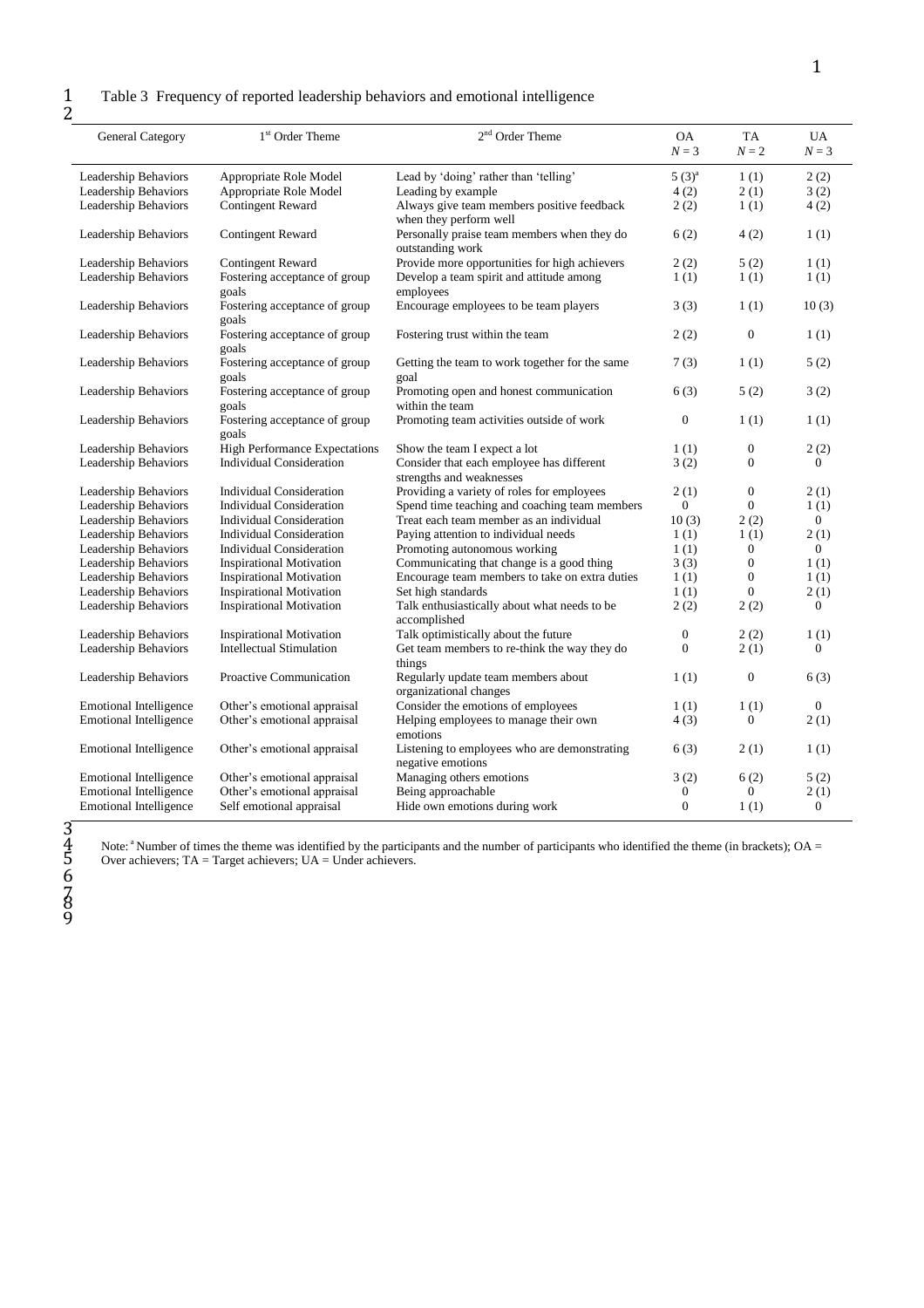## 1 Table 3 Frequency of reported leadership behaviors and emotional intelligence  $\frac{1}{2}$

| <b>General Category</b>       | 1 <sup>st</sup> Order Theme            | $2nd$ Order Theme                                                     | <b>OA</b><br>$N = 3$ | <b>TA</b><br>$N = 2$ | <b>UA</b><br>$N = 3$ |
|-------------------------------|----------------------------------------|-----------------------------------------------------------------------|----------------------|----------------------|----------------------|
| Leadership Behaviors          | Appropriate Role Model                 | Lead by 'doing' rather than 'telling'                                 | $(3)^{a}$            | 1(1)                 | 2(2)                 |
| Leadership Behaviors          | Appropriate Role Model                 | Leading by example                                                    | 4(2)                 | 2(1)                 | 3(2)                 |
| Leadership Behaviors          | <b>Contingent Reward</b>               | Always give team members positive feedback<br>when they perform well  | 2(2)                 | 1(1)                 | 4(2)                 |
| Leadership Behaviors          | <b>Contingent Reward</b>               | Personally praise team members when they do<br>outstanding work       | 6(2)                 | 4(2)                 | 1(1)                 |
| Leadership Behaviors          | <b>Contingent Reward</b>               | Provide more opportunities for high achievers                         | 2(2)                 | 5(2)                 | 1(1)                 |
| Leadership Behaviors          | Fostering acceptance of group<br>goals | Develop a team spirit and attitude among<br>employees                 | 1(1)                 | 1(1)                 | 1(1)                 |
| Leadership Behaviors          | Fostering acceptance of group<br>goals | Encourage employees to be team players                                | 3(3)                 | 1(1)                 | 10(3)                |
| Leadership Behaviors          | Fostering acceptance of group<br>goals | Fostering trust within the team                                       | 2(2)                 | $\boldsymbol{0}$     | 1(1)                 |
| Leadership Behaviors          | Fostering acceptance of group<br>goals | Getting the team to work together for the same<br>goal                | 7(3)                 | 1(1)                 | 5(2)                 |
| Leadership Behaviors          | Fostering acceptance of group<br>goals | Promoting open and honest communication<br>within the team            | 6(3)                 | 5(2)                 | 3(2)                 |
| Leadership Behaviors          | Fostering acceptance of group<br>goals | Promoting team activities outside of work                             | $\boldsymbol{0}$     | 1(1)                 | 1(1)                 |
| Leadership Behaviors          | <b>High Performance Expectations</b>   | Show the team I expect a lot                                          | 1(1)                 | $\boldsymbol{0}$     | 2(2)                 |
| Leadership Behaviors          | <b>Individual Consideration</b>        | Consider that each employee has different<br>strengths and weaknesses | 3(2)                 | $\overline{0}$       | $\Omega$             |
| Leadership Behaviors          | <b>Individual Consideration</b>        | Providing a variety of roles for employees                            | 2(1)                 | $\boldsymbol{0}$     | 2(1)                 |
| Leadership Behaviors          | <b>Individual Consideration</b>        | Spend time teaching and coaching team members                         | $\overline{0}$       | $\overline{0}$       | 1(1)                 |
| Leadership Behaviors          | <b>Individual Consideration</b>        | Treat each team member as an individual                               | 10(3)                | 2(2)                 | $\overline{0}$       |
| Leadership Behaviors          | <b>Individual Consideration</b>        | Paying attention to individual needs                                  | 1(1)                 | 1(1)                 | 2(1)                 |
| Leadership Behaviors          | <b>Individual Consideration</b>        | Promoting autonomous working                                          | 1(1)                 | $\boldsymbol{0}$     | $\overline{0}$       |
| Leadership Behaviors          | <b>Inspirational Motivation</b>        | Communicating that change is a good thing                             | 3(3)                 | $\boldsymbol{0}$     | 1(1)                 |
| Leadership Behaviors          | <b>Inspirational Motivation</b>        | Encourage team members to take on extra duties                        | 1(1)                 | $\boldsymbol{0}$     | 1(1)                 |
| Leadership Behaviors          | <b>Inspirational Motivation</b>        | Set high standards                                                    | 1(1)                 | $\Omega$             | 2(1)                 |
| Leadership Behaviors          | <b>Inspirational Motivation</b>        | Talk enthusiastically about what needs to be<br>accomplished          | 2(2)                 | 2(2)                 | $\overline{0}$       |
| Leadership Behaviors          | <b>Inspirational Motivation</b>        | Talk optimistically about the future                                  | $\boldsymbol{0}$     | 2(2)                 | 1(1)                 |
| Leadership Behaviors          | <b>Intellectual Stimulation</b>        | Get team members to re-think the way they do<br>things                | $\overline{0}$       | 2(1)                 | $\Omega$             |
| Leadership Behaviors          | Proactive Communication                | Regularly update team members about<br>organizational changes         | 1(1)                 | $\mathbf{0}$         | 6(3)                 |
| <b>Emotional Intelligence</b> | Other's emotional appraisal            | Consider the emotions of employees                                    | 1(1)                 | 1(1)                 | $\overline{0}$       |
| <b>Emotional Intelligence</b> | Other's emotional appraisal            | Helping employees to manage their own<br>emotions                     | 4(3)                 | $\mathbf{0}$         | 2(1)                 |
| <b>Emotional Intelligence</b> | Other's emotional appraisal            | Listening to employees who are demonstrating<br>negative emotions     | 6(3)                 | 2(1)                 | 1(1)                 |
| <b>Emotional Intelligence</b> | Other's emotional appraisal            | Managing others emotions                                              | 3(2)                 | 6(2)                 | 5(2)                 |
| <b>Emotional Intelligence</b> | Other's emotional appraisal            | Being approachable                                                    | 0                    | $\mathbf{0}$         | 2(1)                 |
| <b>Emotional Intelligence</b> | Self emotional appraisal               | Hide own emotions during work                                         | $\overline{0}$       | 1(1)                 | $\overline{0}$       |

Note: <sup>a</sup> Number of times the theme was identified by the participants and the number of participants who identified the theme (in brackets); OA =  $\overline{5}$  Over achievers; TA = Target achievers; UA = Under achievers.